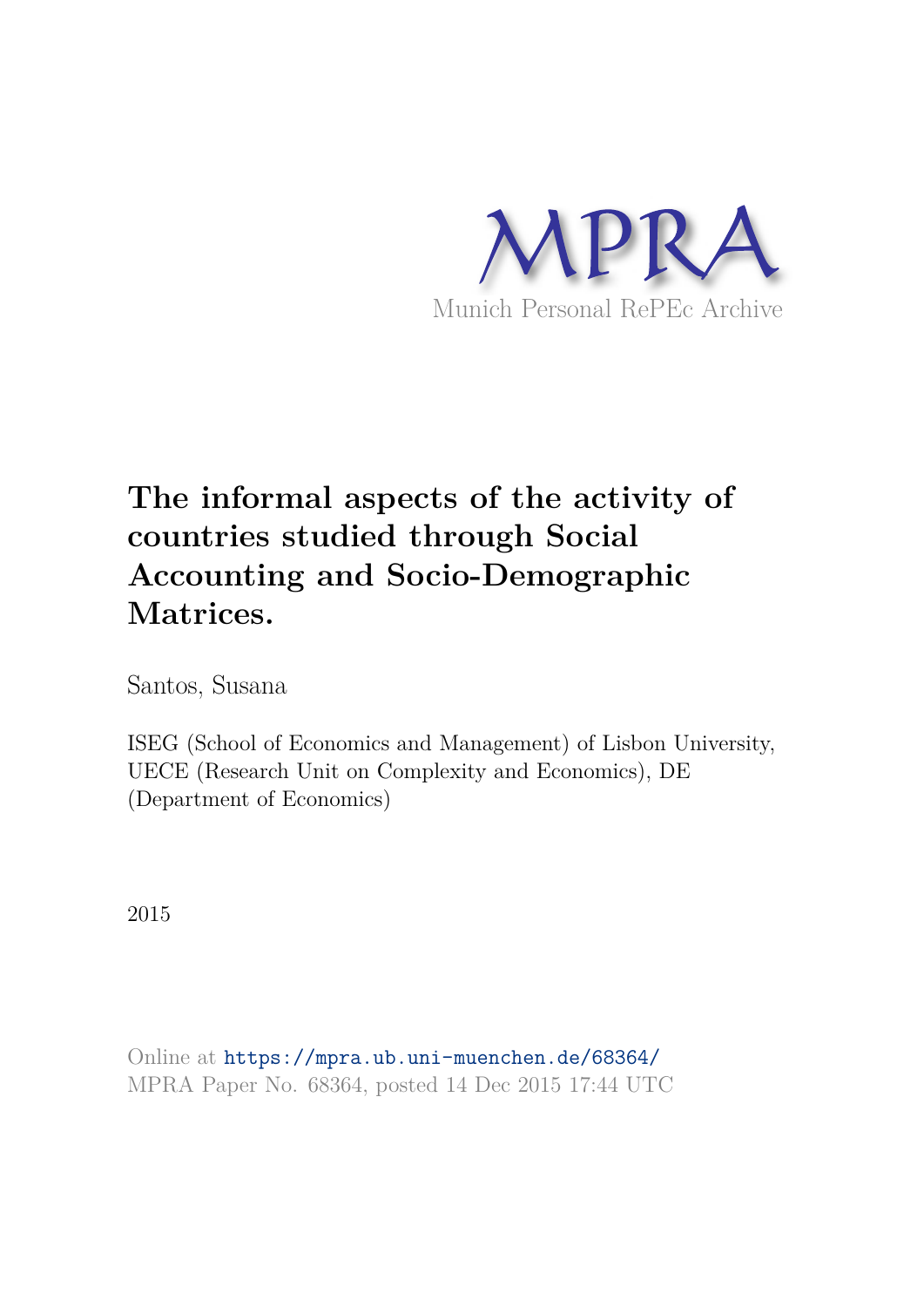

Santos, Susana

ISEG (School of Economics and Management) of Lisbon University, UECE (Research Unit on Complexity and Economics), DE (Department of Economics)

2015

Online at https://mpra.ub.uni-muenchen.de/68364/ MPRA Paper No. 68364, posted 14 Dec 2015 17:44 UTC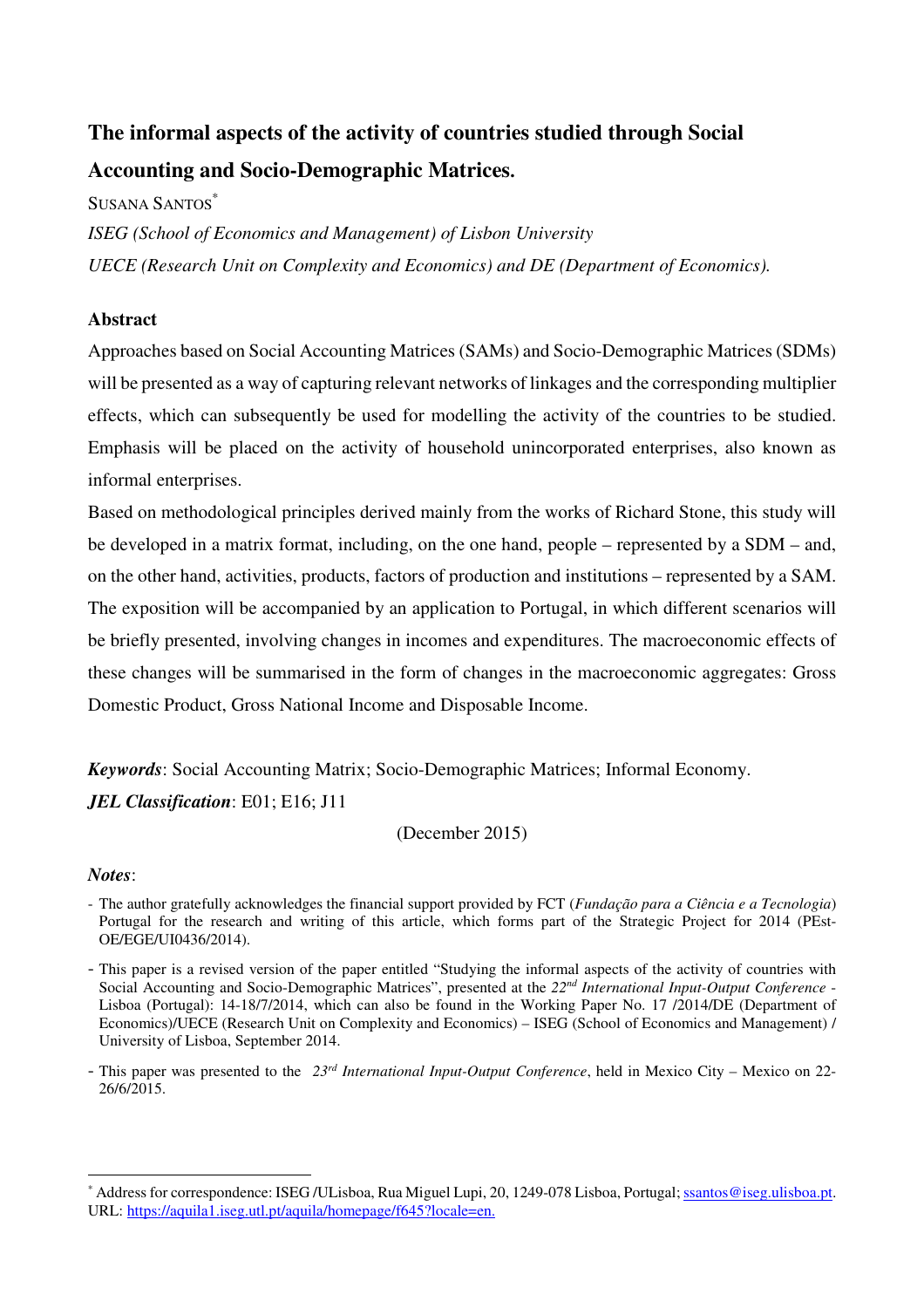SUSANA SANTOS<sup>\*</sup>

*ISEG (School of Economics and Management) of Lisbon University UECE (Research Unit on Complexity and Economics) and DE (Department of Economics).* 

#### **Abstract**

Approaches based on Social Accounting Matrices (SAMs) and Socio-Demographic Matrices (SDMs) will be presented as a way of capturing relevant networks of linkages and the corresponding multiplier effects, which can subsequently be used for modelling the activity of the countries to be studied. Emphasis will be placed on the activity of household unincorporated enterprises, also known as informal enterprises.

Based on methodological principles derived mainly from the works of Richard Stone, this study will be developed in a matrix format, including, on the one hand, people – represented by a SDM – and, on the other hand, activities, products, factors of production and institutions – represented by a SAM. The exposition will be accompanied by an application to Portugal, in which different scenarios will be briefly presented, involving changes in incomes and expenditures. The macroeconomic effects of these changes will be summarised in the form of changes in the macroeconomic aggregates: Gross Domestic Product, Gross National Income and Disposable Income.

*Keywords*: Social Accounting Matrix; Socio-Demographic Matrices; Informal Economy. *JEL Classification*: E01; E16; J11

(December 2015)

#### *Notes*:

 $\overline{a}$ 

- The author gratefully acknowledges the financial support provided by FCT (*Fundação para a Ciência e a Tecnologia*) Portugal for the research and writing of this article, which forms part of the Strategic Project for 2014 (PEst-OE/EGE/UI0436/2014).
- This paper is a revised version of the paper entitled "Studying the informal aspects of the activity of countries with Social Accounting and Socio-Demographic Matrices", presented at the *22nd International Input-Output Conference* - Lisboa (Portugal): 14-18/7/2014, which can also be found in the Working Paper No. 17 /2014/DE (Department of Economics)/UECE (Research Unit on Complexity and Economics) – ISEG (School of Economics and Management) / University of Lisboa, September 2014.
- This paper was presented to the *23rd International Input-Output Conference*, held in Mexico City Mexico on 22- 26/6/2015.

<sup>\*</sup> Address for correspondence: ISEG /ULisboa, Rua Miguel Lupi, 20, 1249-078 Lisboa, Portugal; ssantos@iseg.ulisboa.pt. URL: https://aquila1.iseg.utl.pt/aquila/homepage/f645?locale=en.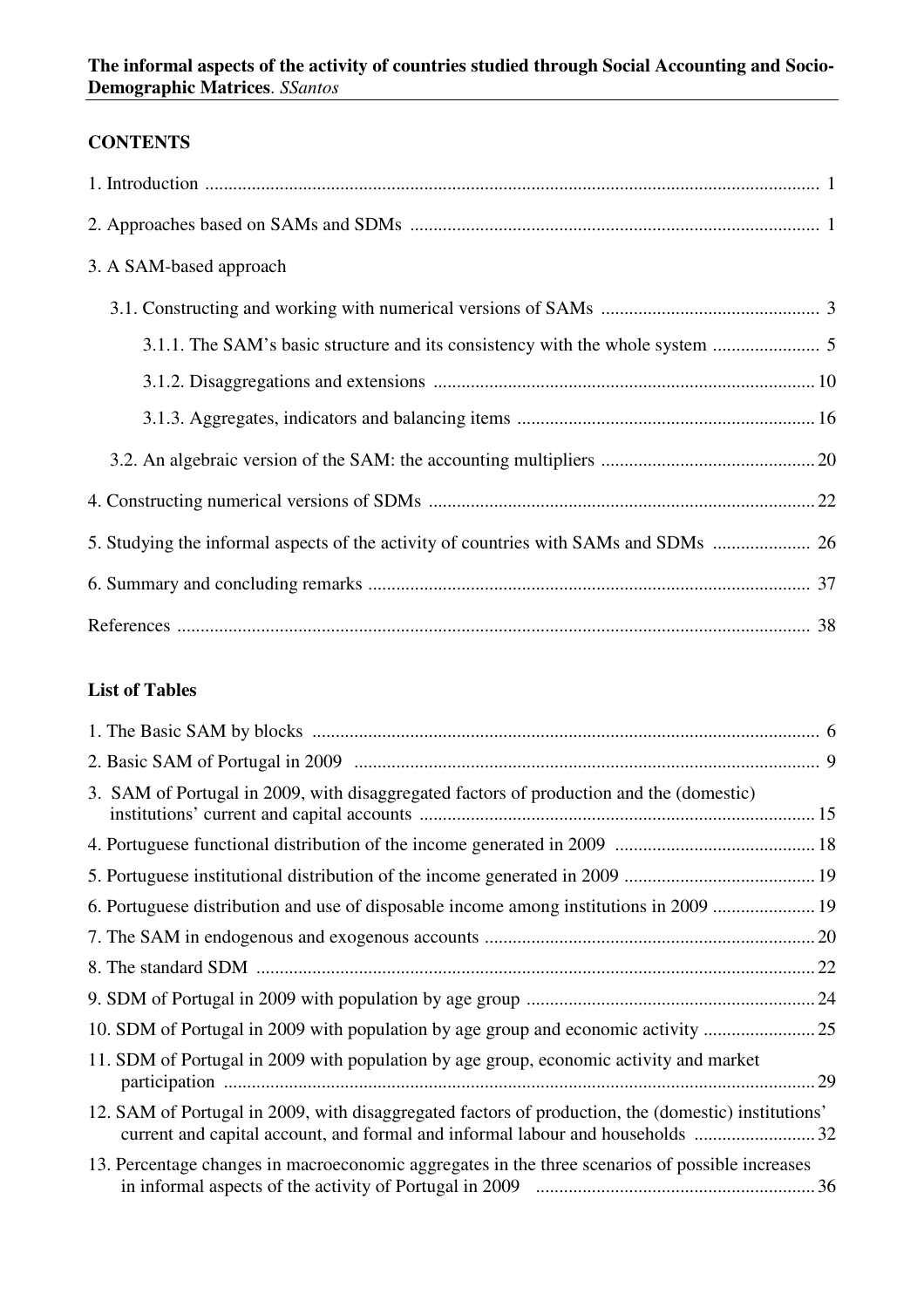## **CONTENTS**

| 3. A SAM-based approach                                                    |
|----------------------------------------------------------------------------|
|                                                                            |
| 3.1.1. The SAM's basic structure and its consistency with the whole system |
|                                                                            |
|                                                                            |
|                                                                            |
|                                                                            |
|                                                                            |
|                                                                            |
|                                                                            |

## **List of Tables**

| 3. SAM of Portugal in 2009, with disaggregated factors of production and the (domestic)                                                                                              |  |
|--------------------------------------------------------------------------------------------------------------------------------------------------------------------------------------|--|
|                                                                                                                                                                                      |  |
|                                                                                                                                                                                      |  |
| 6. Portuguese distribution and use of disposable income among institutions in 2009  19                                                                                               |  |
|                                                                                                                                                                                      |  |
|                                                                                                                                                                                      |  |
|                                                                                                                                                                                      |  |
| 10. SDM of Portugal in 2009 with population by age group and economic activity                                                                                                       |  |
| 11. SDM of Portugal in 2009 with population by age group, economic activity and market                                                                                               |  |
| 12. SAM of Portugal in 2009, with disaggregated factors of production, the (domestic) institutions'<br>current and capital account, and formal and informal labour and households 32 |  |
| 13. Percentage changes in macroeconomic aggregates in the three scenarios of possible increases                                                                                      |  |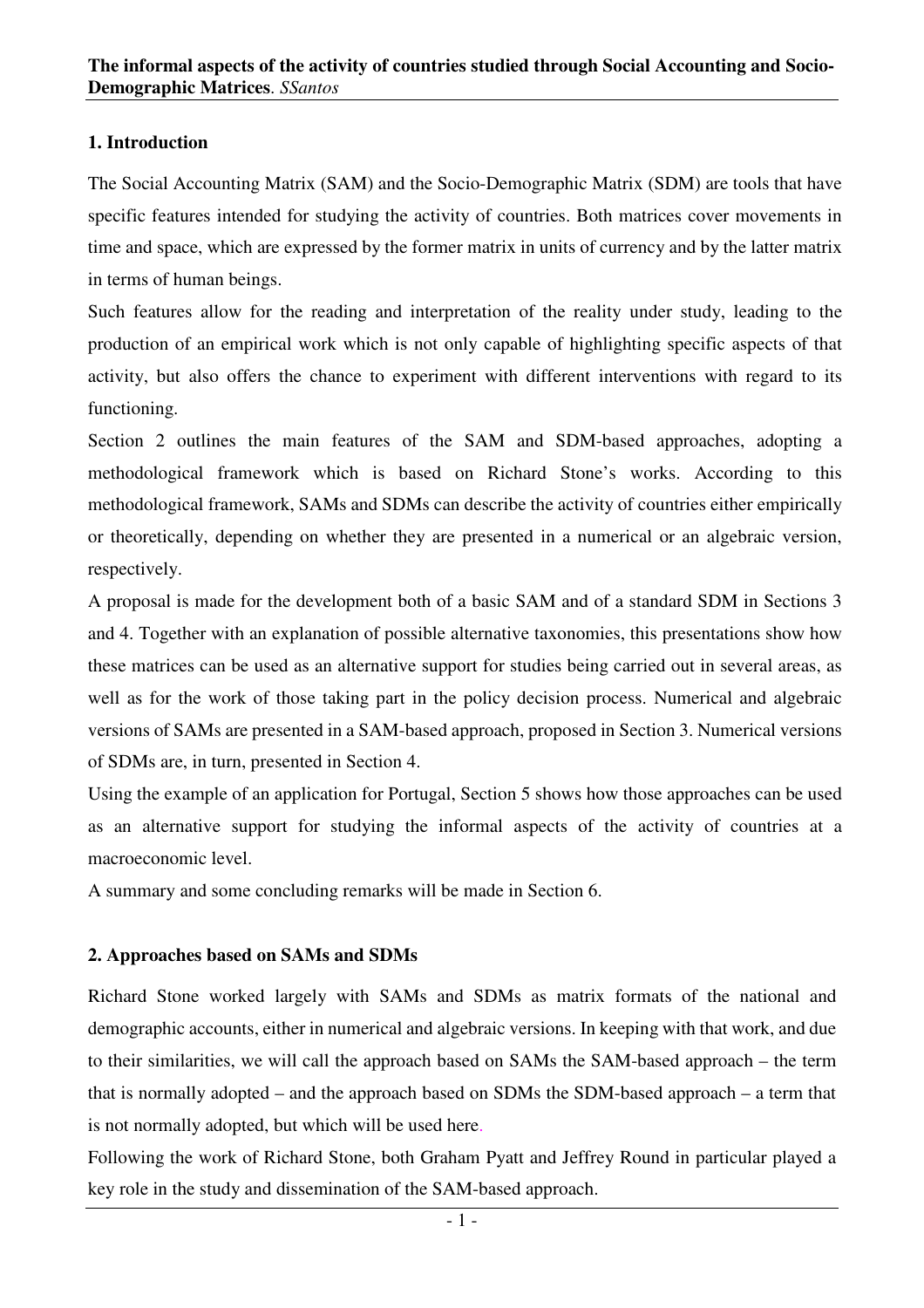## **1. Introduction**

The Social Accounting Matrix (SAM) and the Socio-Demographic Matrix (SDM) are tools that have specific features intended for studying the activity of countries. Both matrices cover movements in time and space, which are expressed by the former matrix in units of currency and by the latter matrix in terms of human beings.

Such features allow for the reading and interpretation of the reality under study, leading to the production of an empirical work which is not only capable of highlighting specific aspects of that activity, but also offers the chance to experiment with different interventions with regard to its functioning.

Section 2 outlines the main features of the SAM and SDM-based approaches, adopting a methodological framework which is based on Richard Stone's works. According to this methodological framework, SAMs and SDMs can describe the activity of countries either empirically or theoretically, depending on whether they are presented in a numerical or an algebraic version, respectively.

A proposal is made for the development both of a basic SAM and of a standard SDM in Sections 3 and 4. Together with an explanation of possible alternative taxonomies, this presentations show how these matrices can be used as an alternative support for studies being carried out in several areas, as well as for the work of those taking part in the policy decision process. Numerical and algebraic versions of SAMs are presented in a SAM-based approach, proposed in Section 3. Numerical versions of SDMs are, in turn, presented in Section 4.

Using the example of an application for Portugal, Section 5 shows how those approaches can be used as an alternative support for studying the informal aspects of the activity of countries at a macroeconomic level.

A summary and some concluding remarks will be made in Section 6.

## **2. Approaches based on SAMs and SDMs**

Richard Stone worked largely with SAMs and SDMs as matrix formats of the national and demographic accounts, either in numerical and algebraic versions. In keeping with that work, and due to their similarities, we will call the approach based on SAMs the SAM-based approach – the term that is normally adopted – and the approach based on SDMs the SDM-based approach – a term that is not normally adopted, but which will be used here.

Following the work of Richard Stone, both Graham Pyatt and Jeffrey Round in particular played a key role in the study and dissemination of the SAM-based approach.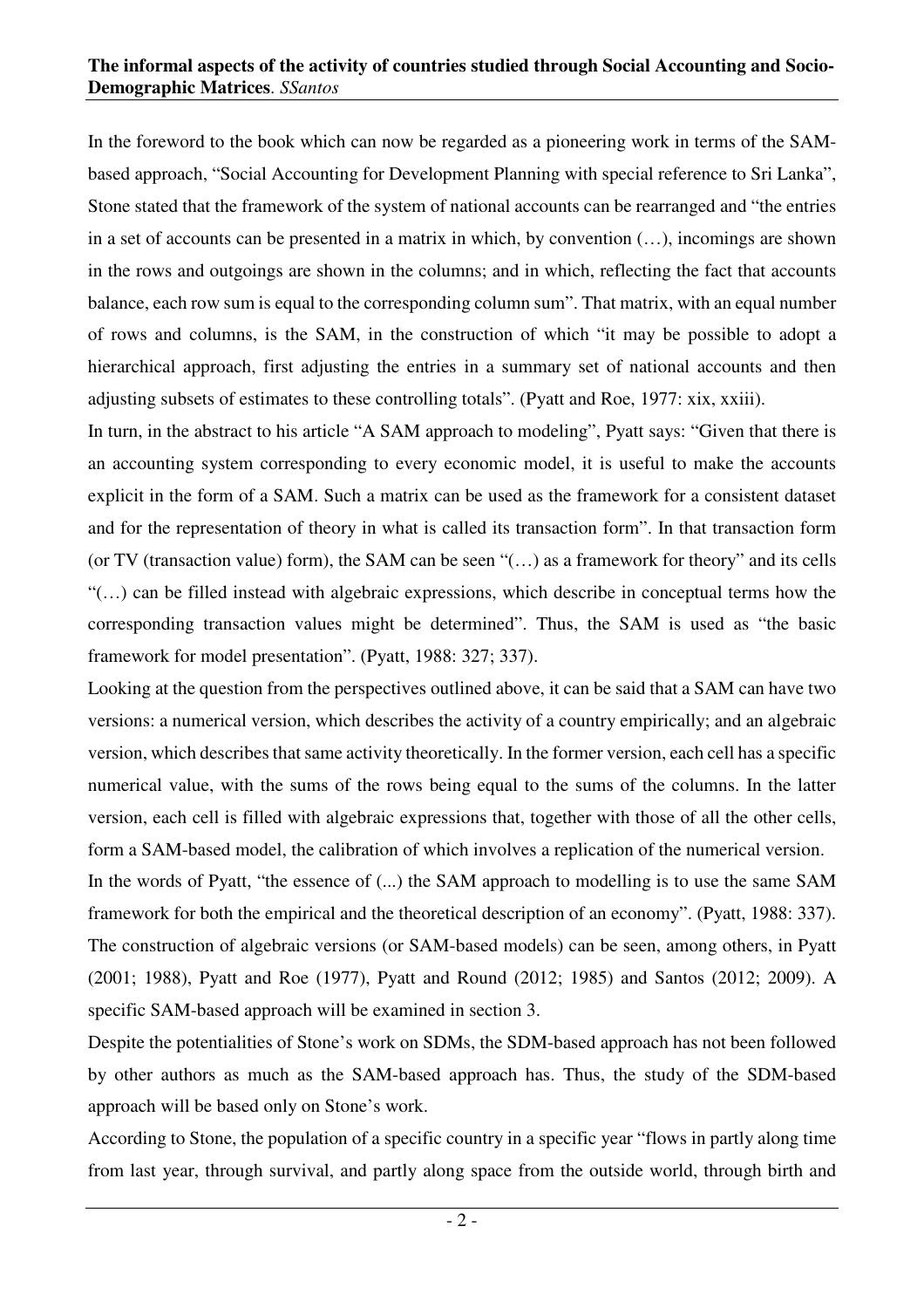In the foreword to the book which can now be regarded as a pioneering work in terms of the SAMbased approach, "Social Accounting for Development Planning with special reference to Sri Lanka", Stone stated that the framework of the system of national accounts can be rearranged and "the entries in a set of accounts can be presented in a matrix in which, by convention (…), incomings are shown in the rows and outgoings are shown in the columns; and in which, reflecting the fact that accounts balance, each row sum is equal to the corresponding column sum". That matrix, with an equal number of rows and columns, is the SAM, in the construction of which "it may be possible to adopt a hierarchical approach, first adjusting the entries in a summary set of national accounts and then adjusting subsets of estimates to these controlling totals". (Pyatt and Roe, 1977: xix, xxiii).

In turn, in the abstract to his article "A SAM approach to modeling", Pyatt says: "Given that there is an accounting system corresponding to every economic model, it is useful to make the accounts explicit in the form of a SAM. Such a matrix can be used as the framework for a consistent dataset and for the representation of theory in what is called its transaction form". In that transaction form (or TV (transaction value) form), the SAM can be seen "(…) as a framework for theory" and its cells "(…) can be filled instead with algebraic expressions, which describe in conceptual terms how the corresponding transaction values might be determined". Thus, the SAM is used as "the basic framework for model presentation". (Pyatt, 1988: 327; 337).

Looking at the question from the perspectives outlined above, it can be said that a SAM can have two versions: a numerical version, which describes the activity of a country empirically; and an algebraic version, which describes that same activity theoretically. In the former version, each cell has a specific numerical value, with the sums of the rows being equal to the sums of the columns. In the latter version, each cell is filled with algebraic expressions that, together with those of all the other cells, form a SAM-based model, the calibration of which involves a replication of the numerical version.

In the words of Pyatt, "the essence of  $(...)$  the SAM approach to modelling is to use the same SAM framework for both the empirical and the theoretical description of an economy". (Pyatt, 1988: 337). The construction of algebraic versions (or SAM-based models) can be seen, among others, in Pyatt (2001; 1988), Pyatt and Roe (1977), Pyatt and Round (2012; 1985) and Santos (2012; 2009). A specific SAM-based approach will be examined in section 3.

Despite the potentialities of Stone's work on SDMs, the SDM-based approach has not been followed by other authors as much as the SAM-based approach has. Thus, the study of the SDM-based approach will be based only on Stone's work.

According to Stone, the population of a specific country in a specific year "flows in partly along time from last year, through survival, and partly along space from the outside world, through birth and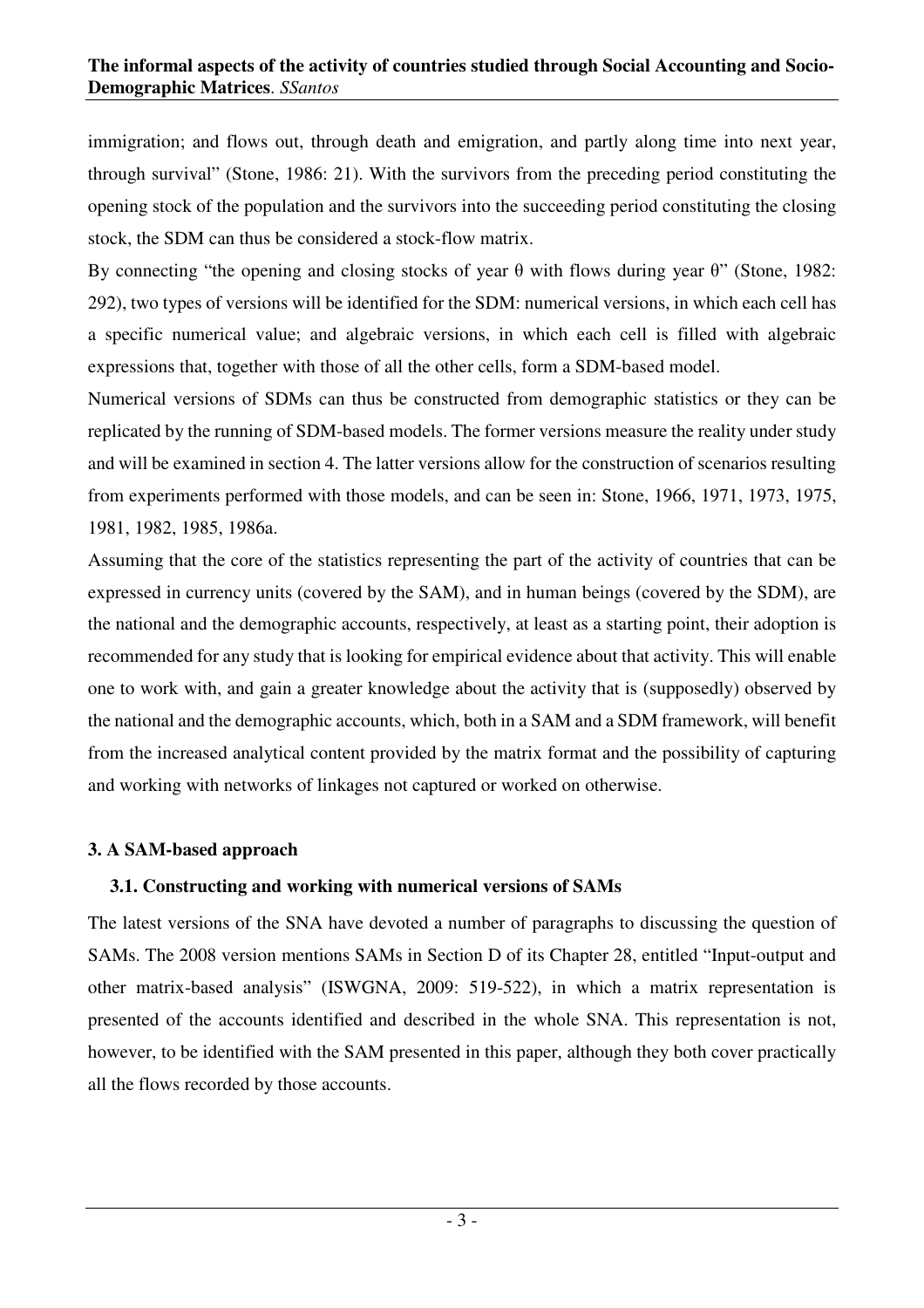immigration; and flows out, through death and emigration, and partly along time into next year, through survival" (Stone, 1986: 21). With the survivors from the preceding period constituting the opening stock of the population and the survivors into the succeeding period constituting the closing stock, the SDM can thus be considered a stock-flow matrix.

By connecting "the opening and closing stocks of year θ with flows during year θ" (Stone, 1982: 292), two types of versions will be identified for the SDM: numerical versions, in which each cell has a specific numerical value; and algebraic versions, in which each cell is filled with algebraic expressions that, together with those of all the other cells, form a SDM-based model.

Numerical versions of SDMs can thus be constructed from demographic statistics or they can be replicated by the running of SDM-based models. The former versions measure the reality under study and will be examined in section 4. The latter versions allow for the construction of scenarios resulting from experiments performed with those models, and can be seen in: Stone, 1966, 1971, 1973, 1975, 1981, 1982, 1985, 1986a.

Assuming that the core of the statistics representing the part of the activity of countries that can be expressed in currency units (covered by the SAM), and in human beings (covered by the SDM), are the national and the demographic accounts, respectively, at least as a starting point, their adoption is recommended for any study that is looking for empirical evidence about that activity. This will enable one to work with, and gain a greater knowledge about the activity that is (supposedly) observed by the national and the demographic accounts, which, both in a SAM and a SDM framework, will benefit from the increased analytical content provided by the matrix format and the possibility of capturing and working with networks of linkages not captured or worked on otherwise.

## **3. A SAM-based approach**

## **3.1. Constructing and working with numerical versions of SAMs**

The latest versions of the SNA have devoted a number of paragraphs to discussing the question of SAMs. The 2008 version mentions SAMs in Section D of its Chapter 28, entitled "Input-output and other matrix-based analysis" (ISWGNA, 2009: 519-522), in which a matrix representation is presented of the accounts identified and described in the whole SNA. This representation is not, however, to be identified with the SAM presented in this paper, although they both cover practically all the flows recorded by those accounts.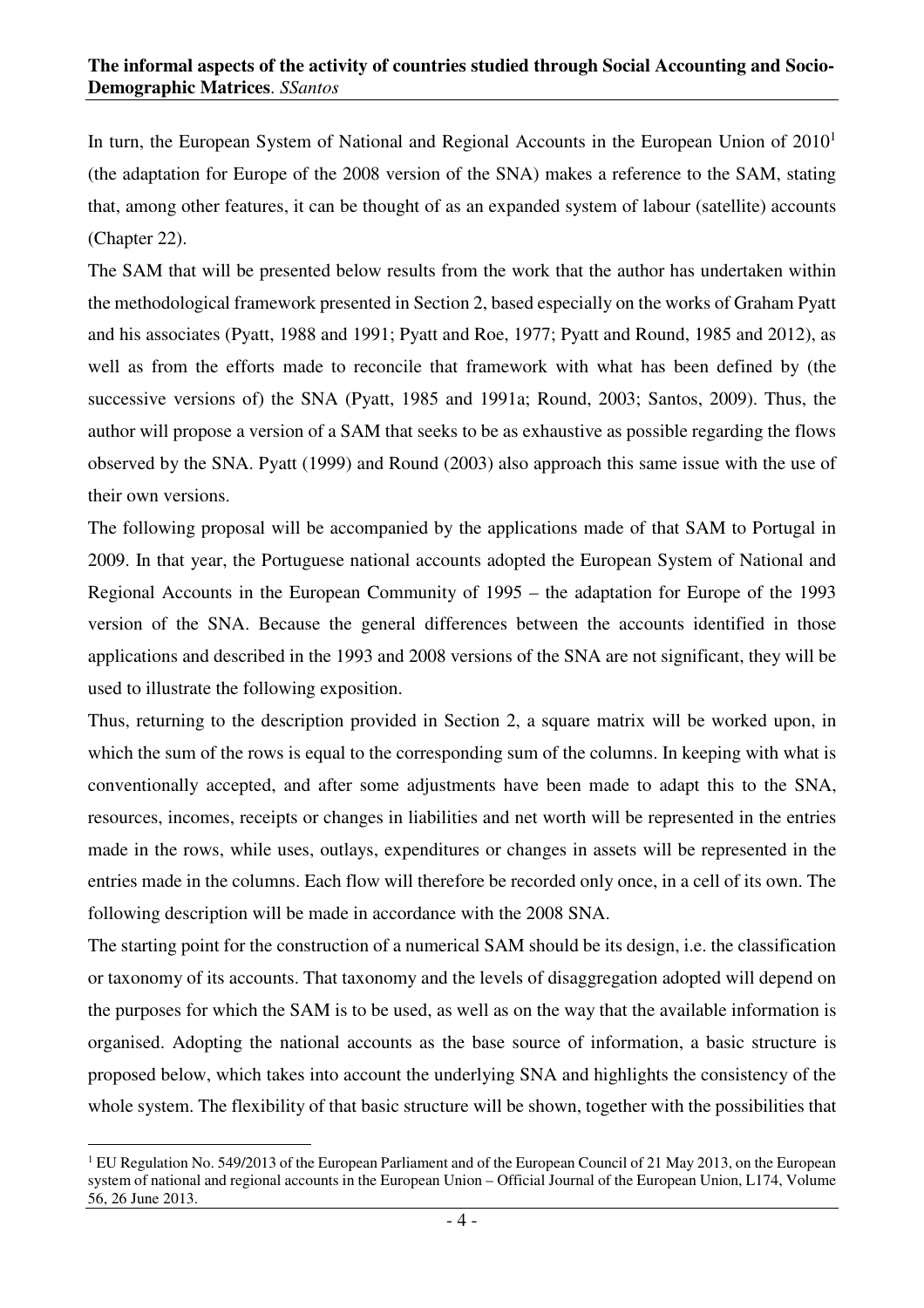In turn, the European System of National and Regional Accounts in the European Union of 2010<sup>1</sup> (the adaptation for Europe of the 2008 version of the SNA) makes a reference to the SAM, stating that, among other features, it can be thought of as an expanded system of labour (satellite) accounts (Chapter 22).

The SAM that will be presented below results from the work that the author has undertaken within the methodological framework presented in Section 2, based especially on the works of Graham Pyatt and his associates (Pyatt, 1988 and 1991; Pyatt and Roe, 1977; Pyatt and Round, 1985 and 2012), as well as from the efforts made to reconcile that framework with what has been defined by (the successive versions of) the SNA (Pyatt, 1985 and 1991a; Round, 2003; Santos, 2009). Thus, the author will propose a version of a SAM that seeks to be as exhaustive as possible regarding the flows observed by the SNA. Pyatt (1999) and Round (2003) also approach this same issue with the use of their own versions.

The following proposal will be accompanied by the applications made of that SAM to Portugal in 2009. In that year, the Portuguese national accounts adopted the European System of National and Regional Accounts in the European Community of 1995 – the adaptation for Europe of the 1993 version of the SNA. Because the general differences between the accounts identified in those applications and described in the 1993 and 2008 versions of the SNA are not significant, they will be used to illustrate the following exposition.

Thus, returning to the description provided in Section 2, a square matrix will be worked upon, in which the sum of the rows is equal to the corresponding sum of the columns. In keeping with what is conventionally accepted, and after some adjustments have been made to adapt this to the SNA, resources, incomes, receipts or changes in liabilities and net worth will be represented in the entries made in the rows, while uses, outlays, expenditures or changes in assets will be represented in the entries made in the columns. Each flow will therefore be recorded only once, in a cell of its own. The following description will be made in accordance with the 2008 SNA.

The starting point for the construction of a numerical SAM should be its design, i.e. the classification or taxonomy of its accounts. That taxonomy and the levels of disaggregation adopted will depend on the purposes for which the SAM is to be used, as well as on the way that the available information is organised. Adopting the national accounts as the base source of information, a basic structure is proposed below, which takes into account the underlying SNA and highlights the consistency of the whole system. The flexibility of that basic structure will be shown, together with the possibilities that

 $\overline{a}$ <sup>1</sup> EU Regulation No. 549/2013 of the European Parliament and of the European Council of 21 May 2013, on the European system of national and regional accounts in the European Union – Official Journal of the European Union, L174, Volume 56, 26 June 2013.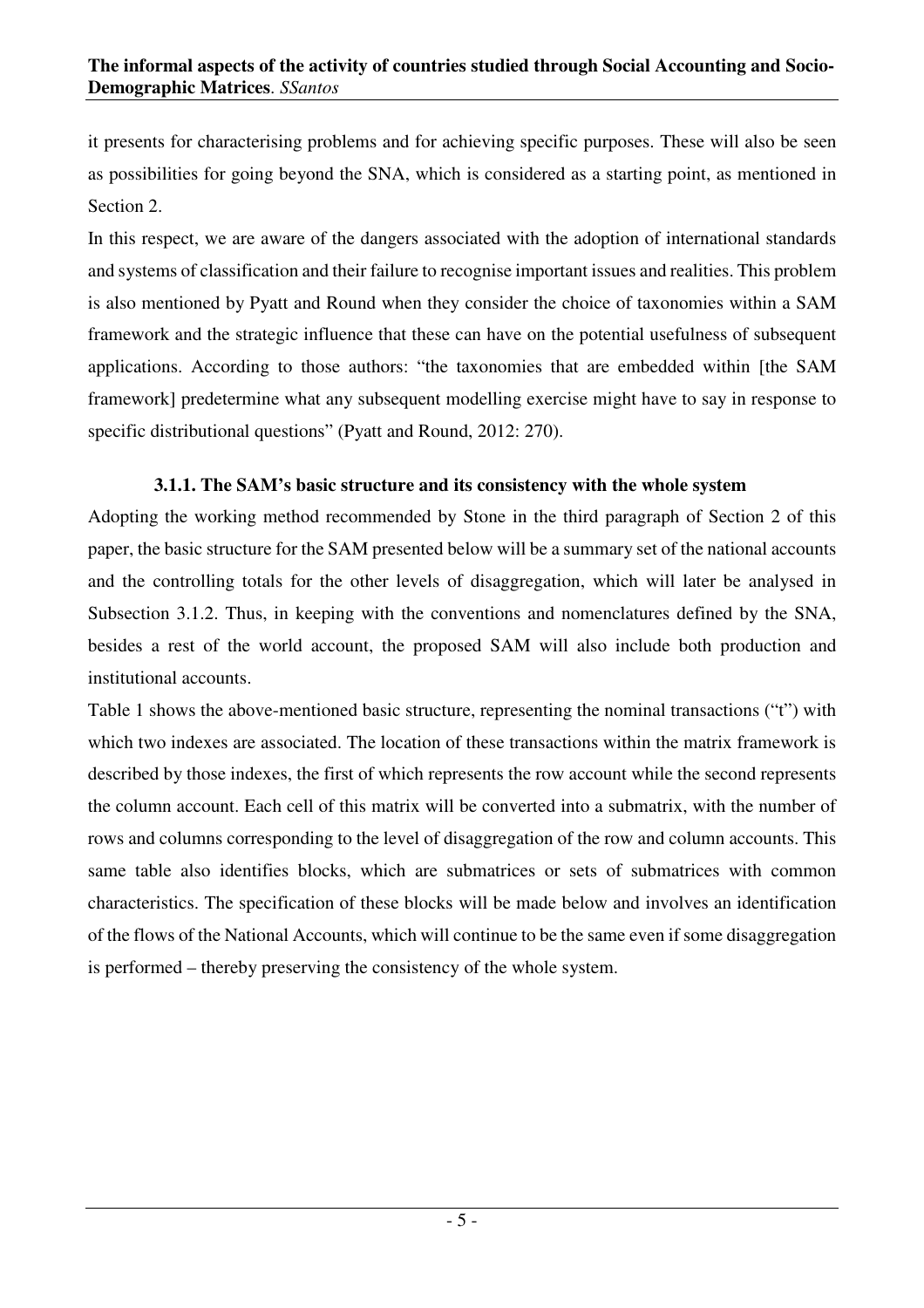it presents for characterising problems and for achieving specific purposes. These will also be seen as possibilities for going beyond the SNA, which is considered as a starting point, as mentioned in Section 2.

In this respect, we are aware of the dangers associated with the adoption of international standards and systems of classification and their failure to recognise important issues and realities. This problem is also mentioned by Pyatt and Round when they consider the choice of taxonomies within a SAM framework and the strategic influence that these can have on the potential usefulness of subsequent applications. According to those authors: "the taxonomies that are embedded within [the SAM framework] predetermine what any subsequent modelling exercise might have to say in response to specific distributional questions" (Pyatt and Round, 2012: 270).

## **3.1.1. The SAM's basic structure and its consistency with the whole system**

Adopting the working method recommended by Stone in the third paragraph of Section 2 of this paper, the basic structure for the SAM presented below will be a summary set of the national accounts and the controlling totals for the other levels of disaggregation, which will later be analysed in Subsection 3.1.2. Thus, in keeping with the conventions and nomenclatures defined by the SNA, besides a rest of the world account, the proposed SAM will also include both production and institutional accounts.

Table 1 shows the above-mentioned basic structure, representing the nominal transactions ("t") with which two indexes are associated. The location of these transactions within the matrix framework is described by those indexes, the first of which represents the row account while the second represents the column account. Each cell of this matrix will be converted into a submatrix, with the number of rows and columns corresponding to the level of disaggregation of the row and column accounts. This same table also identifies blocks, which are submatrices or sets of submatrices with common characteristics. The specification of these blocks will be made below and involves an identification of the flows of the National Accounts, which will continue to be the same even if some disaggregation is performed – thereby preserving the consistency of the whole system.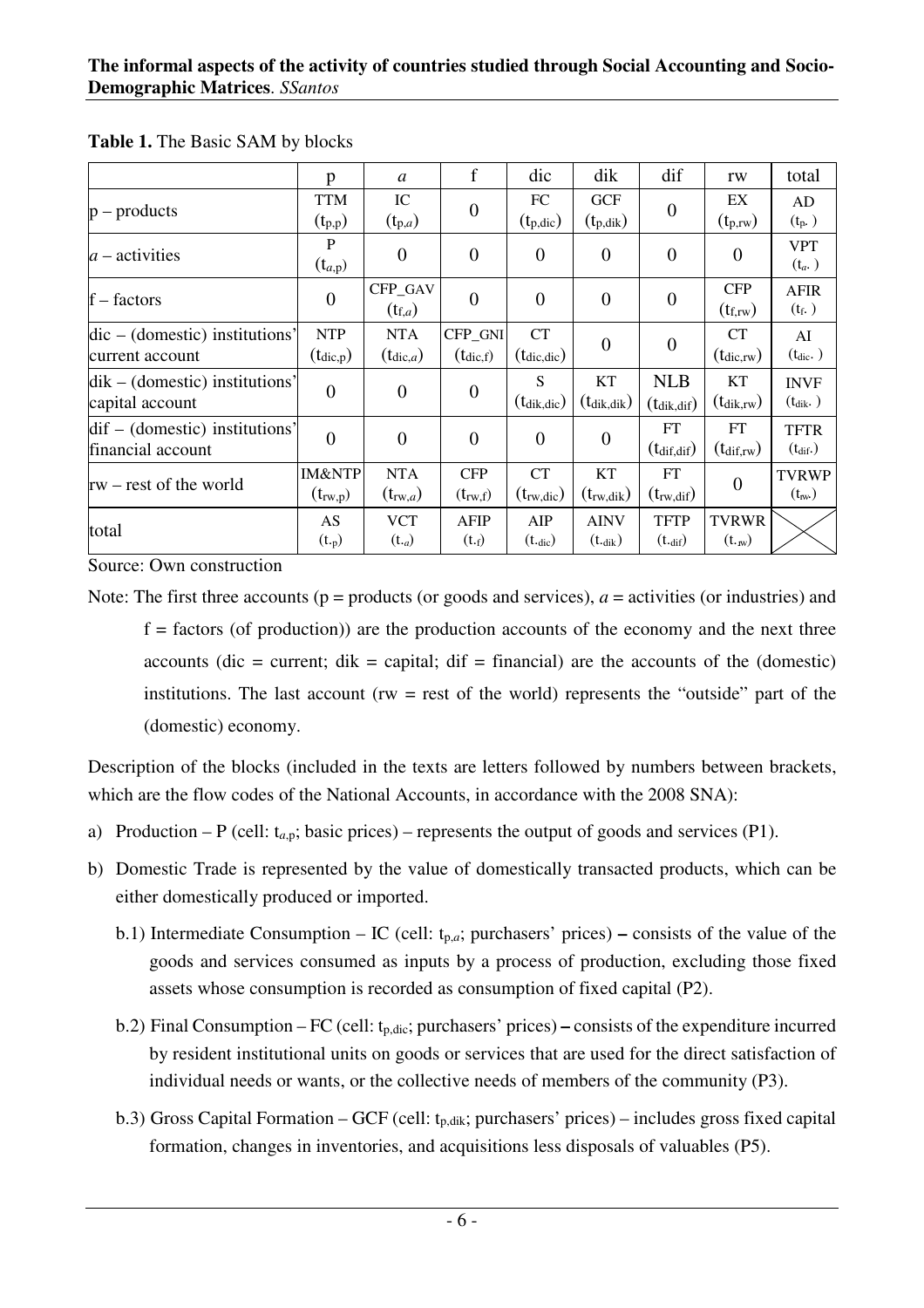|                                                            | p                                  | $\mathfrak{a}$                     | f                               | dic                                        | dik                               | dif                                         | rw                                        | total                             |
|------------------------------------------------------------|------------------------------------|------------------------------------|---------------------------------|--------------------------------------------|-----------------------------------|---------------------------------------------|-------------------------------------------|-----------------------------------|
| $p$ – products                                             | <b>TTM</b><br>$(t_{p,p})$          | IC<br>$(t_{p,a})$                  | $\overline{0}$                  | FC<br>$(t_{p,dic})$                        | <b>GCF</b><br>$(t_{p,dik})$       | $\boldsymbol{0}$                            | EX<br>$(t_{p,rw})$                        | AD<br>$(t_{p.})$                  |
| $a$ – activities                                           | $\mathbf P$<br>$(t_{a,p})$         | $\theta$                           | $\overline{0}$                  | $\overline{0}$                             | $\theta$                          | $\overline{0}$                              | $\theta$                                  | <b>VPT</b><br>$(t_a)$             |
| $f - factors$                                              | $\overline{0}$                     | CFP_GAV<br>$(t_{f,a})$             | $\overline{0}$                  | $\theta$                                   | $\overline{0}$                    | $\overline{0}$                              | <b>CFP</b><br>$(t_{f,rw})$                | <b>AFIR</b><br>$(t_f.)$           |
| $dic - (domestic)$ institutions'<br>current account        | <b>NTP</b><br>$(t_{\text{dic},p})$ | <b>NTA</b><br>$(t_{\text{dic},a})$ | CFP_GNI<br>$(t_{\text{dic},f})$ | <b>CT</b><br>$(t_{\text{dic},\text{dic}})$ | $\theta$                          | $\boldsymbol{0}$                            | <b>CT</b><br>$(t_{\rm dic,rw})$           | AI<br>$(t_{\text{dic.}})$         |
| $\text{dik}$ – (domestic) institutions'<br>capital account | $\overline{0}$                     | $\overline{0}$                     | $\overline{0}$                  | S<br>$(t_{\text{dik,dic}})$                | <b>KT</b><br>$(t_{\rm dik,dik})$  | <b>NLB</b><br>$(t_{\text{dik},\text{dif}})$ | <b>KT</b><br>$(t_{\text{dik},\text{rw}})$ | <b>INVF</b><br>$(t_{\text{dik}})$ |
| $dif - (domestic)$ institutions'<br>financial account      | $\overline{0}$                     | $\theta$                           | $\overline{0}$                  | $\theta$                                   | $\theta$                          | FT<br>$(t_{diff, dif})$                     | FT<br>$(t_{\text{dif,rw}})$               | <b>TFTR</b><br>$(t_{\text{dif}})$ |
| $rw - rest$ of the world                                   | <b>IM&amp;NTP</b><br>$(t_{rw,p})$  | <b>NTA</b><br>$(t_{\text{rw},a})$  | <b>CFP</b><br>$(t_{rw,f})$      | <b>CT</b><br>$(t_{rw,dic})$                | KT<br>$(t_{rw, dik})$             | FT<br>$(t_{rw, dif})$                       | $\Omega$                                  | <b>TVRWP</b><br>$(t_{\rm nv})$    |
| total                                                      | AS<br>$(t_{\cdot p})$              | <b>VCT</b><br>$(t_{a})$            | <b>AFIP</b><br>(t.f)            | AIP<br>$(t_{\text{dic}})$                  | <b>AINV</b><br>$(t_{\text{dik}})$ | <b>TFTP</b><br>$(t_{\text{diff}})$          | <b>TVRWR</b><br>$(t_{\cdot,w})$           |                                   |

**Table 1.** The Basic SAM by blocks

Source: Own construction

Note: The first three accounts ( $p =$  products (or goods and services),  $a =$  activities (or industries) and  $f =$  factors (of production)) are the production accounts of the economy and the next three accounts (dic = current; dik = capital; dif = financial) are the accounts of the (domestic) institutions. The last account ( $rw = rest$  of the world) represents the "outside" part of the (domestic) economy.

Description of the blocks (included in the texts are letters followed by numbers between brackets, which are the flow codes of the National Accounts, in accordance with the 2008 SNA):

- a) Production P (cell:  $t_{a,p}$ ; basic prices) represents the output of goods and services (P1).
- b) Domestic Trade is represented by the value of domestically transacted products, which can be either domestically produced or imported.
	- b.1) Intermediate Consumption IC (cell: tp,*a*; purchasers' prices)consists of the value of the goods and services consumed as inputs by a process of production, excluding those fixed assets whose consumption is recorded as consumption of fixed capital (P2).
	- b.2) Final Consumption FC (cell: tp,dic; purchasers' prices)consists of the expenditure incurred by resident institutional units on goods or services that are used for the direct satisfaction of individual needs or wants, or the collective needs of members of the community (P3).
	- b.3) Gross Capital Formation GCF (cell:  $t_{p,dik}$ ; purchasers' prices) includes gross fixed capital formation, changes in inventories, and acquisitions less disposals of valuables (P5).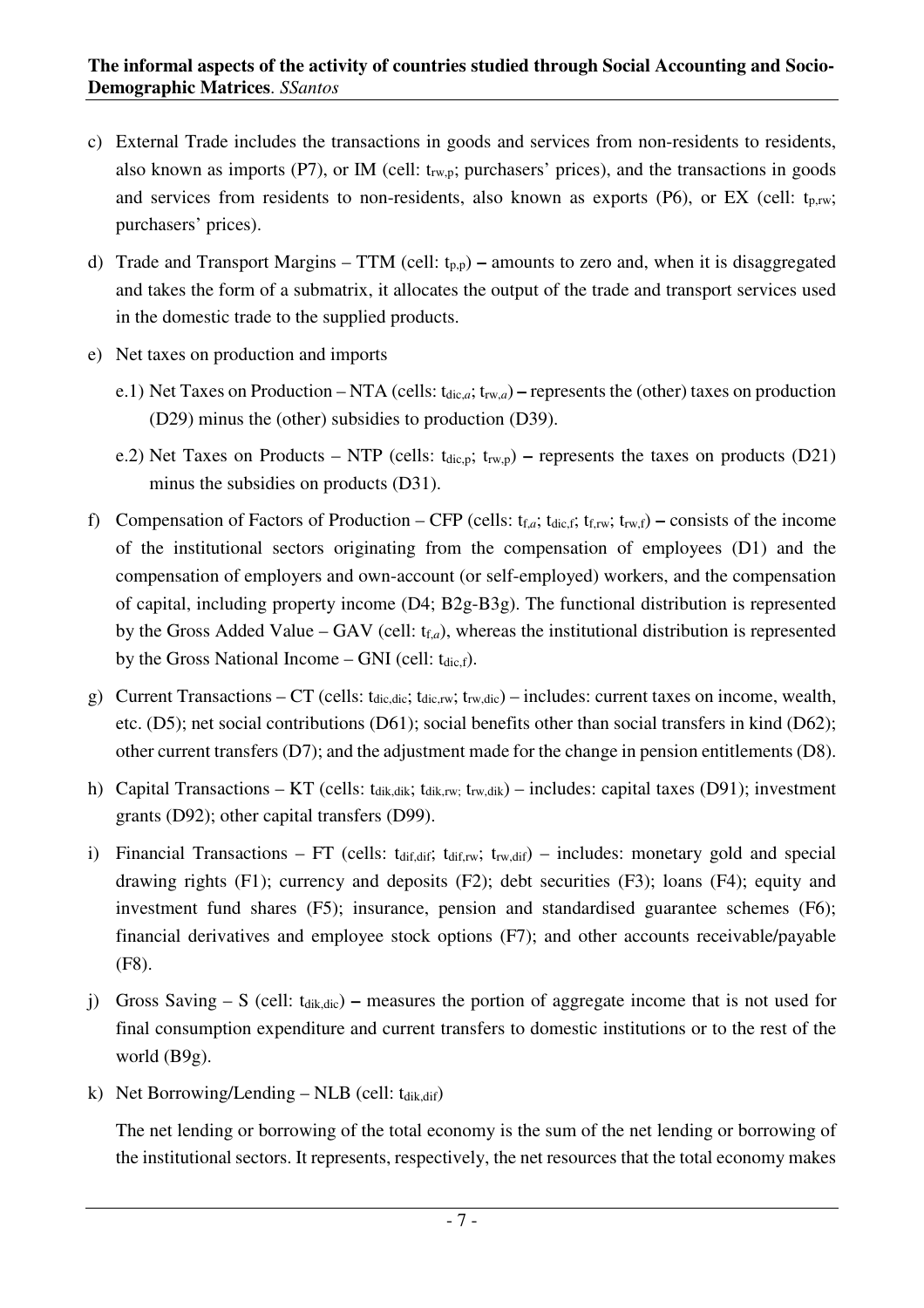- c) External Trade includes the transactions in goods and services from non-residents to residents, also known as imports (P7), or IM (cell:  $t_{rw,p}$ ; purchasers' prices), and the transactions in goods and services from residents to non-residents, also known as exports (P6), or EX (cell:  $t_{p,rw}$ ; purchasers' prices).
- d) Trade and Transport Margins TTM (cell:  $t_{p,p}$ ) amounts to zero and, when it is disaggregated and takes the form of a submatrix, it allocates the output of the trade and transport services used in the domestic trade to the supplied products.
- e) Net taxes on production and imports
	- e.1) Net Taxes on Production NTA (cells:  $t_{\text{dic},a}$ ;  $t_{\text{rw},a}$ ) represents the (other) taxes on production (D29) minus the (other) subsidies to production (D39).
	- e.2) Net Taxes on Products NTP (cells:  $t_{\text{dic},p}$ ;  $t_{\text{rw},p}$ ) represents the taxes on products (D21) minus the subsidies on products (D31).
- f) Compensation of Factors of Production CFP (cells:  $t_{f,a}$ ;  $t_{\text{dic}}$ ;  $t_{f,rw}$ ;  $t_{rwt}$ ) consists of the income of the institutional sectors originating from the compensation of employees (D1) and the compensation of employers and own-account (or self-employed) workers, and the compensation of capital, including property income (D4; B2g-B3g). The functional distribution is represented by the Gross Added Value – GAV (cell:  $t_{f,a}$ ), whereas the institutional distribution is represented by the Gross National Income – GNI (cell:  $t_{\text{dic.f}}$ ).
- g) Current Transactions CT (cells:  $t_{\text{dic,dic}}$ ;  $t_{\text{dic,rv}}$ ;  $t_{\text{rw,dic}}$ ) includes: current taxes on income, wealth, etc. (D5); net social contributions (D61); social benefits other than social transfers in kind (D62); other current transfers (D7); and the adjustment made for the change in pension entitlements (D8).
- h) Capital Transactions KT (cells:  $t_{dik,dik}$ ;  $t_{dik,rw}$ ;  $t_{rw,dik}$ ) includes: capital taxes (D91); investment grants (D92); other capital transfers (D99).
- i) Financial Transactions FT (cells:  $t_{diff, diff}$ ;  $t_{diff, w}$ ;  $t_{rw, diff}$ ) includes: monetary gold and special drawing rights (F1); currency and deposits (F2); debt securities (F3); loans (F4); equity and investment fund shares (F5); insurance, pension and standardised guarantee schemes (F6); financial derivatives and employee stock options (F7); and other accounts receivable/payable (F8).
- j) Gross Saving S (cell: tdik,dic)measures the portion of aggregate income that is not used for final consumption expenditure and current transfers to domestic institutions or to the rest of the world (B9g).
- k) Net Borrowing/Lending NLB (cell:  $t_{\text{dik},\text{dif}}$ )

The net lending or borrowing of the total economy is the sum of the net lending or borrowing of the institutional sectors. It represents, respectively, the net resources that the total economy makes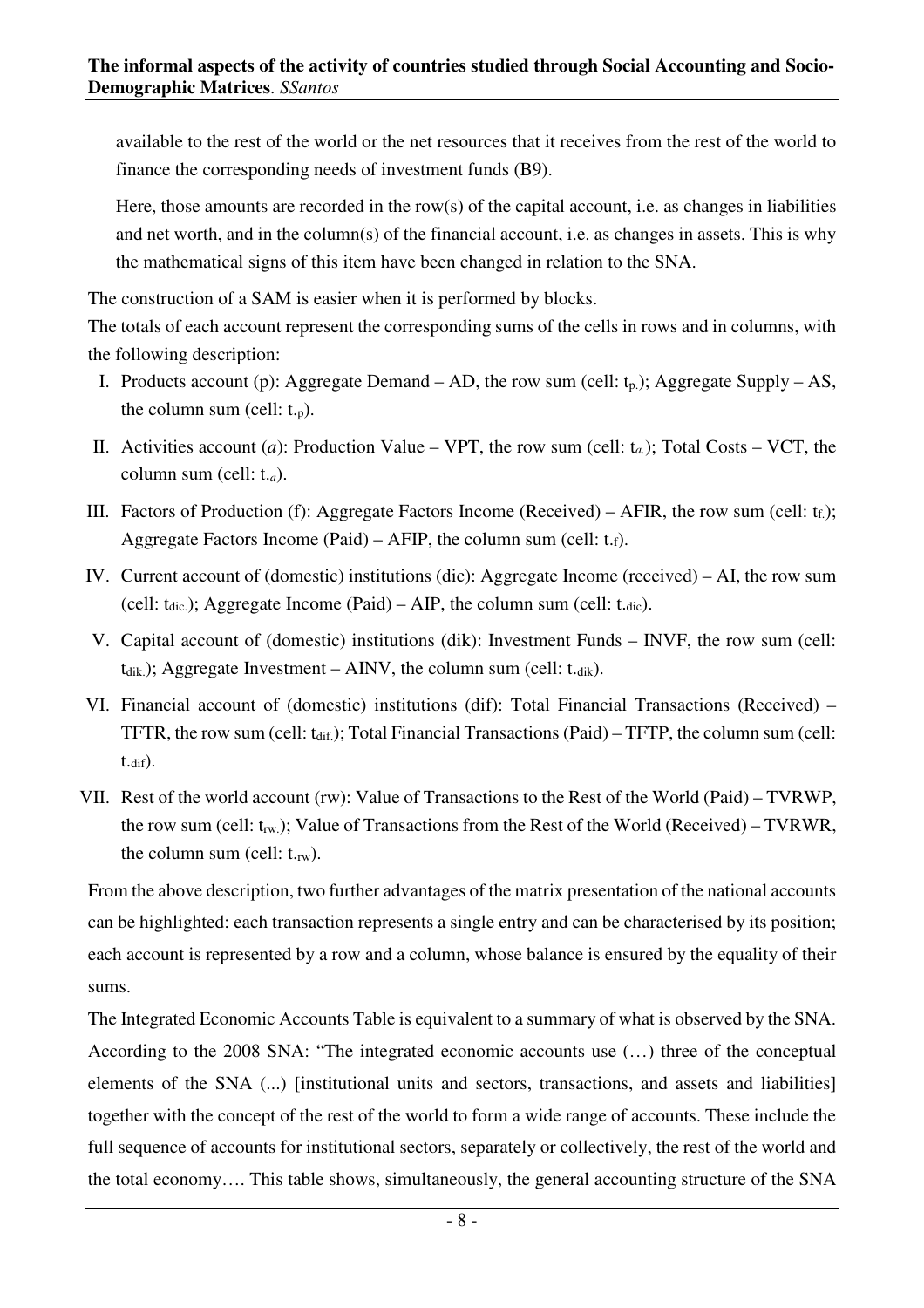available to the rest of the world or the net resources that it receives from the rest of the world to finance the corresponding needs of investment funds (B9).

Here, those amounts are recorded in the row(s) of the capital account, i.e. as changes in liabilities and net worth, and in the column(s) of the financial account, i.e. as changes in assets. This is why the mathematical signs of this item have been changed in relation to the SNA.

The construction of a SAM is easier when it is performed by blocks.

The totals of each account represent the corresponding sums of the cells in rows and in columns, with the following description:

- I. Products account (p): Aggregate Demand AD, the row sum (cell:  $t_p$ ); Aggregate Supply AS, the column sum (cell:  $t_{\text{p}}$ ).
- II. Activities account (*a*): Production Value VPT, the row sum (cell:  $t_a$ ); Total Costs VCT, the column sum (cell: t.*a*).
- III. Factors of Production (f): Aggregate Factors Income (Received) AFIR, the row sum (cell:  $t_f$ ); Aggregate Factors Income (Paid) – AFIP, the column sum (cell:  $t.f$ ).
- IV. Current account of (domestic) institutions (dic): Aggregate Income (received) AI, the row sum (cell:  $t_{\text{dic}}$ ); Aggregate Income (Paid) – AIP, the column sum (cell:  $t_{\text{dic}}$ ).
- V. Capital account of (domestic) institutions (dik): Investment Funds INVF, the row sum (cell:  $t_{\text{dik}}$ ); Aggregate Investment – AINV, the column sum (cell:  $t_{\text{dik}}$ ).
- VI. Financial account of (domestic) institutions (dif): Total Financial Transactions (Received) TFTR, the row sum (cell:  $t_{\text{dif.}}$ ); Total Financial Transactions (Paid) – TFTP, the column sum (cell:  $t_{\text{diff}}$ ).
- VII. Rest of the world account (rw): Value of Transactions to the Rest of the World (Paid) TVRWP, the row sum (cell:  $t_{rw}$ ); Value of Transactions from the Rest of the World (Received) – TVRWR, the column sum (cell:  $t_{\text{rw}}$ ).

From the above description, two further advantages of the matrix presentation of the national accounts can be highlighted: each transaction represents a single entry and can be characterised by its position; each account is represented by a row and a column, whose balance is ensured by the equality of their sums.

The Integrated Economic Accounts Table is equivalent to a summary of what is observed by the SNA. According to the 2008 SNA: "The integrated economic accounts use (…) three of the conceptual elements of the SNA (...) [institutional units and sectors, transactions, and assets and liabilities] together with the concept of the rest of the world to form a wide range of accounts. These include the full sequence of accounts for institutional sectors, separately or collectively, the rest of the world and the total economy…. This table shows, simultaneously, the general accounting structure of the SNA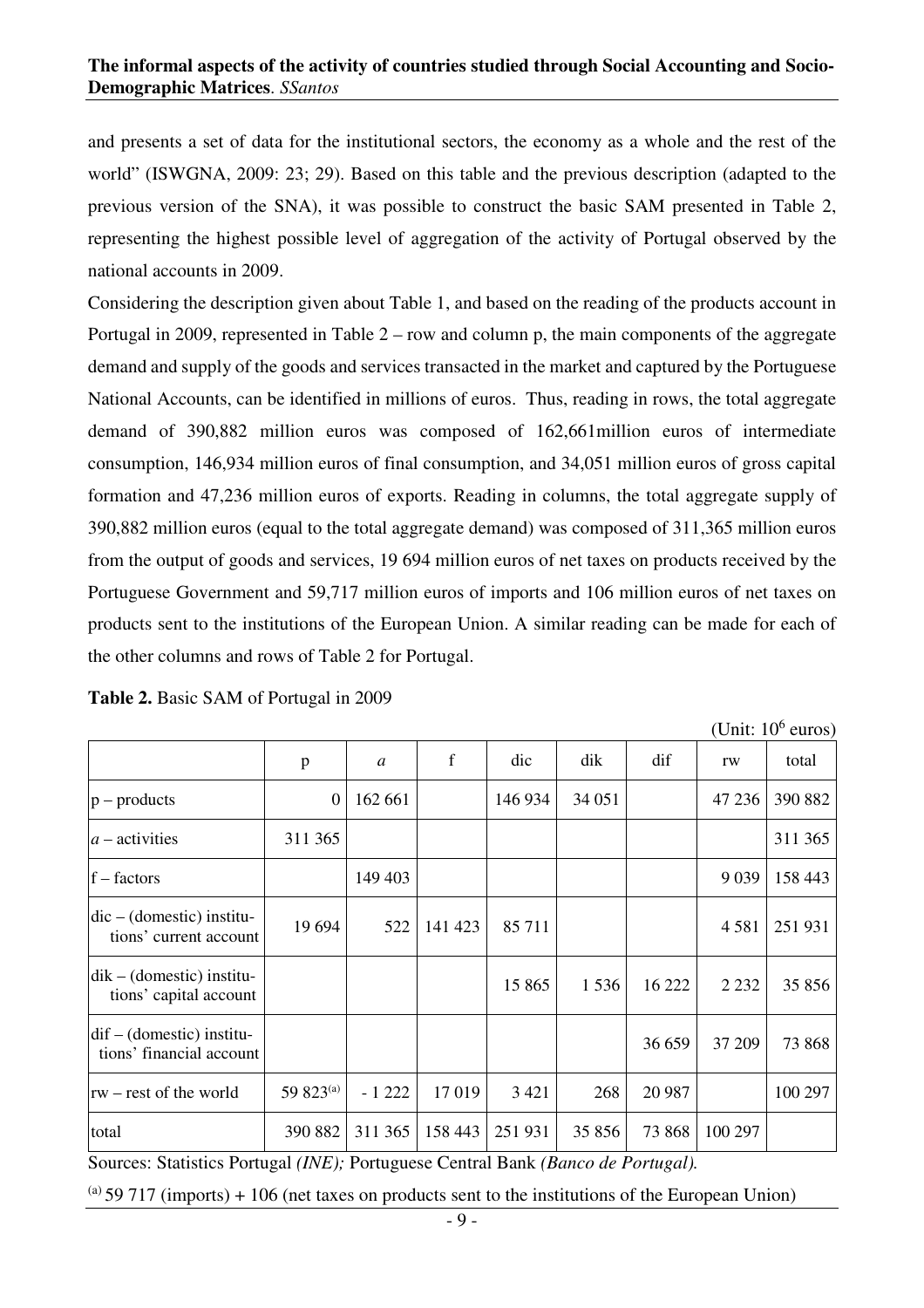and presents a set of data for the institutional sectors, the economy as a whole and the rest of the world" (ISWGNA, 2009: 23; 29). Based on this table and the previous description (adapted to the previous version of the SNA), it was possible to construct the basic SAM presented in Table 2, representing the highest possible level of aggregation of the activity of Portugal observed by the national accounts in 2009.

Considering the description given about Table 1, and based on the reading of the products account in Portugal in 2009, represented in Table 2 – row and column p, the main components of the aggregate demand and supply of the goods and services transacted in the market and captured by the Portuguese National Accounts, can be identified in millions of euros. Thus, reading in rows, the total aggregate demand of 390,882 million euros was composed of 162,661million euros of intermediate consumption, 146,934 million euros of final consumption, and 34,051 million euros of gross capital formation and 47,236 million euros of exports. Reading in columns, the total aggregate supply of 390,882 million euros (equal to the total aggregate demand) was composed of 311,365 million euros from the output of goods and services, 19 694 million euros of net taxes on products received by the Portuguese Government and 59,717 million euros of imports and 106 million euros of net taxes on products sent to the institutions of the European Union. A similar reading can be made for each of the other columns and rows of Table 2 for Portugal.

|                                                         |                  |                |             |         |        |        |         | (Unit: $10^6$ euros) |
|---------------------------------------------------------|------------------|----------------|-------------|---------|--------|--------|---------|----------------------|
|                                                         | p                | $\mathfrak{a}$ | $\mathbf f$ | dic     | dik    | dif    | rw      | total                |
| $ p -$ products                                         | $\boldsymbol{0}$ | 162 661        |             | 146 934 | 34 051 |        | 47 236  | 390 882              |
| $ a -$ activities                                       | 311 365          |                |             |         |        |        |         | 311 365              |
| $ f - factors $                                         |                  | 149 403        |             |         |        |        | 9 0 3 9 | 158 443              |
| $dic - (domestic)$ institu-<br>tions' current account   | 19694            | 522            | 141 423     | 85 711  |        |        | 4581    | 251 931              |
| $dik - (domestic)$ institu-<br>tions' capital account   |                  |                |             | 15 865  | 1536   | 16 222 | 2 2 3 2 | 35 856               |
| $dif - (domestic)$ institu-<br>tions' financial account |                  |                |             |         |        | 36 659 | 37 209  | 73 868               |
| $rw - rest$ of the world                                | 59 823(a)        | $-1222$        | 17019       | 3 4 2 1 | 268    | 20 987 |         | 100 297              |
| total                                                   | 390 882          | 311 365        | 158 443     | 251 931 | 35 856 | 73 868 | 100 297 |                      |

**Table 2.** Basic SAM of Portugal in 2009

Sources: Statistics Portugal *(INE);* Portuguese Central Bank *(Banco de Portugal).* 

 $^{(a)}$  59 717 (imports) + 106 (net taxes on products sent to the institutions of the European Union)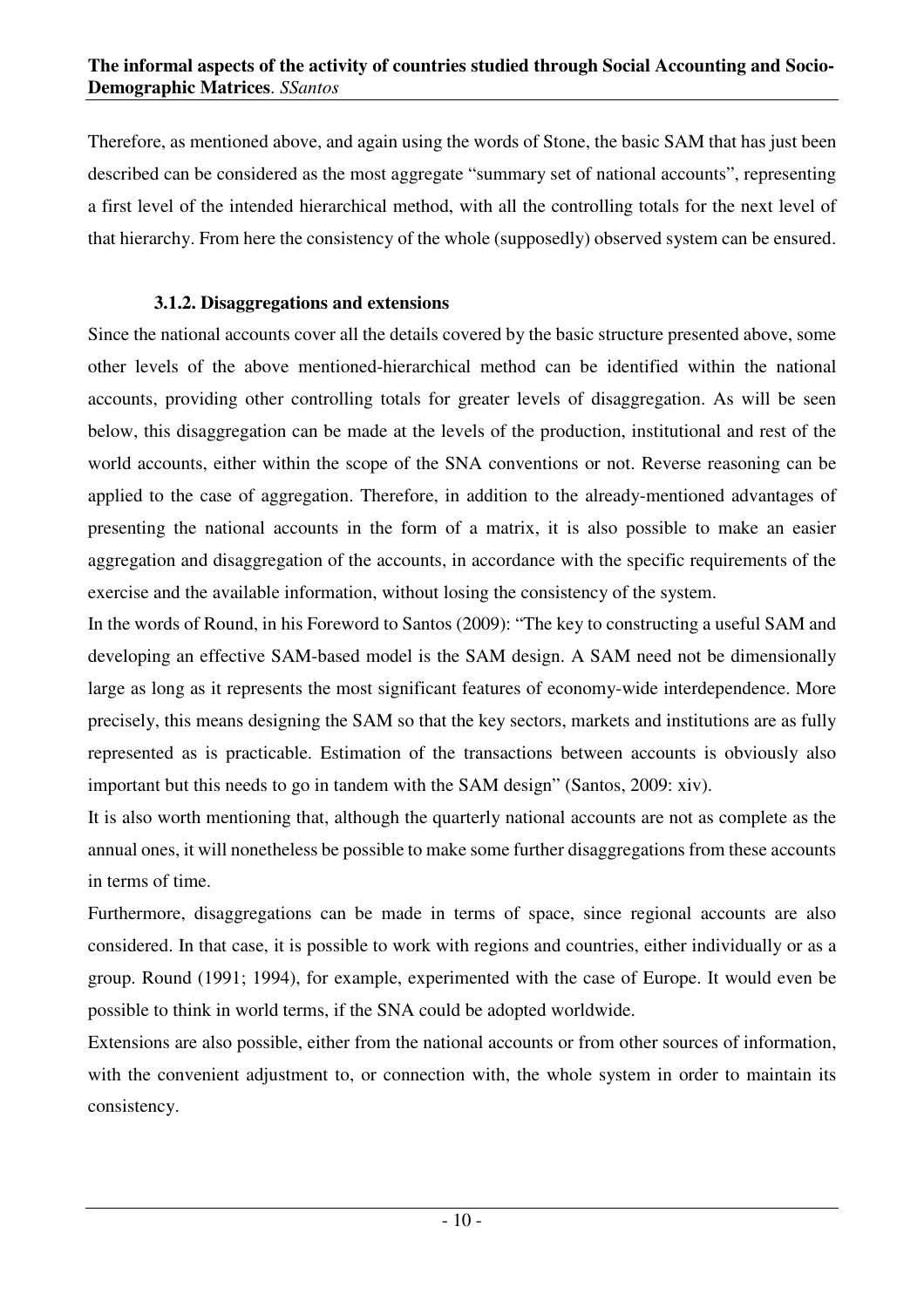Therefore, as mentioned above, and again using the words of Stone, the basic SAM that has just been described can be considered as the most aggregate "summary set of national accounts", representing a first level of the intended hierarchical method, with all the controlling totals for the next level of that hierarchy. From here the consistency of the whole (supposedly) observed system can be ensured.

## **3.1.2. Disaggregations and extensions**

Since the national accounts cover all the details covered by the basic structure presented above, some other levels of the above mentioned-hierarchical method can be identified within the national accounts, providing other controlling totals for greater levels of disaggregation. As will be seen below, this disaggregation can be made at the levels of the production, institutional and rest of the world accounts, either within the scope of the SNA conventions or not. Reverse reasoning can be applied to the case of aggregation. Therefore, in addition to the already-mentioned advantages of presenting the national accounts in the form of a matrix, it is also possible to make an easier aggregation and disaggregation of the accounts, in accordance with the specific requirements of the exercise and the available information, without losing the consistency of the system.

In the words of Round, in his Foreword to Santos (2009): "The key to constructing a useful SAM and developing an effective SAM-based model is the SAM design. A SAM need not be dimensionally large as long as it represents the most significant features of economy-wide interdependence. More precisely, this means designing the SAM so that the key sectors, markets and institutions are as fully represented as is practicable. Estimation of the transactions between accounts is obviously also important but this needs to go in tandem with the SAM design" (Santos, 2009: xiv).

It is also worth mentioning that, although the quarterly national accounts are not as complete as the annual ones, it will nonetheless be possible to make some further disaggregations from these accounts in terms of time.

Furthermore, disaggregations can be made in terms of space, since regional accounts are also considered. In that case, it is possible to work with regions and countries, either individually or as a group. Round (1991; 1994), for example, experimented with the case of Europe. It would even be possible to think in world terms, if the SNA could be adopted worldwide.

Extensions are also possible, either from the national accounts or from other sources of information, with the convenient adjustment to, or connection with, the whole system in order to maintain its consistency.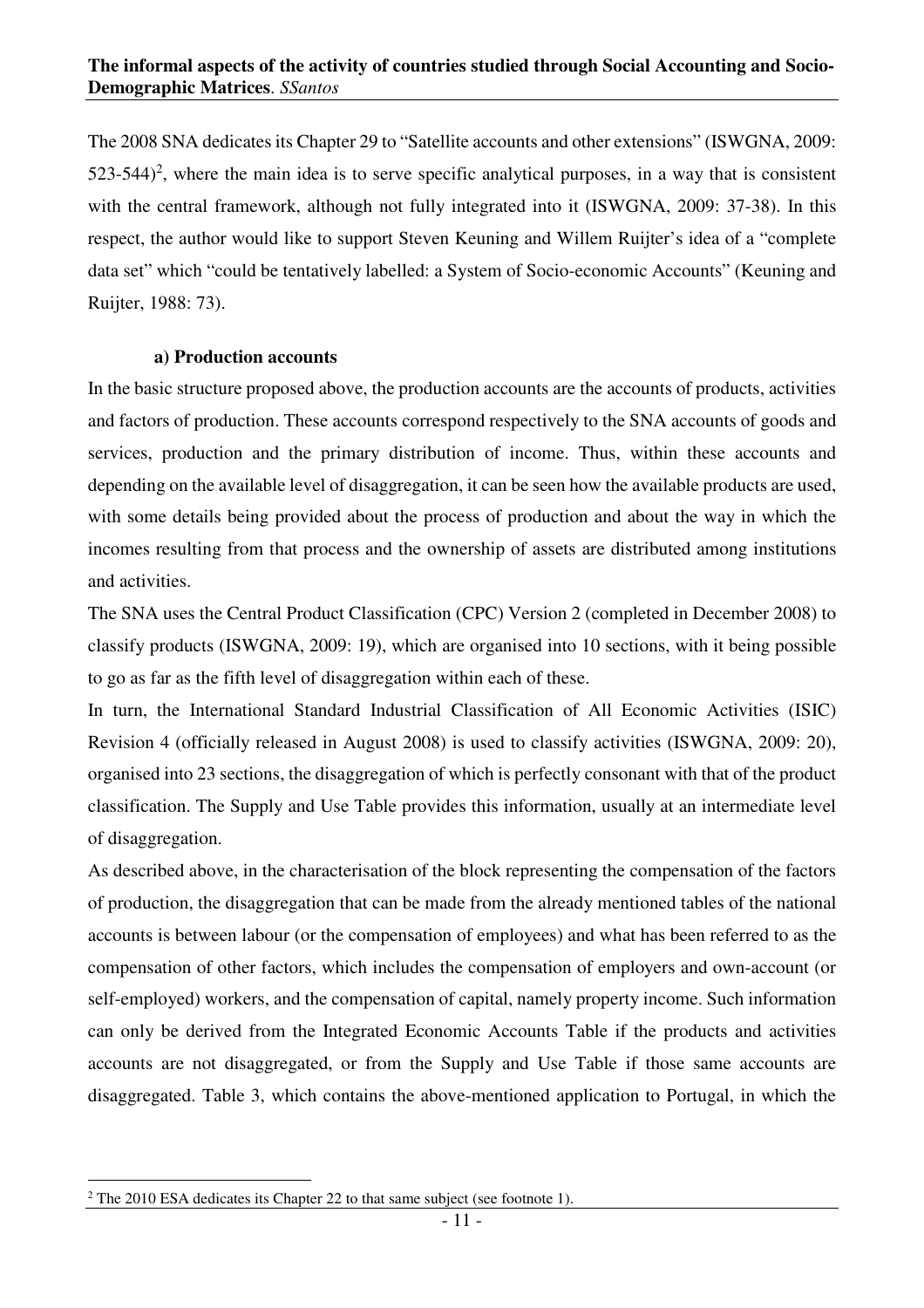The 2008 SNA dedicates its Chapter 29 to "Satellite accounts and other extensions" (ISWGNA, 2009:  $523-544$ <sup>2</sup>, where the main idea is to serve specific analytical purposes, in a way that is consistent with the central framework, although not fully integrated into it (ISWGNA, 2009: 37-38). In this respect, the author would like to support Steven Keuning and Willem Ruijter's idea of a "complete data set" which "could be tentatively labelled: a System of Socio-economic Accounts" (Keuning and Ruijter, 1988: 73).

#### **a) Production accounts**

In the basic structure proposed above, the production accounts are the accounts of products, activities and factors of production. These accounts correspond respectively to the SNA accounts of goods and services, production and the primary distribution of income. Thus, within these accounts and depending on the available level of disaggregation, it can be seen how the available products are used, with some details being provided about the process of production and about the way in which the incomes resulting from that process and the ownership of assets are distributed among institutions and activities.

The SNA uses the Central Product Classification (CPC) Version 2 (completed in December 2008) to classify products (ISWGNA, 2009: 19), which are organised into 10 sections, with it being possible to go as far as the fifth level of disaggregation within each of these.

In turn, the International Standard Industrial Classification of All Economic Activities (ISIC) Revision 4 (officially released in August 2008) is used to classify activities (ISWGNA, 2009: 20), organised into 23 sections, the disaggregation of which is perfectly consonant with that of the product classification. The Supply and Use Table provides this information, usually at an intermediate level of disaggregation.

As described above, in the characterisation of the block representing the compensation of the factors of production, the disaggregation that can be made from the already mentioned tables of the national accounts is between labour (or the compensation of employees) and what has been referred to as the compensation of other factors, which includes the compensation of employers and own-account (or self-employed) workers, and the compensation of capital, namely property income. Such information can only be derived from the Integrated Economic Accounts Table if the products and activities accounts are not disaggregated, or from the Supply and Use Table if those same accounts are disaggregated. Table 3, which contains the above-mentioned application to Portugal, in which the

 $\overline{a}$ 

 $2^2$  The 2010 ESA dedicates its Chapter 22 to that same subject (see footnote 1).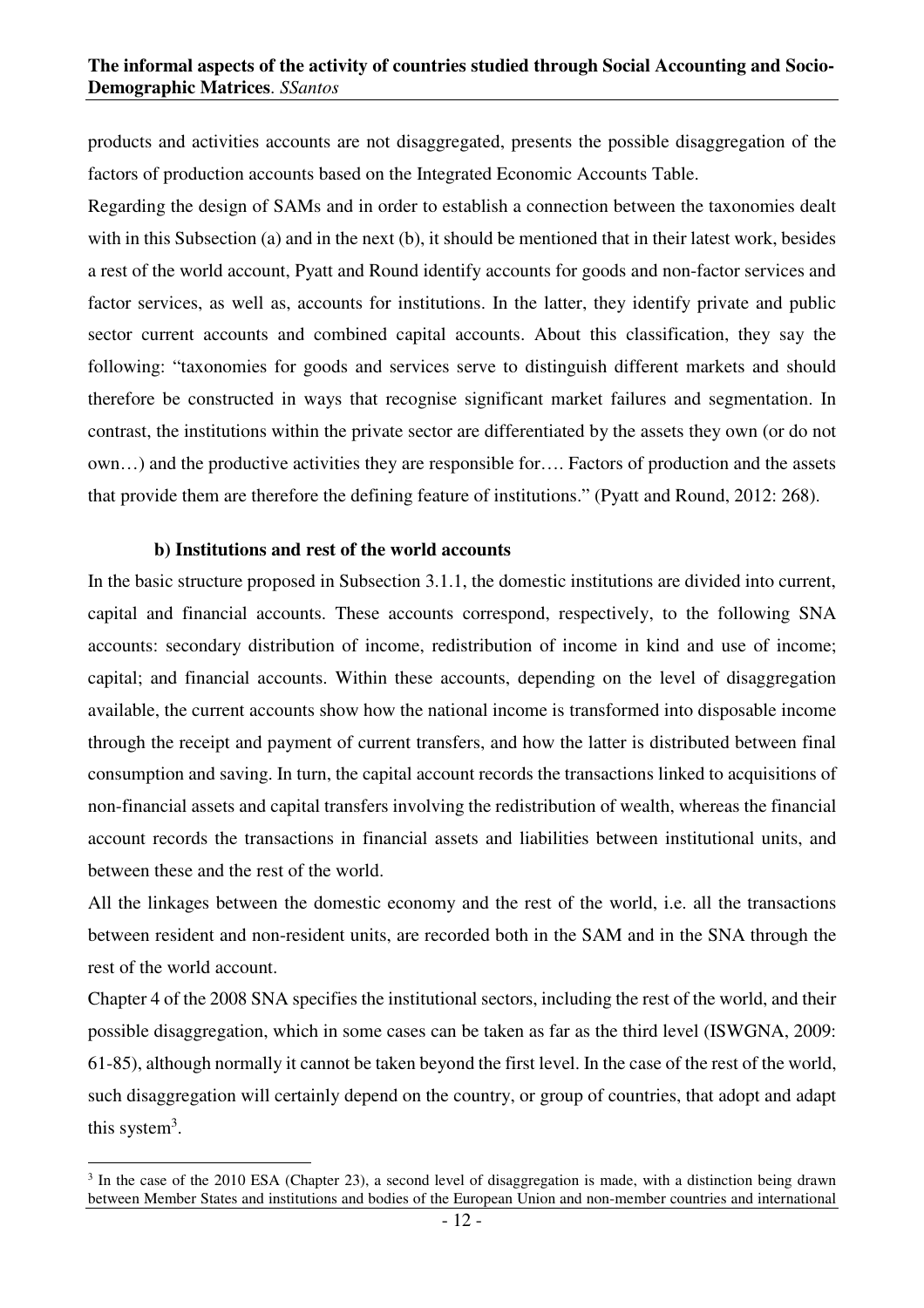products and activities accounts are not disaggregated, presents the possible disaggregation of the factors of production accounts based on the Integrated Economic Accounts Table.

Regarding the design of SAMs and in order to establish a connection between the taxonomies dealt with in this Subsection (a) and in the next (b), it should be mentioned that in their latest work, besides a rest of the world account, Pyatt and Round identify accounts for goods and non-factor services and factor services, as well as, accounts for institutions. In the latter, they identify private and public sector current accounts and combined capital accounts. About this classification, they say the following: "taxonomies for goods and services serve to distinguish different markets and should therefore be constructed in ways that recognise significant market failures and segmentation. In contrast, the institutions within the private sector are differentiated by the assets they own (or do not own…) and the productive activities they are responsible for…. Factors of production and the assets that provide them are therefore the defining feature of institutions." (Pyatt and Round, 2012: 268).

#### **b) Institutions and rest of the world accounts**

 $\overline{a}$ 

In the basic structure proposed in Subsection 3.1.1, the domestic institutions are divided into current, capital and financial accounts. These accounts correspond, respectively, to the following SNA accounts: secondary distribution of income, redistribution of income in kind and use of income; capital; and financial accounts. Within these accounts, depending on the level of disaggregation available, the current accounts show how the national income is transformed into disposable income through the receipt and payment of current transfers, and how the latter is distributed between final consumption and saving. In turn, the capital account records the transactions linked to acquisitions of non-financial assets and capital transfers involving the redistribution of wealth, whereas the financial account records the transactions in financial assets and liabilities between institutional units, and between these and the rest of the world.

All the linkages between the domestic economy and the rest of the world, i.e. all the transactions between resident and non-resident units, are recorded both in the SAM and in the SNA through the rest of the world account.

Chapter 4 of the 2008 SNA specifies the institutional sectors, including the rest of the world, and their possible disaggregation, which in some cases can be taken as far as the third level (ISWGNA, 2009: 61-85), although normally it cannot be taken beyond the first level. In the case of the rest of the world, such disaggregation will certainly depend on the country, or group of countries, that adopt and adapt this system<sup>3</sup>.

<sup>&</sup>lt;sup>3</sup> In the case of the 2010 ESA (Chapter 23), a second level of disaggregation is made, with a distinction being drawn between Member States and institutions and bodies of the European Union and non-member countries and international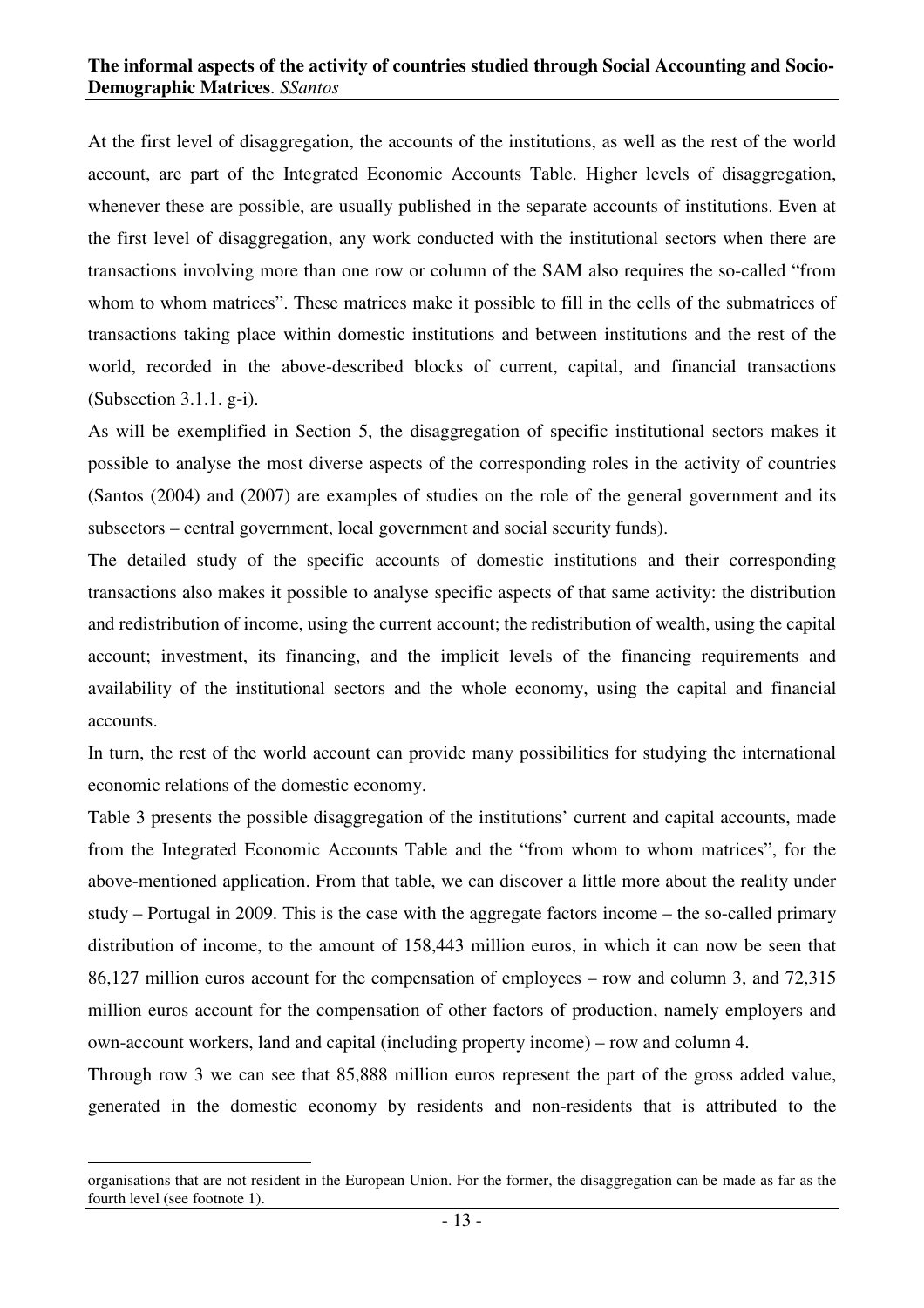At the first level of disaggregation, the accounts of the institutions, as well as the rest of the world account, are part of the Integrated Economic Accounts Table. Higher levels of disaggregation, whenever these are possible, are usually published in the separate accounts of institutions. Even at the first level of disaggregation, any work conducted with the institutional sectors when there are transactions involving more than one row or column of the SAM also requires the so-called "from whom to whom matrices". These matrices make it possible to fill in the cells of the submatrices of transactions taking place within domestic institutions and between institutions and the rest of the world, recorded in the above-described blocks of current, capital, and financial transactions (Subsection 3.1.1. g-i).

As will be exemplified in Section 5, the disaggregation of specific institutional sectors makes it possible to analyse the most diverse aspects of the corresponding roles in the activity of countries (Santos (2004) and (2007) are examples of studies on the role of the general government and its subsectors – central government, local government and social security funds).

The detailed study of the specific accounts of domestic institutions and their corresponding transactions also makes it possible to analyse specific aspects of that same activity: the distribution and redistribution of income, using the current account; the redistribution of wealth, using the capital account; investment, its financing, and the implicit levels of the financing requirements and availability of the institutional sectors and the whole economy, using the capital and financial accounts.

In turn, the rest of the world account can provide many possibilities for studying the international economic relations of the domestic economy.

Table 3 presents the possible disaggregation of the institutions' current and capital accounts, made from the Integrated Economic Accounts Table and the "from whom to whom matrices", for the above-mentioned application. From that table, we can discover a little more about the reality under study – Portugal in 2009. This is the case with the aggregate factors income – the so-called primary distribution of income, to the amount of 158,443 million euros, in which it can now be seen that 86,127 million euros account for the compensation of employees – row and column 3, and 72,315 million euros account for the compensation of other factors of production, namely employers and own-account workers, land and capital (including property income) – row and column 4.

Through row 3 we can see that 85,888 million euros represent the part of the gross added value, generated in the domestic economy by residents and non-residents that is attributed to the

 $\overline{a}$ 

organisations that are not resident in the European Union. For the former, the disaggregation can be made as far as the fourth level (see footnote 1).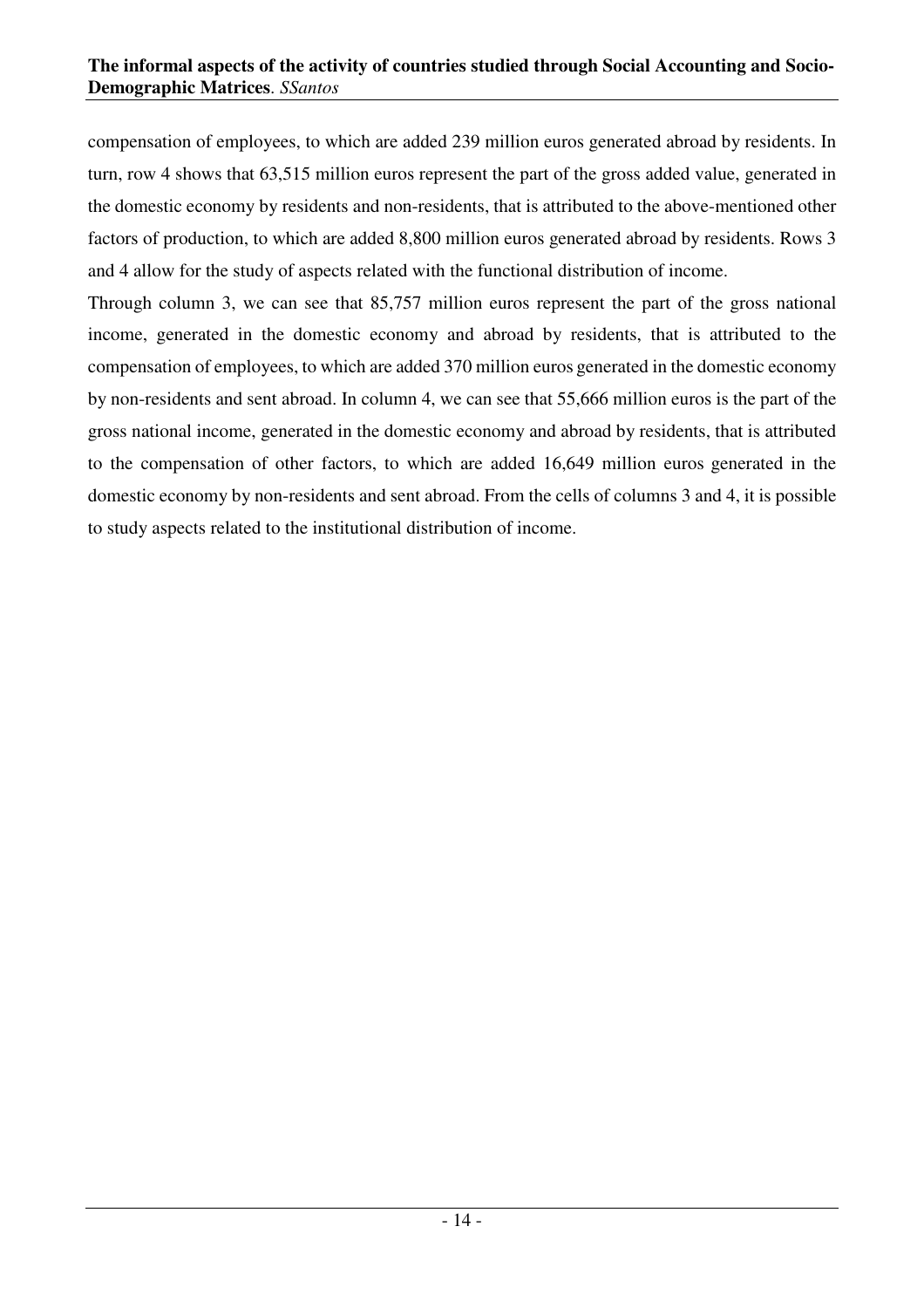compensation of employees, to which are added 239 million euros generated abroad by residents. In turn, row 4 shows that 63,515 million euros represent the part of the gross added value, generated in the domestic economy by residents and non-residents, that is attributed to the above-mentioned other factors of production, to which are added 8,800 million euros generated abroad by residents. Rows 3 and 4 allow for the study of aspects related with the functional distribution of income.

Through column 3, we can see that 85,757 million euros represent the part of the gross national income, generated in the domestic economy and abroad by residents, that is attributed to the compensation of employees, to which are added 370 million euros generated in the domestic economy by non-residents and sent abroad. In column 4, we can see that 55,666 million euros is the part of the gross national income, generated in the domestic economy and abroad by residents, that is attributed to the compensation of other factors, to which are added 16,649 million euros generated in the domestic economy by non-residents and sent abroad. From the cells of columns 3 and 4, it is possible to study aspects related to the institutional distribution of income.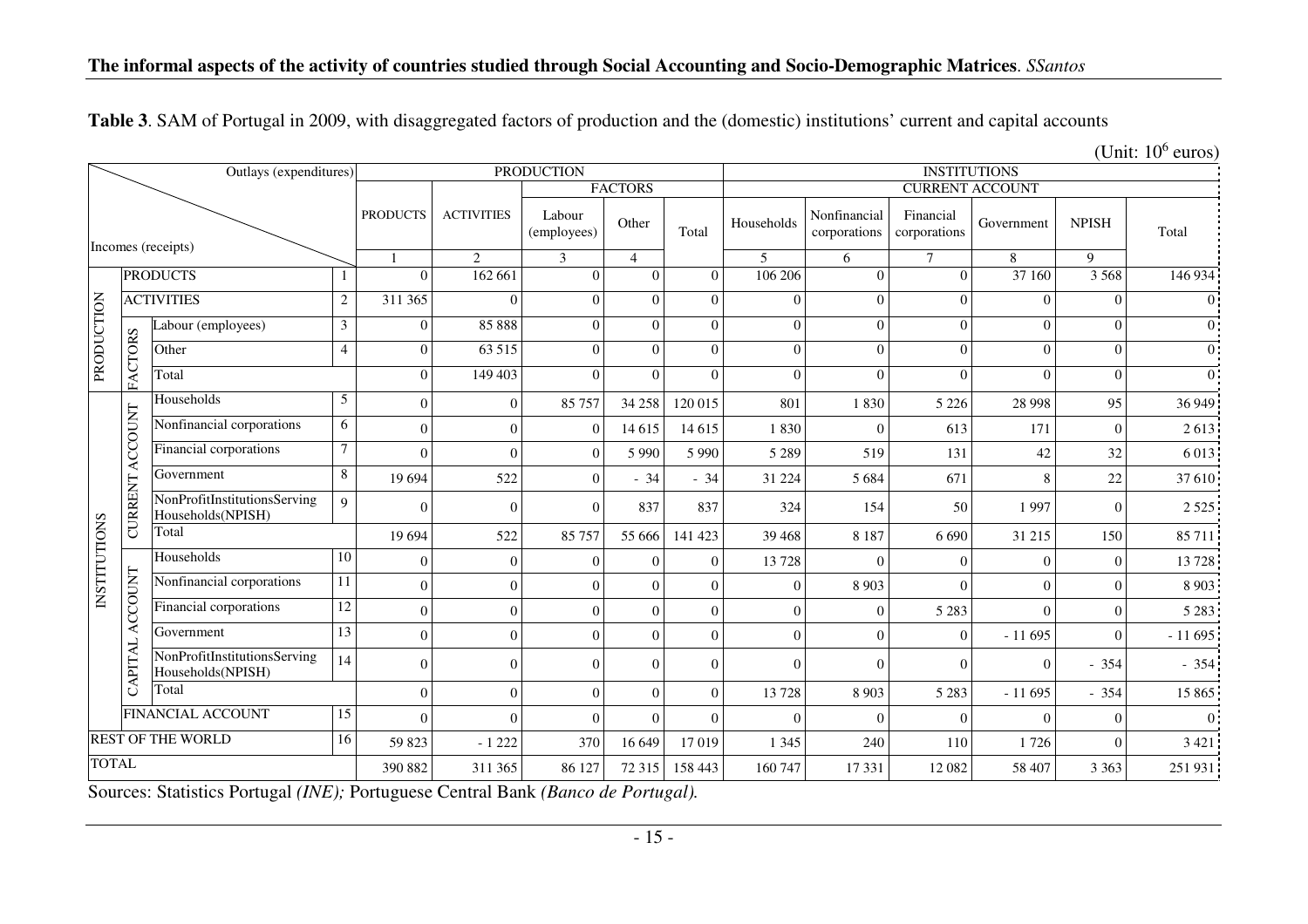| Table 3. SAM of Portugal in 2009, with disaggregated factors of production and the (domestic) institutions' current and capital accounts |  |
|------------------------------------------------------------------------------------------------------------------------------------------|--|
|------------------------------------------------------------------------------------------------------------------------------------------|--|

|  | (Unit: $10^6$ euros) |
|--|----------------------|
|  |                      |

|              |                | Outlays (expenditures)                            |                 | <b>PRODUCTION</b> |                   |                       |                | <b>INSTITUTIONS</b> |              |                              |                           |            |              |                |
|--------------|----------------|---------------------------------------------------|-----------------|-------------------|-------------------|-----------------------|----------------|---------------------|--------------|------------------------------|---------------------------|------------|--------------|----------------|
|              |                |                                                   |                 |                   |                   |                       | <b>FACTORS</b> |                     |              |                              | <b>CURRENT ACCOUNT</b>    |            |              |                |
|              |                | Incomes (receipts)                                |                 | <b>PRODUCTS</b>   | <b>ACTIVITIES</b> | Labour<br>(employees) | Other          | Total               | Households   | Nonfinancial<br>corporations | Financial<br>corporations | Government | <b>NPISH</b> | Total          |
|              |                |                                                   |                 |                   | 2                 | 3                     | $\overline{4}$ |                     | 5            | 6                            | $\tau$                    | 8          | $\mathbf{Q}$ |                |
|              |                | <b>PRODUCTS</b>                                   |                 | $\Omega$          | 162 661           | $\Omega$              | $\Omega$       | $\Omega$            | 106 206      | $\overline{0}$               | $\theta$                  | 37 160     | 3 5 6 8      | 146 934        |
|              |                | <b>ACTIVITIES</b>                                 | $\overline{2}$  | 311 365           | $\Omega$          | $\overline{0}$        | $\Omega$       | $\theta$            | $\mathbf{0}$ | $\boldsymbol{0}$             | $\Omega$                  | $\Omega$   | $\Omega$     | $\Omega$       |
| PRODUCTION   |                | abour (employees)                                 | $\mathfrak{Z}$  | $\overline{0}$    | 85 888            | $\Omega$              | $\Omega$       | $\Omega$            | $\Omega$     | $\boldsymbol{0}$             | $\theta$                  | $\Omega$   | $\theta$     | $\overline{0}$ |
|              | FACTORS        | Other                                             | $\overline{4}$  | $\overline{0}$    | 63 515            | $\overline{0}$        | $\Omega$       | $\Omega$            | $\Omega$     | $\overline{0}$               | $\theta$                  | $\Omega$   | $\Omega$     | $\Omega$       |
|              |                | Total                                             |                 | $\overline{0}$    | 149 403           | $\overline{0}$        | $\Omega$       | $\Omega$            | $\Omega$     | $\theta$                     | $\mathbf{0}$              | $\Omega$   | $\theta$     | $\Omega$       |
|              |                | Households                                        | $5\phantom{.0}$ | $\Omega$          | $\mathbf{0}$      | 85 757                | 34 258         | 120 015             | 801          | 1830                         | 5 2 2 6                   | 28 9 98    | 95           | 36 949         |
|              | ACCOUNT        | Nonfinancial corporations                         | 6               | $\Omega$          | $\mathbf{0}$      | $\overline{0}$        | 14 6 15        | 14 6 15             | 1830         | $\Omega$                     | 613                       | 171        | $\bigcap$    | 2613           |
|              |                | Financial corporations                            | $\tau$          | $\Omega$          | $\Omega$          | $\Omega$              | 5 9 9 0        | 5 9 9 0             | 5 2 8 9      | 519                          | 131                       | 42         | 32           | 6 0 13         |
|              |                | Government                                        | 8               | 19 694            | 522               | $\overline{0}$        | $-34$          | $-34$               | 31 224       | 5 6 8 4                      | 671                       | 8          | 22           | 37 610         |
|              | <b>CURRENT</b> | NonProfitInstitutionsServing<br>Households(NPISH) | 9               | $\Omega$          | $\mathbf{0}$      | $\overline{0}$        | 837            | 837                 | 324          | 154                          | 50                        | 1997       | $\Omega$     | 2 5 2 5        |
|              |                | Total                                             |                 | 19 694            | 522               | 85 757                | 55 666         | 141 423             | 39 4 68      | 8 1 8 7                      | 6 6 9 0                   | 31 215     | 150          | 85 711         |
| INSTITUTIONS |                | Households                                        | 10              | $\theta$          | $\mathbf{0}$      | $\overline{0}$        | $\Omega$       | $\Omega$            | 13728        | $\Omega$                     | $\overline{0}$            | $\Omega$   | $\Omega$     | 13728          |
|              | ACCOUNT        | Nonfinancial corporations                         | 11              | $\Omega$          | $\mathbf{0}$      | $\overline{0}$        | $\Omega$       | $\Omega$            | $\Omega$     | 8 9 0 3                      | $\Omega$                  | $\Omega$   | $\Omega$     | 8 9 0 3        |
|              |                | Financial corporations                            | 12              | $\Omega$          | $\Omega$          | $\Omega$              | $\Omega$       | $\Omega$            | $\Omega$     | $\theta$                     | 5 2 8 3                   | $\Omega$   | $\Omega$     | 5 2 8 3        |
|              |                | Government                                        | $\overline{13}$ | $\Omega$          | $\Omega$          | $\Omega$              | $\Omega$       | $\Omega$            | $\theta$     | $\theta$                     | $\Omega$                  | $-11695$   | $\Omega$     | $-11695$       |
|              | CAPITAL        | NonProfitInstitutionsServing<br>Households(NPISH) | 14              | $\Omega$          | $\Omega$          | $\Omega$              | $\Omega$       | $\Omega$            | $\Omega$     | $\theta$                     | $\Omega$                  | $\Omega$   | $-354$       | $-354$         |
|              |                | Total                                             |                 | $\Omega$          | $\boldsymbol{0}$  | $\Omega$              | $\Omega$       | $\Omega$            | 13728        | 8 9 0 3                      | 5 2 8 3                   | $-11695$   | $-354$       | 15 865         |
|              |                | FINANCIAL ACCOUNT                                 | 15              | $\Omega$          | $\Omega$          | $\Omega$              | $\Omega$       | $\Omega$            | $\Omega$     | $\Omega$                     | $\Omega$                  | $\Omega$   | $\Omega$     | $\Omega$       |
|              |                | <b>REST OF THE WORLD</b>                          | 16              | 59 823            | $-1222$           | 370                   | 16 649         | 17019               | 1 3 4 5      | 240                          | 110                       | 1726       | $\Omega$     | 3 4 2 1        |
| <b>TOTAL</b> |                |                                                   |                 | 390 882           | 311 365           | 86 127                | 72 3 15        | 158 443             | 160 747      | 17 331                       | 12 08 2                   | 58 407     | 3 3 6 3      | 251 931        |

Sources: Statistics Portugal *(INE);* Portuguese Central Bank *(Banco de Portugal).*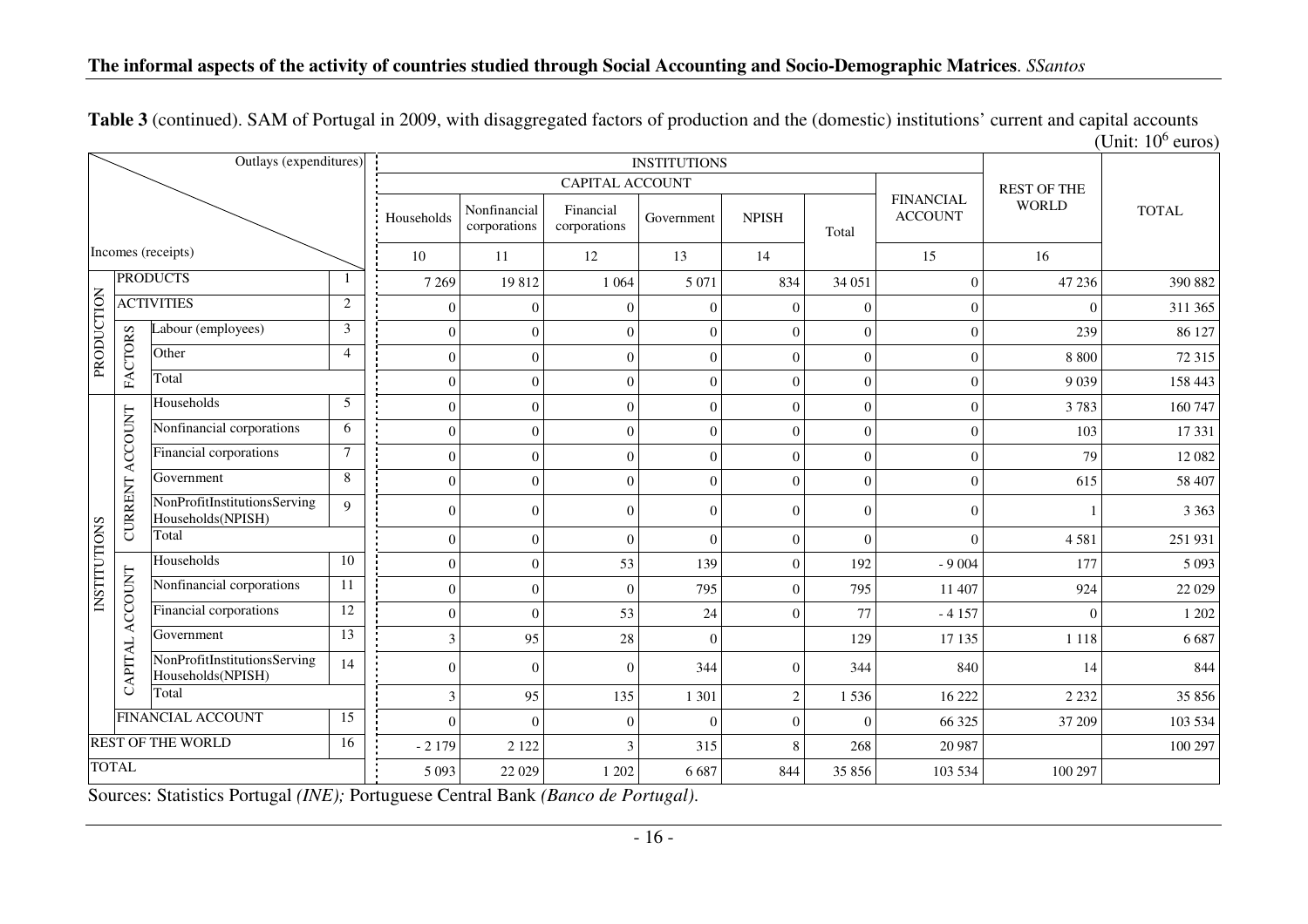|                     |                 |                                                   |                         |                  |                              |                           | <b>INSTITUTIONS</b> |                    |              |                                    |              | $[OIII, IV]$ culos |
|---------------------|-----------------|---------------------------------------------------|-------------------------|------------------|------------------------------|---------------------------|---------------------|--------------------|--------------|------------------------------------|--------------|--------------------|
|                     |                 | Outlays (expenditures)                            |                         |                  |                              |                           |                     |                    |              |                                    |              |                    |
|                     |                 |                                                   |                         |                  |                              | <b>CAPITAL ACCOUNT</b>    |                     | <b>REST OF THE</b> |              |                                    |              |                    |
|                     |                 |                                                   |                         | Households       | Nonfinancial<br>corporations | Financial<br>corporations | Government          | <b>NPISH</b>       | Total        | <b>FINANCIAL</b><br><b>ACCOUNT</b> | <b>WORLD</b> | <b>TOTAL</b>       |
|                     |                 | Incomes (receipts)                                |                         | 10               | 11                           | 12                        | 13                  | 14                 |              | 15                                 | 16           |                    |
|                     |                 | <b>PRODUCTS</b>                                   |                         | 7 2 6 9          | 19812                        | 1 0 6 4                   | 5 0 7 1             | 834                | 34 051       | $\overline{0}$                     | 47 236       | 390 882            |
|                     |                 | <b>ACTIVITIES</b>                                 | $\overline{2}$          | $\theta$         | $\mathbf{0}$                 | $\Omega$                  | $\Omega$            | $\theta$           | $\theta$     | $\boldsymbol{0}$                   | $\Omega$     | 311 365            |
|                     |                 | Labour (employees)                                | $\overline{\mathbf{3}}$ | $\overline{0}$   | $\overline{0}$               | $\Omega$                  | $\mathbf{0}$        | $\theta$           | $\theta$     | $\boldsymbol{0}$                   | 239          | 86 127             |
| PRODUCTION          | FACTORS         | Other                                             | $\overline{4}$          | $\Omega$         | $\Omega$                     | $\Omega$                  | $\Omega$            | $\Omega$           | $\Omega$     | $\boldsymbol{0}$                   | 8 8 0 0      | 72 315             |
|                     |                 | Total                                             |                         | $\overline{0}$   | $\overline{0}$               | $\mathbf{0}$              | $\mathbf{0}$        | $\theta$           | $\mathbf{0}$ | $\boldsymbol{0}$                   | 9 0 3 9      | 158 443            |
|                     |                 | Households                                        | 5                       | $\theta$         | $\Omega$                     | $\Omega$                  | $\Omega$            | $\Omega$           | $\Omega$     | $\overline{0}$                     | 3783         | 160 747            |
|                     |                 | Nonfinancial corporations                         | 6                       | $\theta$         | $\Omega$                     | $\Omega$                  | $\Omega$            | $\Omega$           | $\Omega$     | $\overline{0}$                     | 103          | 17 331             |
|                     |                 | Financial corporations                            | $\tau$                  | $\overline{0}$   | $\theta$                     | $\Omega$                  | $\mathbf{0}$        | $\Omega$           | $\mathbf{0}$ | $\boldsymbol{0}$                   | 79           | 12 082             |
|                     |                 | Government                                        | 8                       | $\theta$         | $\Omega$                     | $\Omega$                  | $\Omega$            | $\Omega$           | $\Omega$     | $\overline{0}$                     | 615          | 58 407             |
|                     | CURRENT ACCOUNT | NonProfitInstitutionsServing<br>Households(NPISH) | 9                       | $\Omega$         | $\Omega$                     | $\Omega$                  | $\Omega$            | $\Omega$           | $\Omega$     | $\overline{0}$                     |              | 3 3 6 3            |
|                     |                 | Total                                             |                         | $\overline{0}$   | $\overline{0}$               | $\Omega$                  | $\Omega$            | $\Omega$           | $\mathbf{0}$ | $\overline{0}$                     | 4581         | 251 931            |
|                     |                 | Households                                        | 10                      | $\theta$         | $\overline{0}$               | 53                        | 139                 | $\Omega$           | 192          | $-9004$                            | 177          | 5 0 9 3            |
| <b>INSTITUTIONS</b> |                 | Nonfinancial corporations                         | 11                      | $\boldsymbol{0}$ | $\boldsymbol{0}$             | $\Omega$                  | 795                 | $\mathbf{0}$       | 795          | 11 407                             | 924          | 22 0 29            |
|                     | ACCOUNT         | Financial corporations                            | $\overline{12}$         | $\overline{0}$   | $\overline{0}$               | 53                        | 24                  | $\Omega$           | 77           | $-4157$                            | $\mathbf{0}$ | 1 202              |
|                     |                 | Government                                        | 13                      | 3                | 95                           | 28                        | $\Omega$            |                    | 129          | 17 135                             | 1 1 1 8      | 6 6 8 7            |
|                     | CAPITAL         | NonProfitInstitutionsServing<br>Households(NPISH) | 14                      | $\Omega$         | $\Omega$                     | $\Omega$                  | 344                 | $\Omega$           | 344          | 840                                | 14           | 844                |
|                     |                 | Total                                             |                         | 3                | 95                           | 135                       | 1 3 0 1             | $\overline{2}$     | 1536         | 16 222                             | 2 2 3 2      | 35 856             |
|                     |                 | <b>FINANCIAL ACCOUNT</b>                          | 15                      | $\Omega$         | $\mathbf{0}$                 | $\Omega$                  | $\mathbf{0}$        | $\Omega$           | $\Omega$     | 66 325                             | 37 209       | 103 534            |
|                     |                 | <b>REST OF THE WORLD</b>                          | 16                      | $-2179$          | 2 1 2 2                      |                           | 315                 | 8                  | 268          | 20 9 87                            |              | 100 297            |
| <b>TOTAL</b>        |                 |                                                   | 5 0 9 3                 | 22 0 29          | 1 202                        | 6 6 8 7                   | 844                 | 35 856             | 103 534      | 100 297                            |              |                    |

**Table 3** (continued). SAM of Portugal in 2009, with disaggregated factors of production and the (domestic) institutions' current and capital accounts (Unit:  $10^6$  euros)

Sources: Statistics Portugal *(INE);* Portuguese Central Bank *(Banco de Portugal)*.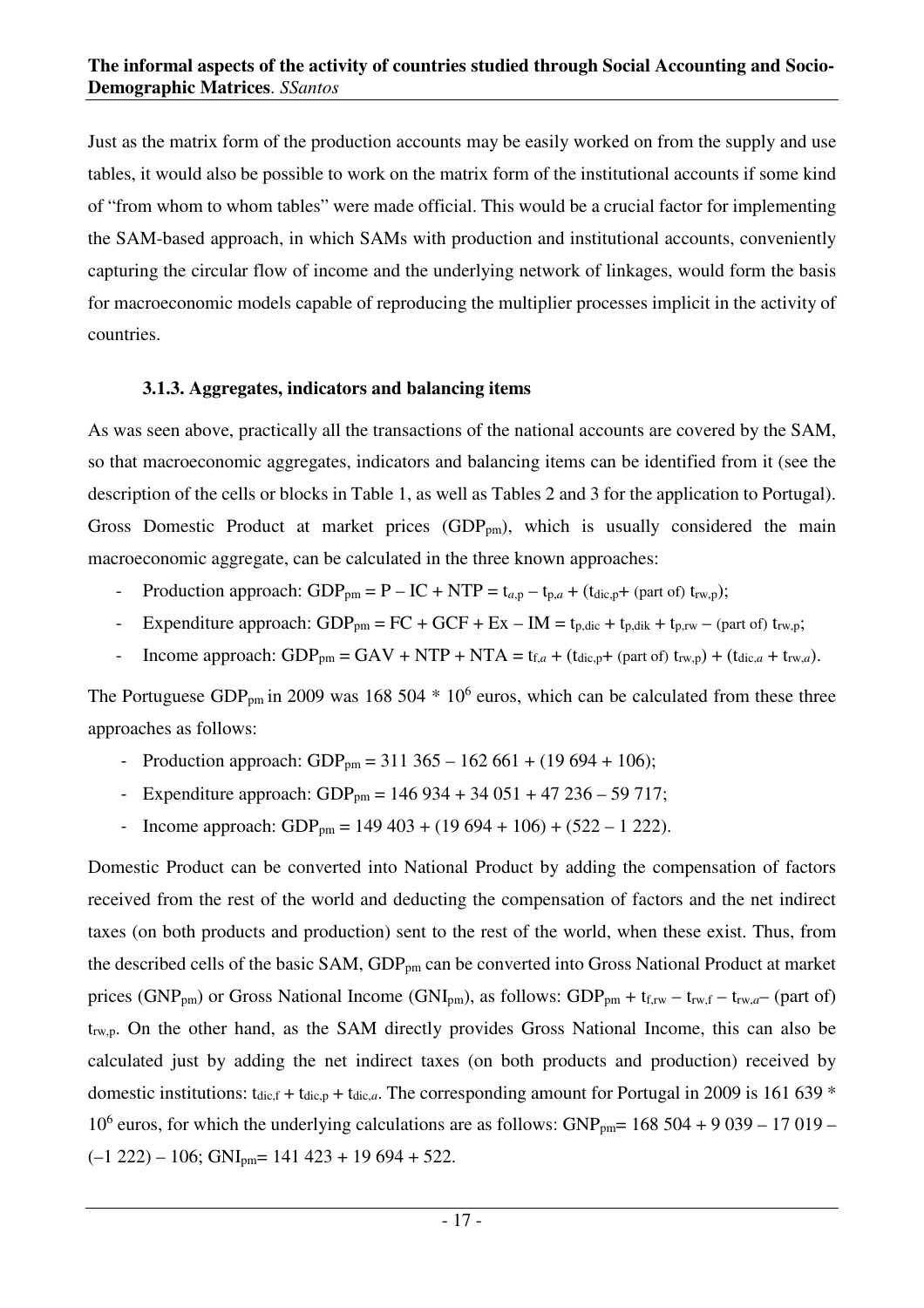Just as the matrix form of the production accounts may be easily worked on from the supply and use tables, it would also be possible to work on the matrix form of the institutional accounts if some kind of "from whom to whom tables" were made official. This would be a crucial factor for implementing the SAM-based approach, in which SAMs with production and institutional accounts, conveniently capturing the circular flow of income and the underlying network of linkages, would form the basis for macroeconomic models capable of reproducing the multiplier processes implicit in the activity of countries.

### **3.1.3. Aggregates, indicators and balancing items**

As was seen above, practically all the transactions of the national accounts are covered by the SAM, so that macroeconomic aggregates, indicators and balancing items can be identified from it (see the description of the cells or blocks in Table 1, as well as Tables 2 and 3 for the application to Portugal). Gross Domestic Product at market prices  $(GDP_{pm})$ , which is usually considered the main macroeconomic aggregate, can be calculated in the three known approaches:

- Production approach:  $GDP_{pm} = P IC + NTP = t_{a,p} t_{p,a} + (t_{dic,p} + (part of) t_{rw,p});$
- Expenditure approach:  $GDP_{pm} = FC + GCF + Ex IM = t_{p,dic} + t_{p,dik} + t_{p,rw} (part of) t_{rw,p};$
- Income approach:  $GDP_{pm} = GAV + NTP + NTA = t_{f,a} + (t_{dic,p} + (part\text{ of}) t_{rw,p}) + (t_{dic,a} + t_{rw,a}).$

The Portuguese GDP<sub>pm</sub> in 2009 was 168 504  $*$  10<sup>6</sup> euros, which can be calculated from these three approaches as follows:

- Production approach: GDP<sub>pm</sub> = 311 365 162 661 + (19 694 + 106);
- Expenditure approach:  $GDP_{\text{pm}} = 146934 + 34051 + 47236 59717$ ;
- Income approach: GDP<sub>pm</sub> = 149 403 + (19 694 + 106) + (522 1 222).

Domestic Product can be converted into National Product by adding the compensation of factors received from the rest of the world and deducting the compensation of factors and the net indirect taxes (on both products and production) sent to the rest of the world, when these exist. Thus, from the described cells of the basic SAM, GDP<sub>pm</sub> can be converted into Gross National Product at market prices (GNP<sub>pm</sub>) or Gross National Income (GNI<sub>pm</sub>), as follows: GDP<sub>pm</sub> + t<sub>f,rw</sub> – t<sub>rw,f</sub> – t<sub>rw,a</sub>– (part of) t<sub>rwp</sub>. On the other hand, as the SAM directly provides Gross National Income, this can also be calculated just by adding the net indirect taxes (on both products and production) received by domestic institutions:  $t_{\text{dic},f} + t_{\text{dic},a}$ . The corresponding amount for Portugal in 2009 is 161 639  $*$ 10<sup>6</sup> euros, for which the underlying calculations are as follows: GNP<sub>pm</sub>= 168 504 + 9 039 - 17 019 - $(-1 222) - 106$ ; GNI<sub>pm</sub>= 141 423 + 19 694 + 522.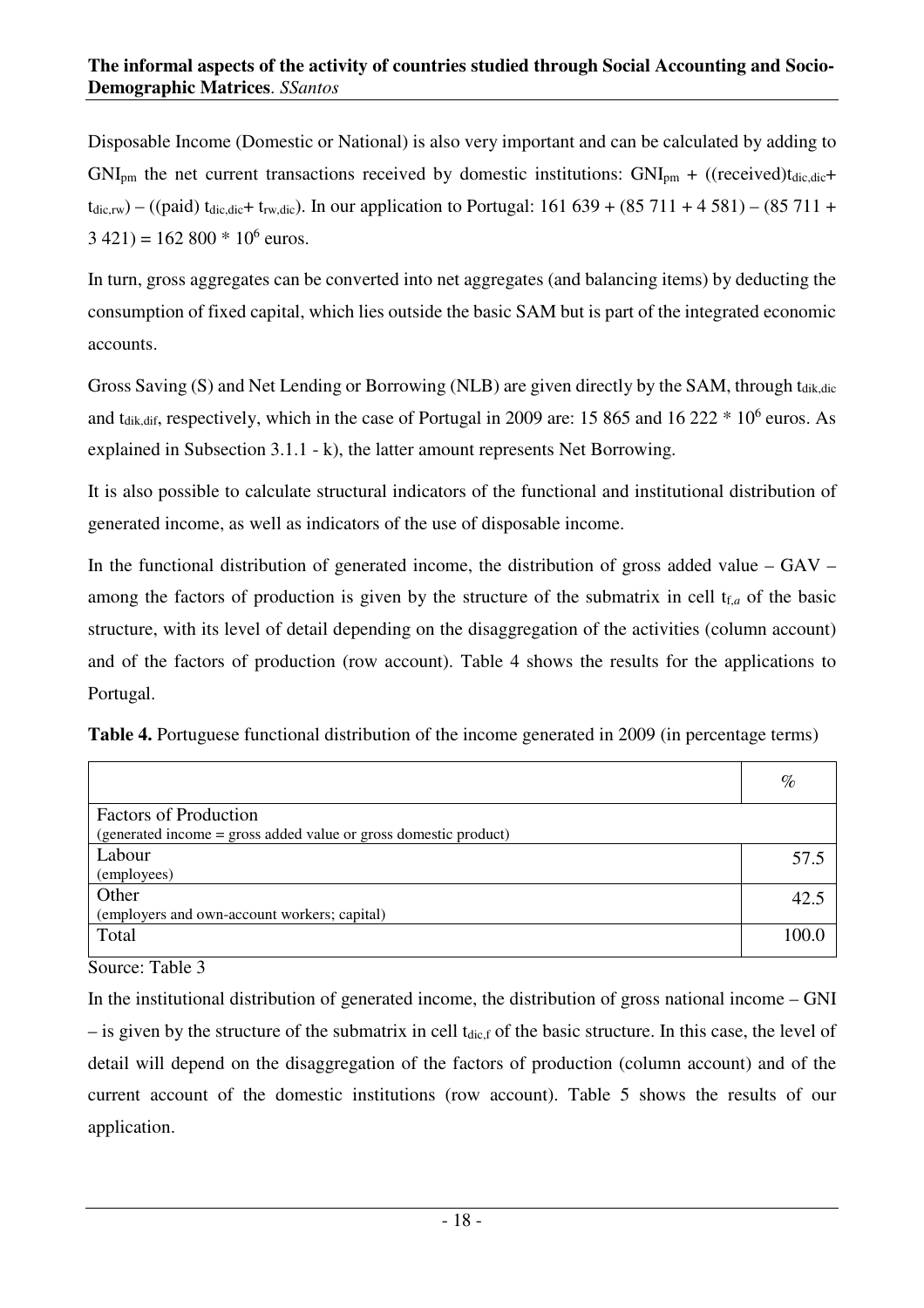Disposable Income (Domestic or National) is also very important and can be calculated by adding to  $GNI_{\text{pm}}$  the net current transactions received by domestic institutions:  $GNI_{\text{pm}} + ((received) t_{\text{dic},\text{dic}} +$  $t_{\text{dic,rw}}$  – ((paid)  $t_{\text{dic,dic}}$ +  $t_{\text{rw,dic}}$ ). In our application to Portugal: 161 639 + (85 711 + 4 581) – (85 711 +  $3\,421$ ) = 162 800  $*$  10<sup>6</sup> euros.

In turn, gross aggregates can be converted into net aggregates (and balancing items) by deducting the consumption of fixed capital, which lies outside the basic SAM but is part of the integrated economic accounts.

Gross Saving (S) and Net Lending or Borrowing (NLB) are given directly by the SAM, through t<sub>dik,dic</sub> and t<sub>dik,dif</sub>, respectively, which in the case of Portugal in 2009 are: 15 865 and 16 222  $*$  10<sup>6</sup> euros. As explained in Subsection 3.1.1 - k), the latter amount represents Net Borrowing.

It is also possible to calculate structural indicators of the functional and institutional distribution of generated income, as well as indicators of the use of disposable income.

In the functional distribution of generated income, the distribution of gross added value –  $\text{GAV}$  – among the factors of production is given by the structure of the submatrix in cell  $t_{f,a}$  of the basic structure, with its level of detail depending on the disaggregation of the activities (column account) and of the factors of production (row account). Table 4 shows the results for the applications to Portugal.

| Table 4. Portuguese functional distribution of the income generated in 2009 (in percentage terms) |  |
|---------------------------------------------------------------------------------------------------|--|
|---------------------------------------------------------------------------------------------------|--|

|                                                                  | $\%$  |
|------------------------------------------------------------------|-------|
| <b>Factors of Production</b>                                     |       |
| (generated income = gross added value or gross domestic product) |       |
| Labour                                                           | 57.5  |
| (employees)                                                      |       |
| Other                                                            | 42.5  |
| (employers and own-account workers; capital)                     |       |
| Total                                                            | 100.0 |

Source: Table 3

In the institutional distribution of generated income, the distribution of gross national income – GNI  $-$  is given by the structure of the submatrix in cell t<sub>dic,f</sub> of the basic structure. In this case, the level of detail will depend on the disaggregation of the factors of production (column account) and of the current account of the domestic institutions (row account). Table 5 shows the results of our application.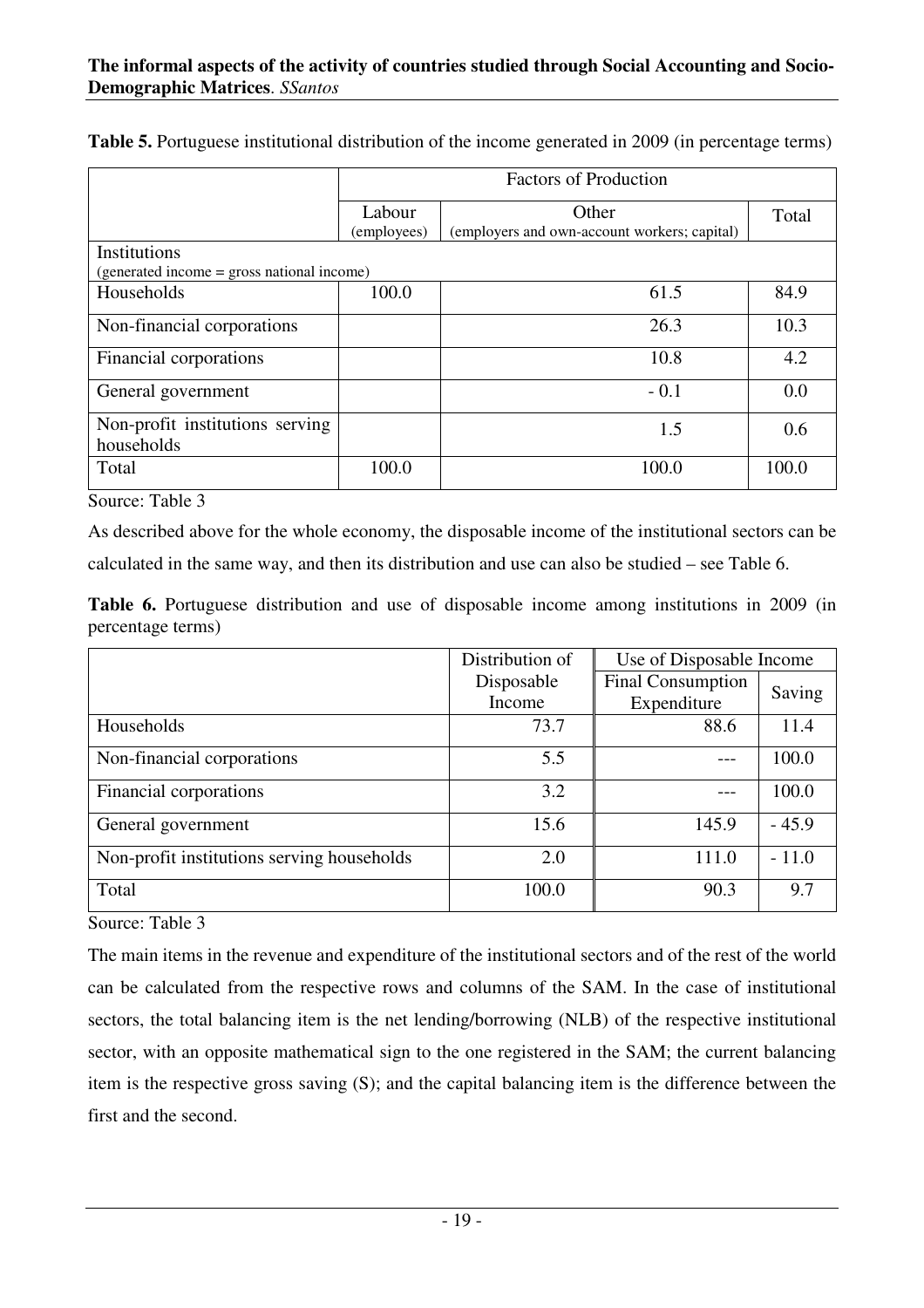|                                               | <b>Factors of Production</b> |                                              |       |  |  |  |
|-----------------------------------------------|------------------------------|----------------------------------------------|-------|--|--|--|
|                                               | Labour                       | Other                                        | Total |  |  |  |
|                                               | (employees)                  | (employers and own-account workers; capital) |       |  |  |  |
| Institutions                                  |                              |                                              |       |  |  |  |
| (generated income = gross national income)    |                              |                                              |       |  |  |  |
| Households                                    | 100.0                        | 61.5                                         | 84.9  |  |  |  |
| Non-financial corporations                    |                              | 26.3                                         | 10.3  |  |  |  |
| Financial corporations                        |                              | 10.8                                         | 4.2   |  |  |  |
| General government                            |                              | $-0.1$                                       | 0.0   |  |  |  |
| Non-profit institutions serving<br>households |                              | 1.5                                          | 0.6   |  |  |  |
|                                               |                              |                                              |       |  |  |  |
| Total                                         | 100.0                        | 100.0                                        | 100.0 |  |  |  |

**Table 5.** Portuguese institutional distribution of the income generated in 2009 (in percentage terms)

Source: Table 3

As described above for the whole economy, the disposable income of the institutional sectors can be calculated in the same way, and then its distribution and use can also be studied – see Table 6.

**Table 6.** Portuguese distribution and use of disposable income among institutions in 2009 (in percentage terms)

|                                            | Distribution of | Use of Disposable Income |         |
|--------------------------------------------|-----------------|--------------------------|---------|
|                                            | Disposable      | <b>Final Consumption</b> | Saving  |
|                                            | Income          | Expenditure              |         |
| Households                                 | 73.7            | 88.6                     | 11.4    |
| Non-financial corporations                 | 5.5             |                          | 100.0   |
| Financial corporations                     | 3.2             |                          | 100.0   |
| General government                         | 15.6            | 145.9                    | $-45.9$ |
| Non-profit institutions serving households | 2.0             | 111.0                    | $-11.0$ |
| Total                                      | 100.0           | 90.3                     | 9.7     |

Source: Table 3

The main items in the revenue and expenditure of the institutional sectors and of the rest of the world can be calculated from the respective rows and columns of the SAM. In the case of institutional sectors, the total balancing item is the net lending/borrowing (NLB) of the respective institutional sector, with an opposite mathematical sign to the one registered in the SAM; the current balancing item is the respective gross saving (S); and the capital balancing item is the difference between the first and the second.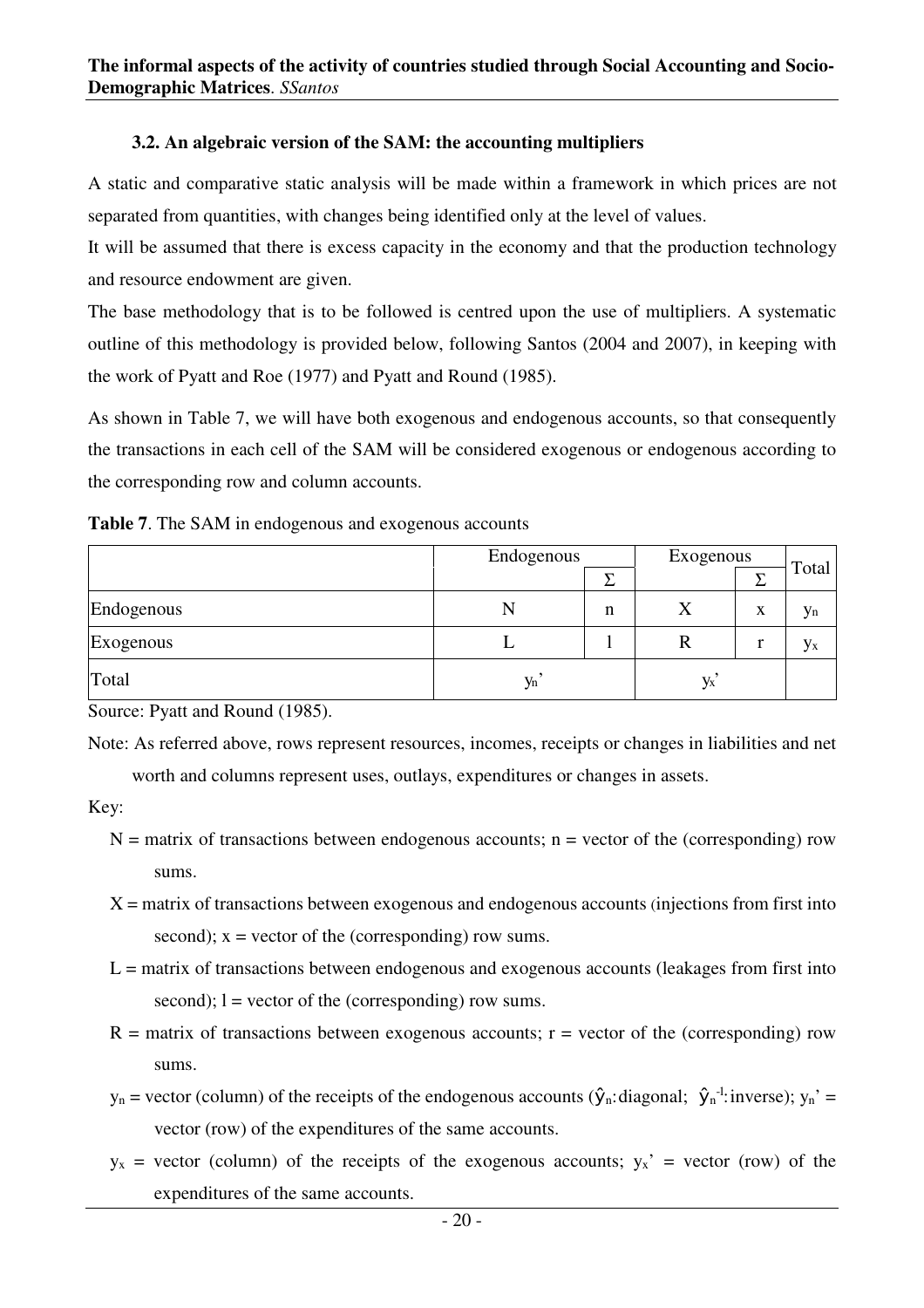## **3.2. An algebraic version of the SAM: the accounting multipliers**

A static and comparative static analysis will be made within a framework in which prices are not separated from quantities, with changes being identified only at the level of values.

It will be assumed that there is excess capacity in the economy and that the production technology and resource endowment are given.

The base methodology that is to be followed is centred upon the use of multipliers. A systematic outline of this methodology is provided below, following Santos (2004 and 2007), in keeping with the work of Pyatt and Roe (1977) and Pyatt and Round (1985).

As shown in Table 7, we will have both exogenous and endogenous accounts, so that consequently the transactions in each cell of the SAM will be considered exogenous or endogenous according to the corresponding row and column accounts.

|  |  |  | <b>Table 7.</b> The SAM in endogenous and exogenous accounts |  |
|--|--|--|--------------------------------------------------------------|--|
|--|--|--|--------------------------------------------------------------|--|

|            | Endogenous | Exogenous | Total |   |    |
|------------|------------|-----------|-------|---|----|
|            |            | ᠇         |       |   |    |
| Endogenous |            | n         | л     | x | Уn |
| Exogenous  |            |           | ĸ     |   | Уx |
| Total      | $y_n$      |           | Уx    |   |    |

Source: Pyatt and Round (1985).

Note: As referred above, rows represent resources, incomes, receipts or changes in liabilities and net worth and columns represent uses, outlays, expenditures or changes in assets.

Key:

- $N =$  matrix of transactions between endogenous accounts; n = vector of the (corresponding) row sums.
- $X =$  matrix of transactions between exogenous and endogenous accounts (injections from first into second);  $x =$  vector of the (corresponding) row sums.
- $L =$  matrix of transactions between endogenous and exogenous accounts (leakages from first into second);  $l =$  vector of the (corresponding) row sums.
- $R =$  matrix of transactions between exogenous accounts;  $r =$  vector of the (corresponding) row sums.
- $y_n$  = vector (column) of the receipts of the endogenous accounts ( $\hat{y}_n$ : diagonal;  $\hat{y}_n$ <sup>-1</sup>: inverse);  $y_n$ <sup>2</sup> = vector (row) of the expenditures of the same accounts.
- $y_x$  = vector (column) of the receipts of the exogenous accounts;  $y_x$ <sup>2</sup> = vector (row) of the expenditures of the same accounts.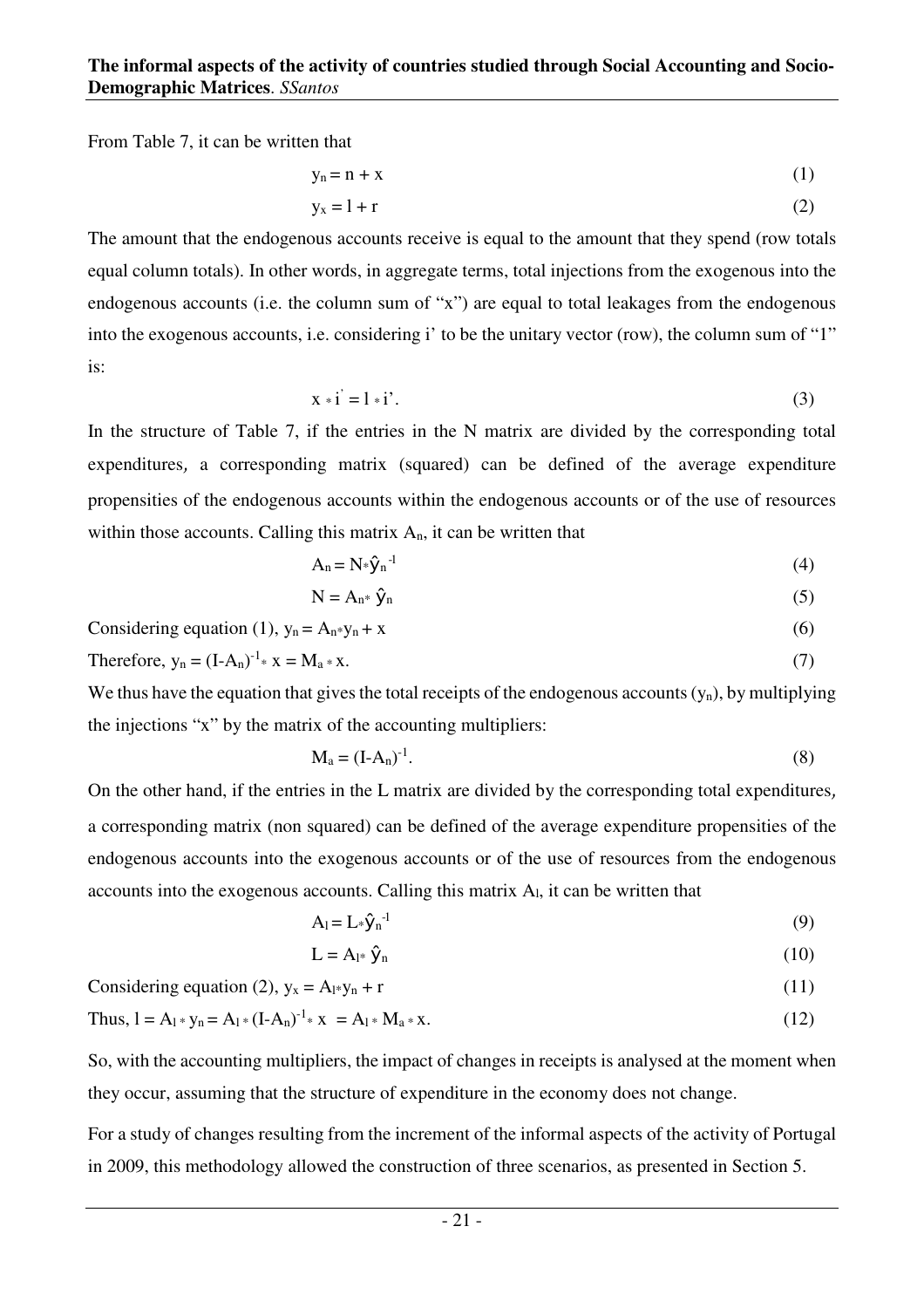From Table 7, it can be written that

$$
y_n = n + x \tag{1}
$$

$$
y_x = 1 + r \tag{2}
$$

The amount that the endogenous accounts receive is equal to the amount that they spend (row totals equal column totals). In other words, in aggregate terms, total injections from the exogenous into the endogenous accounts (i.e. the column sum of "x") are equal to total leakages from the endogenous into the exogenous accounts, i.e. considering i' to be the unitary vector (row), the column sum of "1" is:

$$
x * i' = 1 * i'. \tag{3}
$$

In the structure of Table 7, if the entries in the N matrix are divided by the corresponding total expenditures, a corresponding matrix (squared) can be defined of the average expenditure propensities of the endogenous accounts within the endogenous accounts or of the use of resources within those accounts. Calling this matrix  $A_n$ , it can be written that

$$
A_n = N \ast \hat{y}_n^{-1} \tag{4}
$$

$$
N = A_{n^*} \hat{y}_n \tag{5}
$$

Considering equation (1), 
$$
y_n = A_n * y_n + x
$$
 (6)

Therefore, 
$$
y_n = (I - A_n)^{-1} * x = M_a * x.
$$
 (7)

We thus have the equation that gives the total receipts of the endogenous accounts  $(y_n)$ , by multiplying the injections "x" by the matrix of the accounting multipliers:

$$
\mathbf{M}_a = (\mathbf{I} - \mathbf{A}_n)^{-1}.\tag{8}
$$

On the other hand, if the entries in the L matrix are divided by the corresponding total expenditures a corresponding matrix (non squared) can be defined of the average expenditure propensities of the endogenous accounts into the exogenous accounts or of the use of resources from the endogenous accounts into the exogenous accounts. Calling this matrix Al, it can be written that

$$
A_1 = L_* \hat{y}_n^{-1}
$$
 (9)

$$
L = A_{1^*} \hat{y}_n \tag{10}
$$

Considering equation (2), 
$$
y_x = A_1 * y_n + r
$$
 (11)

Thus, 
$$
1 = A_1 * y_n = A_1 * (I - A_n)^{-1} * x = A_1 * M_a * x.
$$
 (12)

So, with the accounting multipliers, the impact of changes in receipts is analysed at the moment when they occur, assuming that the structure of expenditure in the economy does not change.

For a study of changes resulting from the increment of the informal aspects of the activity of Portugal in 2009, this methodology allowed the construction of three scenarios, as presented in Section 5.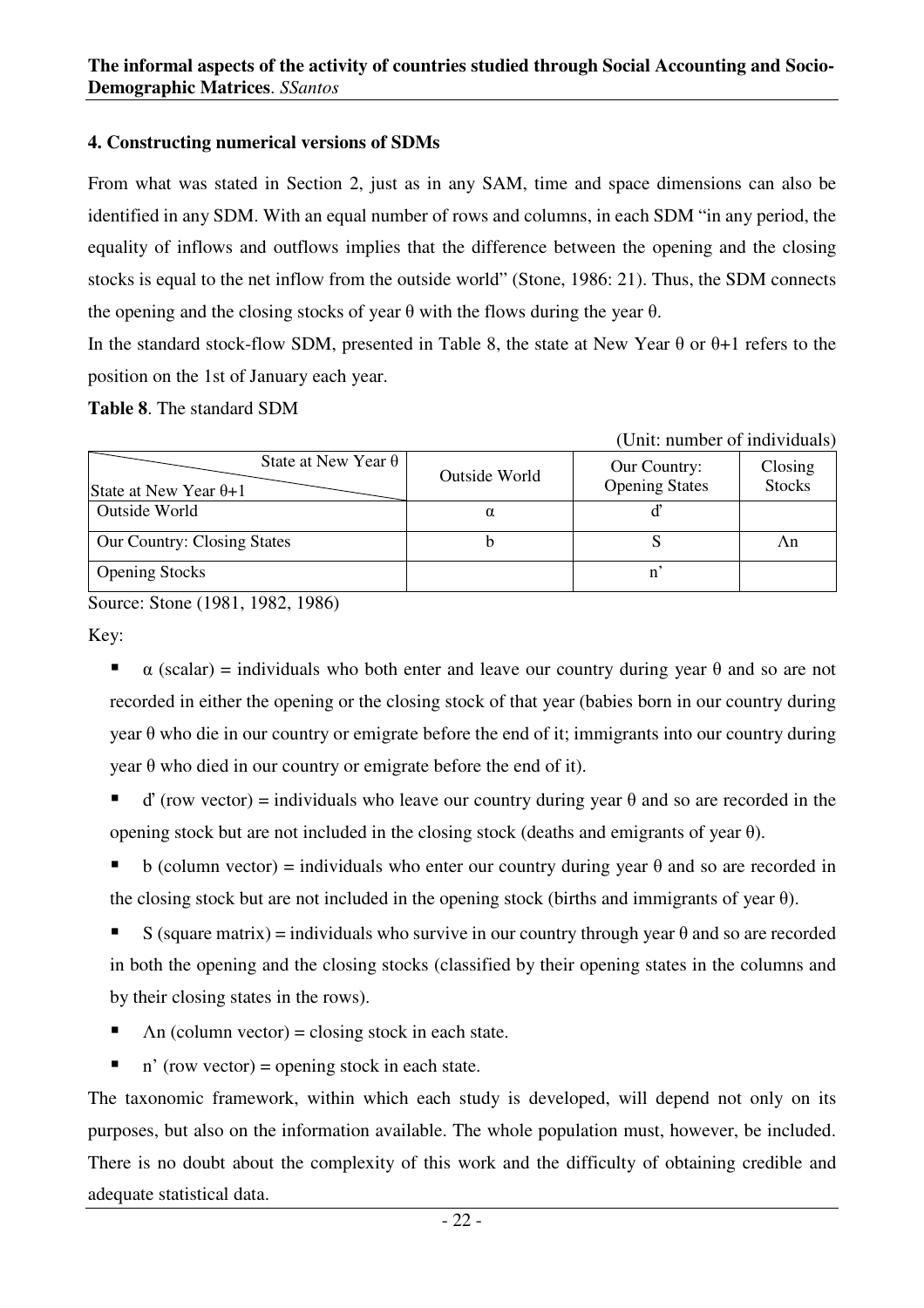## **4. Constructing numerical versions of SDMs**

From what was stated in Section 2, just as in any SAM, time and space dimensions can also be identified in any SDM. With an equal number of rows and columns, in each SDM "in any period, the equality of inflows and outflows implies that the difference between the opening and the closing stocks is equal to the net inflow from the outside world" (Stone, 1986: 21). Thus, the SDM connects the opening and the closing stocks of year  $\theta$  with the flows during the year  $\theta$ .

In the standard stock-flow SDM, presented in Table 8, the state at New Year  $\theta$  or  $\theta+1$  refers to the position on the 1st of January each year.

(Unit: number of individuals)

**Table 8**. The standard SDM

|                                                            |               | Omi. number of murviduals)            |                          |
|------------------------------------------------------------|---------------|---------------------------------------|--------------------------|
| State at New Year $\theta$<br>State at New Year $\theta+1$ | Outside World | Our Country:<br><b>Opening States</b> | Closing<br><b>Stocks</b> |
| Outside World                                              | α             |                                       |                          |
| <b>Our Country: Closing States</b>                         |               |                                       | Λn                       |
| <b>Opening Stocks</b>                                      |               |                                       |                          |

Source: Stone (1981, 1982, 1986)

Key:

- $\alpha$  (scalar) = individuals who both enter and leave our country during year  $\theta$  and so are not recorded in either the opening or the closing stock of that year (babies born in our country during year θ who die in our country or emigrate before the end of it; immigrants into our country during year θ who died in our country or emigrate before the end of it).
- ď (row vector) = individuals who leave our country during year θ and so are recorded in the opening stock but are not included in the closing stock (deaths and emigrants of year  $\theta$ ).
- b (column vector) = individuals who enter our country during year  $\theta$  and so are recorded in the closing stock but are not included in the opening stock (births and immigrants of year  $\theta$ ).
- S (square matrix) = individuals who survive in our country through year  $\theta$  and so are recorded in both the opening and the closing stocks (classified by their opening states in the columns and by their closing states in the rows).
- $\blacksquare$  An (column vector) = closing stock in each state.
- $\blacksquare$  n' (row vector) = opening stock in each state.

The taxonomic framework, within which each study is developed, will depend not only on its purposes, but also on the information available. The whole population must, however, be included. There is no doubt about the complexity of this work and the difficulty of obtaining credible and adequate statistical data.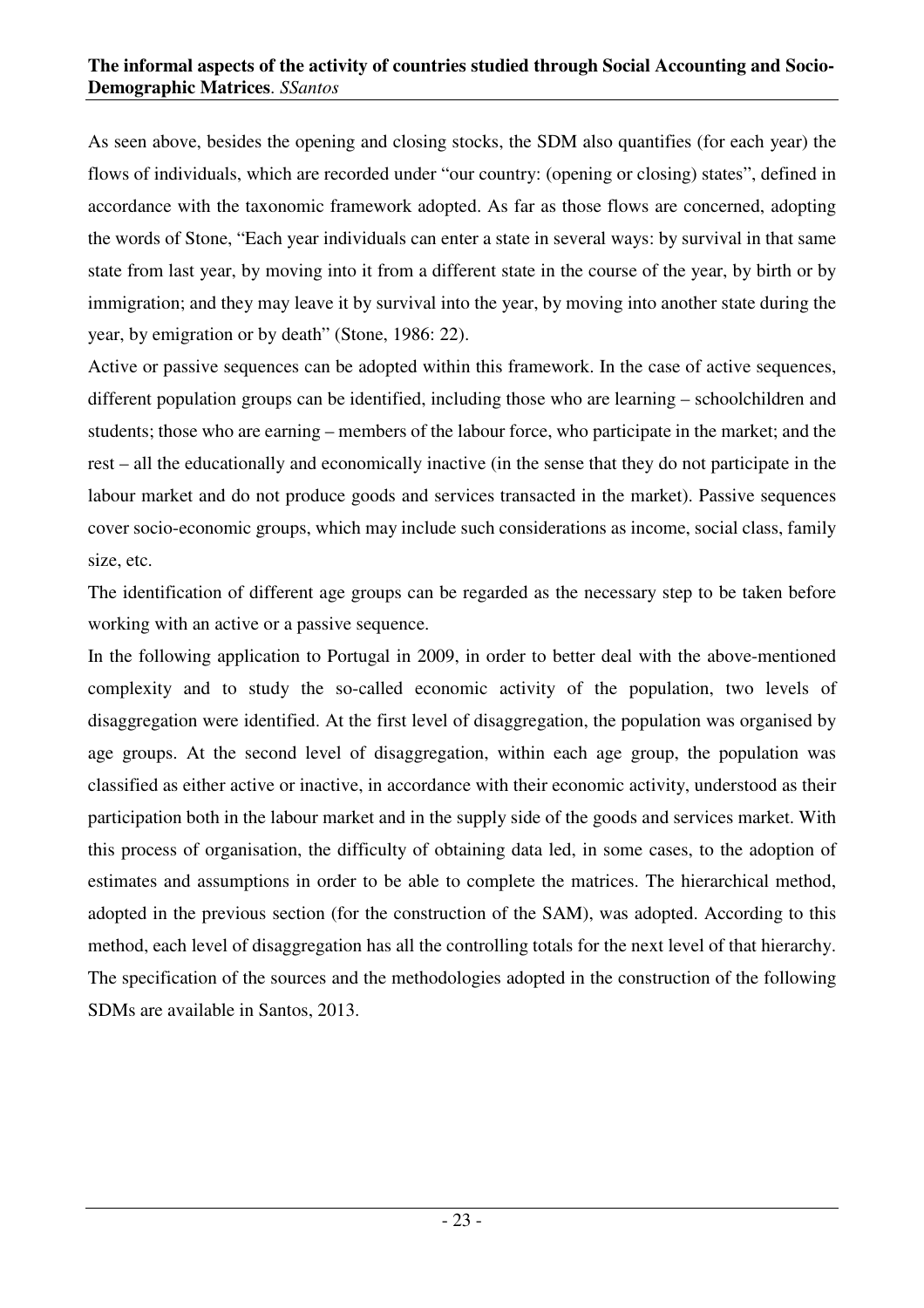As seen above, besides the opening and closing stocks, the SDM also quantifies (for each year) the flows of individuals, which are recorded under "our country: (opening or closing) states", defined in accordance with the taxonomic framework adopted. As far as those flows are concerned, adopting the words of Stone, "Each year individuals can enter a state in several ways: by survival in that same state from last year, by moving into it from a different state in the course of the year, by birth or by immigration; and they may leave it by survival into the year, by moving into another state during the year, by emigration or by death" (Stone, 1986: 22).

Active or passive sequences can be adopted within this framework. In the case of active sequences, different population groups can be identified, including those who are learning – schoolchildren and students; those who are earning – members of the labour force, who participate in the market; and the rest – all the educationally and economically inactive (in the sense that they do not participate in the labour market and do not produce goods and services transacted in the market). Passive sequences cover socio-economic groups, which may include such considerations as income, social class, family size, etc.

The identification of different age groups can be regarded as the necessary step to be taken before working with an active or a passive sequence.

In the following application to Portugal in 2009, in order to better deal with the above-mentioned complexity and to study the so-called economic activity of the population, two levels of disaggregation were identified. At the first level of disaggregation, the population was organised by age groups. At the second level of disaggregation, within each age group, the population was classified as either active or inactive, in accordance with their economic activity, understood as their participation both in the labour market and in the supply side of the goods and services market. With this process of organisation, the difficulty of obtaining data led, in some cases, to the adoption of estimates and assumptions in order to be able to complete the matrices. The hierarchical method, adopted in the previous section (for the construction of the SAM), was adopted. According to this method, each level of disaggregation has all the controlling totals for the next level of that hierarchy. The specification of the sources and the methodologies adopted in the construction of the following SDMs are available in Santos, 2013.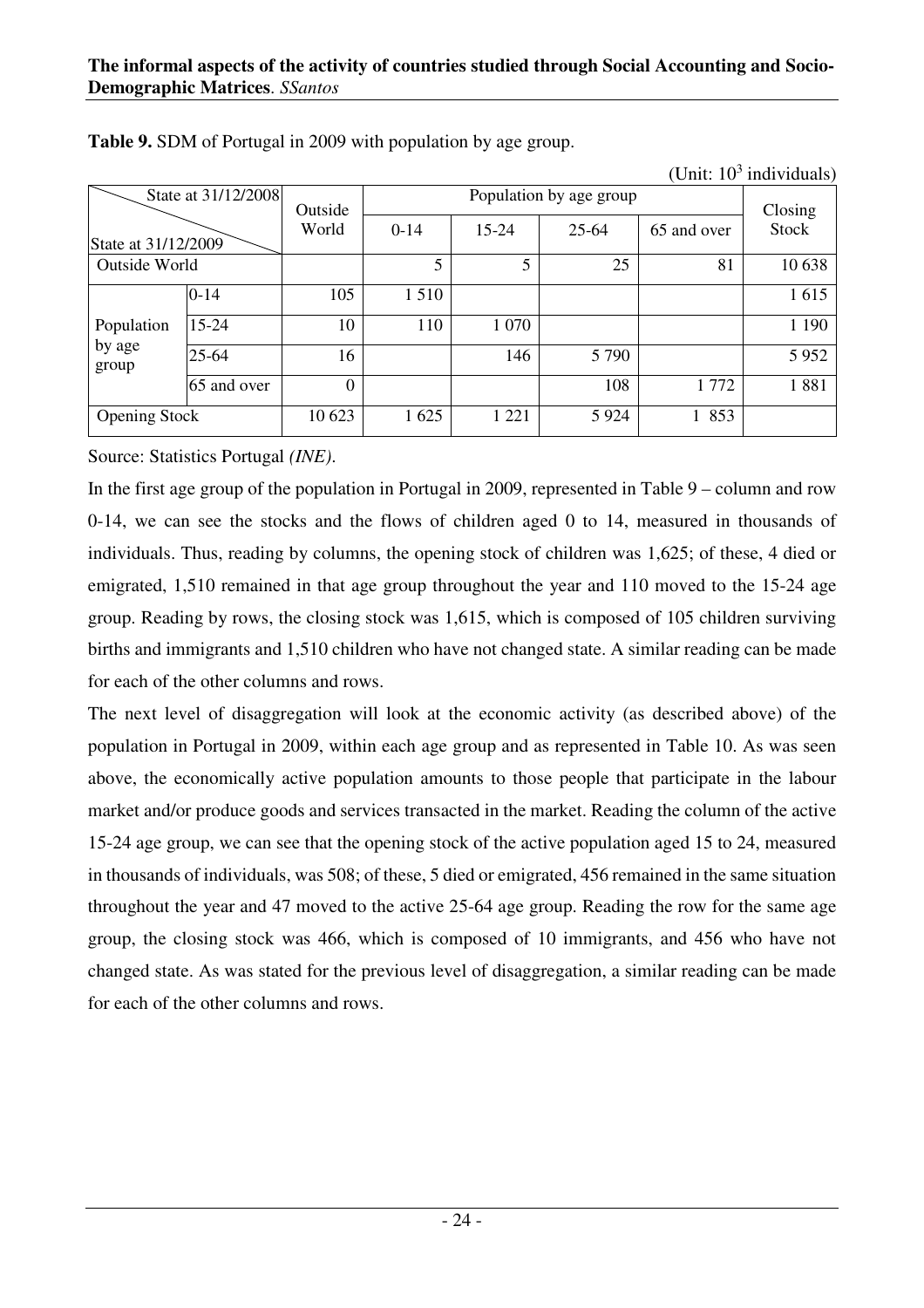|                      | State at 31/12/2008 | Outside  |          |           | Population by age group |             | Closing      |  |
|----------------------|---------------------|----------|----------|-----------|-------------------------|-------------|--------------|--|
| State at 31/12/2009  |                     | World    | $0 - 14$ | $15 - 24$ | 25-64                   | 65 and over | <b>Stock</b> |  |
| Outside World        |                     |          | 5        | 5         | 25                      | 81          | 10 638       |  |
|                      | $0 - 14$            | 105      | 1510     |           |                         |             | 1615         |  |
| Population           | $15-24$             | 10       | 110      | 1 0 7 0   |                         |             | 1 1 9 0      |  |
| by age<br>group      | 25-64               | 16       |          | 146       | 5790                    |             | 5952         |  |
|                      | 65 and over         | $\Omega$ |          |           | 108                     | 1772        | 1881         |  |
| <b>Opening Stock</b> |                     | 10 623   | 1625     | 1 2 2 1   | 5 9 2 4                 | 1 853       |              |  |

**Table 9.** SDM of Portugal in 2009 with population by age group.

(Unit:  $10^3$  individuals)

Source: Statistics Portugal *(INE)*.

In the first age group of the population in Portugal in 2009, represented in Table 9 – column and row 0-14, we can see the stocks and the flows of children aged 0 to 14, measured in thousands of individuals. Thus, reading by columns, the opening stock of children was 1,625; of these, 4 died or emigrated, 1,510 remained in that age group throughout the year and 110 moved to the 15-24 age group. Reading by rows, the closing stock was 1,615, which is composed of 105 children surviving births and immigrants and 1,510 children who have not changed state. A similar reading can be made for each of the other columns and rows.

The next level of disaggregation will look at the economic activity (as described above) of the population in Portugal in 2009, within each age group and as represented in Table 10. As was seen above, the economically active population amounts to those people that participate in the labour market and/or produce goods and services transacted in the market. Reading the column of the active 15-24 age group, we can see that the opening stock of the active population aged 15 to 24, measured in thousands of individuals, was 508; of these, 5 died or emigrated, 456 remained in the same situation throughout the year and 47 moved to the active 25-64 age group. Reading the row for the same age group, the closing stock was 466, which is composed of 10 immigrants, and 456 who have not changed state. As was stated for the previous level of disaggregation, a similar reading can be made for each of the other columns and rows.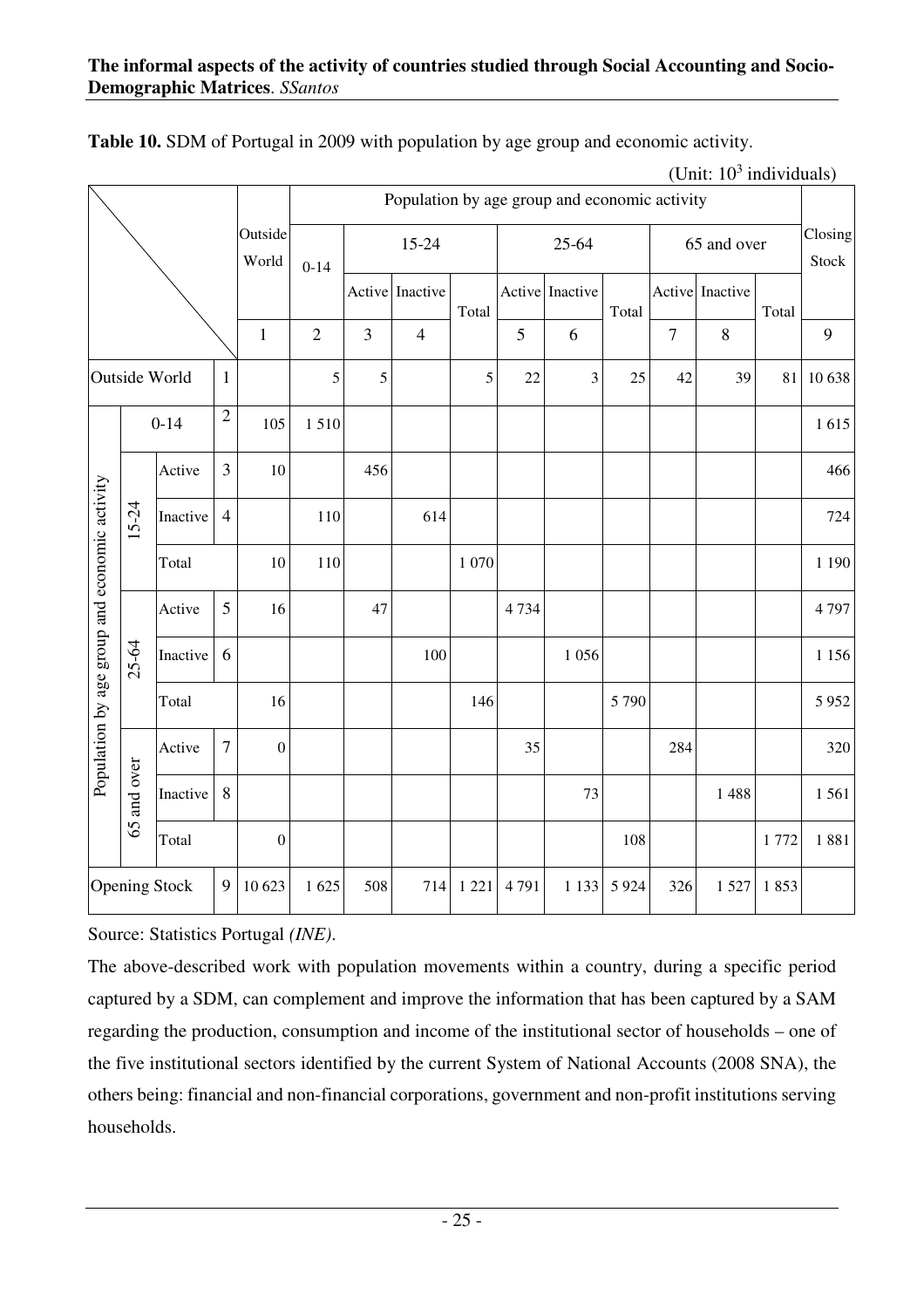|                                               |                            |                      |                  |                  |            |        | Population by age group and economic activity |         |      |                 |         |        |                 |       |                  |
|-----------------------------------------------|----------------------------|----------------------|------------------|------------------|------------|--------|-----------------------------------------------|---------|------|-----------------|---------|--------|-----------------|-------|------------------|
|                                               |                            |                      |                  | Outside<br>World | $0 - 14$   |        | 15-24                                         |         |      | 25-64           |         |        | 65 and over     |       | Closing<br>Stock |
|                                               |                            |                      |                  |                  |            | Active | Inactive                                      | Total   |      | Active Inactive | Total   |        | Active Inactive | Total |                  |
|                                               |                            |                      |                  | $\mathbf{1}$     | $\sqrt{2}$ | 3      | $\overline{4}$                                |         | 5    | 6               |         | $\tau$ | 8               |       | 9                |
|                                               |                            | Outside World        | $\mathbf{1}$     |                  | 5          | 5      |                                               | 5       | 22   | $\mathfrak{Z}$  | 25      | 42     | 39              | 81    | 10 638           |
|                                               | $\overline{2}$<br>$0 - 14$ |                      |                  | 105              | 1510       |        |                                               |         |      |                 |         |        |                 |       | 1615             |
|                                               |                            | Active               | 3                | 10               |            | 456    |                                               |         |      |                 |         |        |                 |       | 466              |
| Population by age group and economic activity | $15 - 24$                  | Inactive             | $\overline{4}$   |                  | 110        |        | 614                                           |         |      |                 |         |        |                 |       | 724              |
|                                               |                            | Total                |                  | $10\,$           | 110        |        |                                               | 1 0 7 0 |      |                 |         |        |                 |       | 1 1 9 0          |
|                                               |                            | Active               | 5                | 16               |            | 47     |                                               |         | 4734 |                 |         |        |                 |       | 4797             |
|                                               | 25-64                      | Inactive             | 6                |                  |            |        | 100                                           |         |      | 1 0 5 6         |         |        |                 |       | 1 1 5 6          |
|                                               |                            | Total                |                  | 16               |            |        |                                               | 146     |      |                 | 5 7 9 0 |        |                 |       | 5952             |
|                                               |                            | Active               | $\boldsymbol{7}$ | $\boldsymbol{0}$ |            |        |                                               |         | 35   |                 |         | 284    |                 |       | 320              |
|                                               | and over                   | Inactive             | 8                |                  |            |        |                                               |         |      | 73              |         |        | 1488            |       | 1561             |
|                                               | 65                         | Total                |                  | $\boldsymbol{0}$ |            |        |                                               |         |      |                 | 108     |        |                 | 1772  | 1881             |
|                                               |                            | <b>Opening Stock</b> | 9                | 10 623           | 1 625      | 508    | 714                                           | 1 2 2 1 | 4791 | 1 1 3 3         | 5 9 2 4 | 326    | 1527            | 1853  |                  |

**Table 10.** SDM of Portugal in 2009 with population by age group and economic activity.

(Unit:  $10^3$  individuals)

Source: Statistics Portugal *(INE)*.

The above-described work with population movements within a country, during a specific period captured by a SDM, can complement and improve the information that has been captured by a SAM regarding the production, consumption and income of the institutional sector of households – one of the five institutional sectors identified by the current System of National Accounts (2008 SNA), the others being: financial and non-financial corporations, government and non-profit institutions serving households.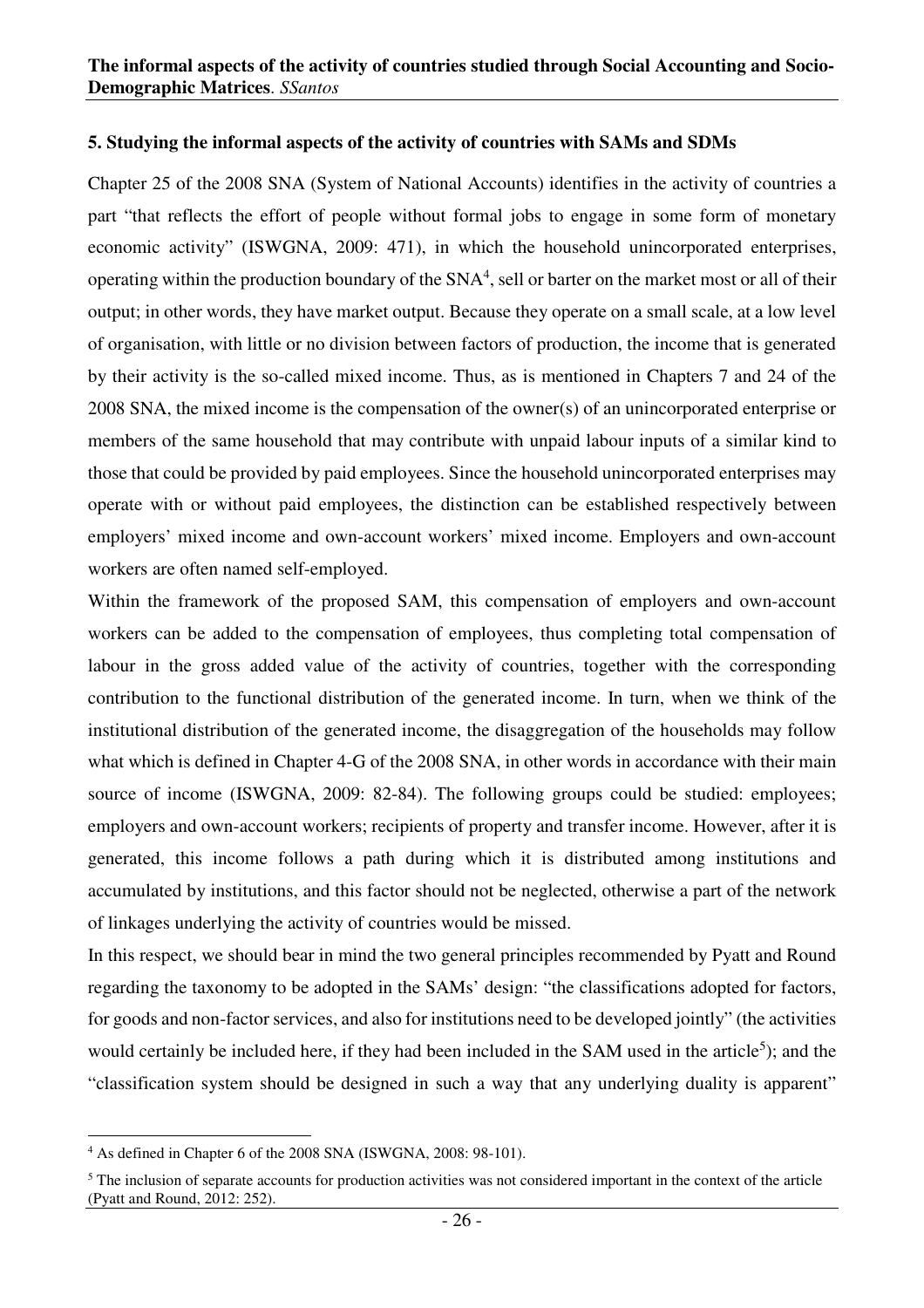#### **5. Studying the informal aspects of the activity of countries with SAMs and SDMs**

Chapter 25 of the 2008 SNA (System of National Accounts) identifies in the activity of countries a part "that reflects the effort of people without formal jobs to engage in some form of monetary economic activity" (ISWGNA, 2009: 471), in which the household unincorporated enterprises, operating within the production boundary of the  $SNA<sup>4</sup>$ , sell or barter on the market most or all of their output; in other words, they have market output. Because they operate on a small scale, at a low level of organisation, with little or no division between factors of production, the income that is generated by their activity is the so-called mixed income. Thus, as is mentioned in Chapters 7 and 24 of the 2008 SNA, the mixed income is the compensation of the owner(s) of an unincorporated enterprise or members of the same household that may contribute with unpaid labour inputs of a similar kind to those that could be provided by paid employees. Since the household unincorporated enterprises may operate with or without paid employees, the distinction can be established respectively between employers' mixed income and own-account workers' mixed income. Employers and own-account workers are often named self-employed.

Within the framework of the proposed SAM, this compensation of employers and own-account workers can be added to the compensation of employees, thus completing total compensation of labour in the gross added value of the activity of countries, together with the corresponding contribution to the functional distribution of the generated income. In turn, when we think of the institutional distribution of the generated income, the disaggregation of the households may follow what which is defined in Chapter 4-G of the 2008 SNA, in other words in accordance with their main source of income (ISWGNA, 2009: 82-84). The following groups could be studied: employees; employers and own-account workers; recipients of property and transfer income. However, after it is generated, this income follows a path during which it is distributed among institutions and accumulated by institutions, and this factor should not be neglected, otherwise a part of the network of linkages underlying the activity of countries would be missed.

In this respect, we should bear in mind the two general principles recommended by Pyatt and Round regarding the taxonomy to be adopted in the SAMs' design: "the classifications adopted for factors, for goods and non-factor services, and also for institutions need to be developed jointly" (the activities would certainly be included here, if they had been included in the SAM used in the article<sup>5</sup>); and the "classification system should be designed in such a way that any underlying duality is apparent"

 $\overline{a}$ <sup>4</sup> As defined in Chapter 6 of the 2008 SNA (ISWGNA, 2008: 98-101).

<sup>&</sup>lt;sup>5</sup> The inclusion of separate accounts for production activities was not considered important in the context of the article (Pyatt and Round, 2012: 252).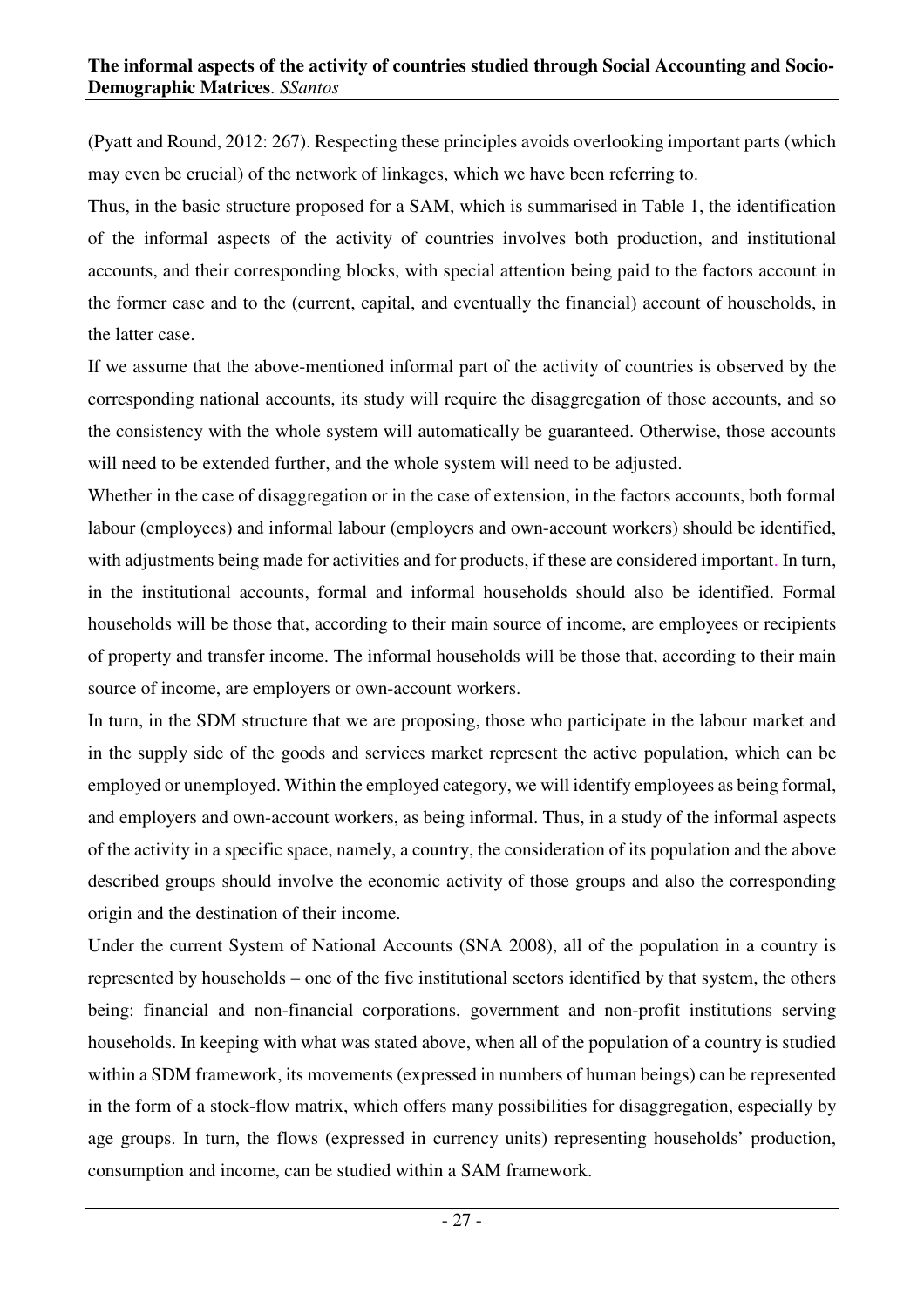(Pyatt and Round, 2012: 267). Respecting these principles avoids overlooking important parts (which may even be crucial) of the network of linkages, which we have been referring to.

Thus, in the basic structure proposed for a SAM, which is summarised in Table 1, the identification of the informal aspects of the activity of countries involves both production, and institutional accounts, and their corresponding blocks, with special attention being paid to the factors account in the former case and to the (current, capital, and eventually the financial) account of households, in the latter case.

If we assume that the above-mentioned informal part of the activity of countries is observed by the corresponding national accounts, its study will require the disaggregation of those accounts, and so the consistency with the whole system will automatically be guaranteed. Otherwise, those accounts will need to be extended further, and the whole system will need to be adjusted.

Whether in the case of disaggregation or in the case of extension, in the factors accounts, both formal labour (employees) and informal labour (employers and own-account workers) should be identified, with adjustments being made for activities and for products, if these are considered important. In turn, in the institutional accounts, formal and informal households should also be identified. Formal households will be those that, according to their main source of income, are employees or recipients of property and transfer income. The informal households will be those that, according to their main source of income, are employers or own-account workers.

In turn, in the SDM structure that we are proposing, those who participate in the labour market and in the supply side of the goods and services market represent the active population, which can be employed or unemployed. Within the employed category, we will identify employees as being formal, and employers and own-account workers, as being informal. Thus, in a study of the informal aspects of the activity in a specific space, namely, a country, the consideration of its population and the above described groups should involve the economic activity of those groups and also the corresponding origin and the destination of their income.

Under the current System of National Accounts (SNA 2008), all of the population in a country is represented by households – one of the five institutional sectors identified by that system, the others being: financial and non-financial corporations, government and non-profit institutions serving households. In keeping with what was stated above, when all of the population of a country is studied within a SDM framework, its movements (expressed in numbers of human beings) can be represented in the form of a stock-flow matrix, which offers many possibilities for disaggregation, especially by age groups. In turn, the flows (expressed in currency units) representing households' production, consumption and income, can be studied within a SAM framework.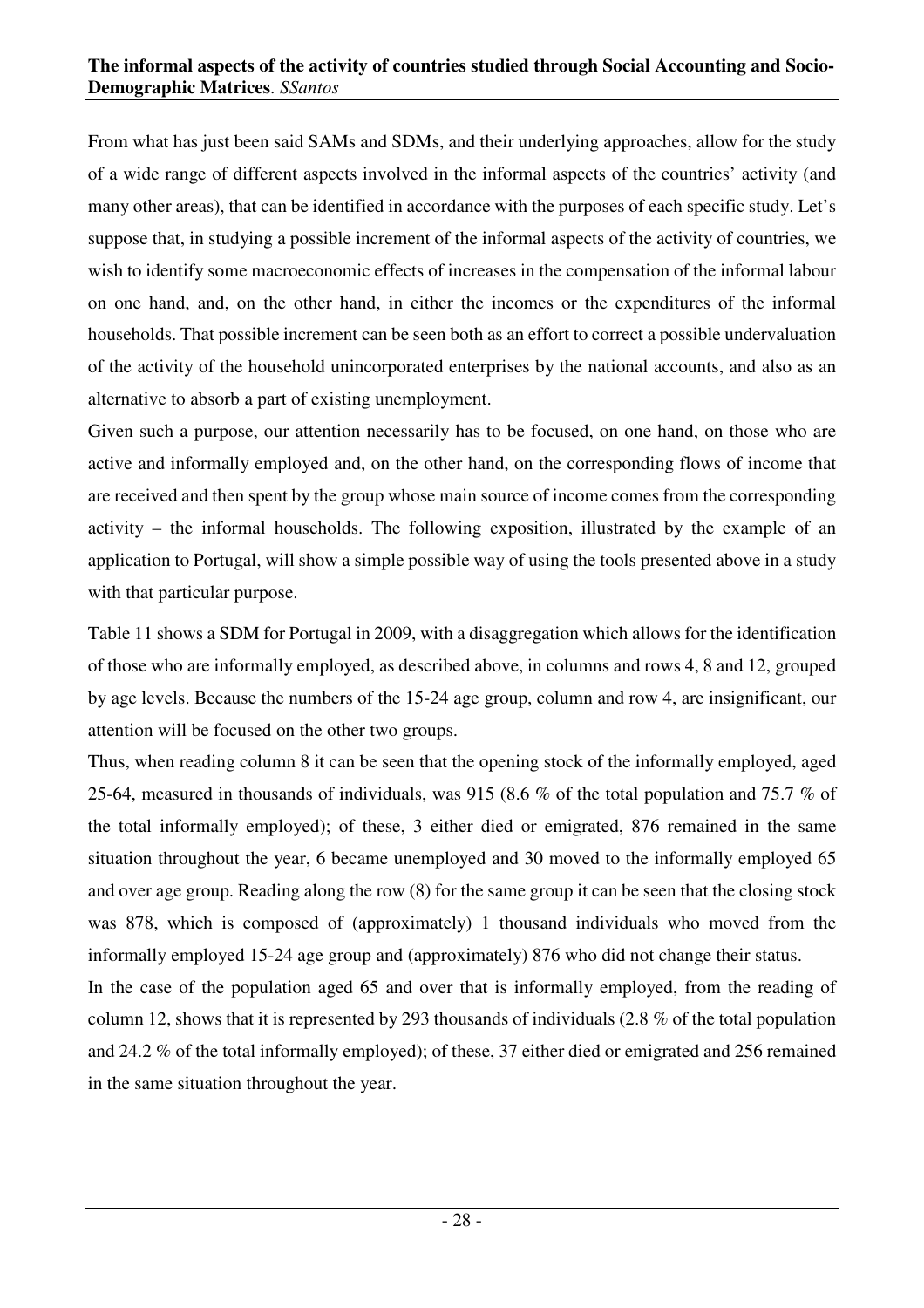From what has just been said SAMs and SDMs, and their underlying approaches, allow for the study of a wide range of different aspects involved in the informal aspects of the countries' activity (and many other areas), that can be identified in accordance with the purposes of each specific study. Let's suppose that, in studying a possible increment of the informal aspects of the activity of countries, we wish to identify some macroeconomic effects of increases in the compensation of the informal labour on one hand, and, on the other hand, in either the incomes or the expenditures of the informal households. That possible increment can be seen both as an effort to correct a possible undervaluation of the activity of the household unincorporated enterprises by the national accounts, and also as an alternative to absorb a part of existing unemployment.

Given such a purpose, our attention necessarily has to be focused, on one hand, on those who are active and informally employed and, on the other hand, on the corresponding flows of income that are received and then spent by the group whose main source of income comes from the corresponding activity – the informal households. The following exposition, illustrated by the example of an application to Portugal, will show a simple possible way of using the tools presented above in a study with that particular purpose.

Table 11 shows a SDM for Portugal in 2009, with a disaggregation which allows for the identification of those who are informally employed, as described above, in columns and rows 4, 8 and 12, grouped by age levels. Because the numbers of the 15-24 age group, column and row 4, are insignificant, our attention will be focused on the other two groups.

Thus, when reading column 8 it can be seen that the opening stock of the informally employed, aged 25-64, measured in thousands of individuals, was 915 (8.6 % of the total population and 75.7 % of the total informally employed); of these, 3 either died or emigrated, 876 remained in the same situation throughout the year, 6 became unemployed and 30 moved to the informally employed 65 and over age group. Reading along the row (8) for the same group it can be seen that the closing stock was 878, which is composed of (approximately) 1 thousand individuals who moved from the informally employed 15-24 age group and (approximately) 876 who did not change their status.

In the case of the population aged 65 and over that is informally employed, from the reading of column 12, shows that it is represented by 293 thousands of individuals (2.8 % of the total population and 24.2 % of the total informally employed); of these, 37 either died or emigrated and 256 remained in the same situation throughout the year.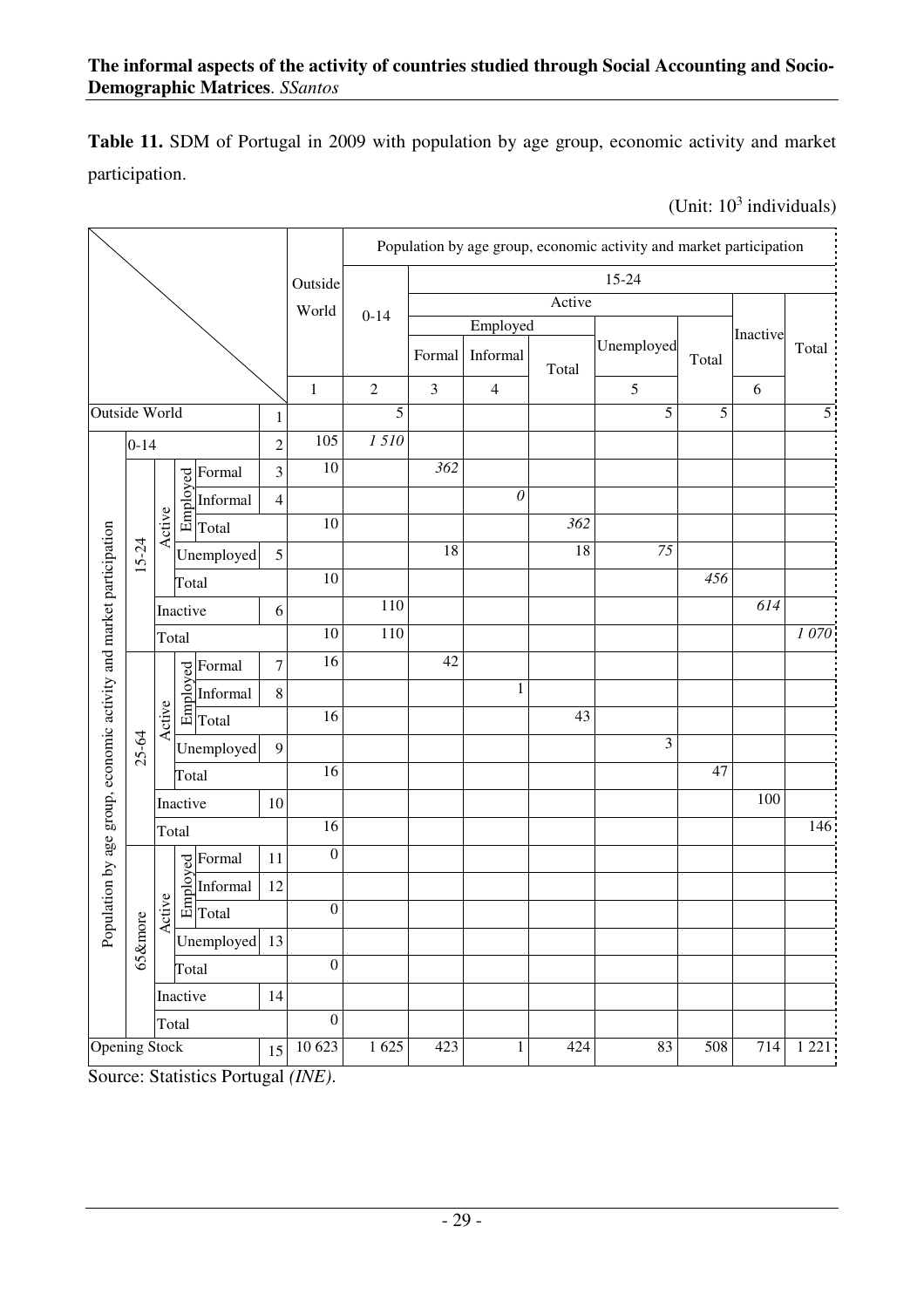**Table 11.** SDM of Portugal in 2009 with population by age group, economic activity and market participation.

(Unit:  $10^3$  individuals)

|                                                                     |                      |        |          |                                                                                                                                                                                                                                                                                           |                  |                  |                |                  |                |                  | Population by age group, economic activity and market participation |                  |          |         |
|---------------------------------------------------------------------|----------------------|--------|----------|-------------------------------------------------------------------------------------------------------------------------------------------------------------------------------------------------------------------------------------------------------------------------------------------|------------------|------------------|----------------|------------------|----------------|------------------|---------------------------------------------------------------------|------------------|----------|---------|
|                                                                     |                      |        |          |                                                                                                                                                                                                                                                                                           |                  | Outside          |                |                  |                |                  | 15-24                                                               |                  |          |         |
|                                                                     |                      |        |          |                                                                                                                                                                                                                                                                                           |                  | World            | $0 - 14$       |                  |                | Active           |                                                                     |                  |          |         |
|                                                                     |                      |        |          |                                                                                                                                                                                                                                                                                           |                  |                  |                |                  | Employed       |                  |                                                                     |                  | Inactive |         |
|                                                                     |                      |        |          |                                                                                                                                                                                                                                                                                           |                  |                  |                | Formal           | Informal       | Total            | Unemployed                                                          | Total            |          | Total   |
|                                                                     |                      |        |          |                                                                                                                                                                                                                                                                                           |                  | $\mathbf{1}$     | $\overline{2}$ | $\mathfrak{Z}$   | $\overline{4}$ |                  | 5                                                                   |                  | 6        |         |
| <b>Outside World</b>                                                |                      |        |          |                                                                                                                                                                                                                                                                                           | $\mathbf{1}$     |                  | 5              |                  |                |                  | 5                                                                   | 5                |          | 5       |
|                                                                     | $0 - 14$             |        |          |                                                                                                                                                                                                                                                                                           | $\overline{2}$   | 105              | 1510           |                  |                |                  |                                                                     |                  |          |         |
|                                                                     |                      |        |          | Formal                                                                                                                                                                                                                                                                                    | 3                | 10               |                | $\overline{362}$ |                |                  |                                                                     |                  |          |         |
|                                                                     |                      |        |          | Informal                                                                                                                                                                                                                                                                                  | $\overline{4}$   |                  |                |                  | $\mathcal O$   |                  |                                                                     |                  |          |         |
|                                                                     |                      | Active |          | $\begin{array}{c}\n\hline\n\infty \\ \hline\n\infty \\ \hline\n\infty\n\end{array}$ $\begin{array}{c}\n\hline\n\infty \\ \hline\n\infty\n\end{array}$ $\begin{array}{c}\n\hline\n\infty \\ \hline\n\infty\n\end{array}$ $\begin{array}{c}\n\hline\n\infty \\ \hline\n\infty\n\end{array}$ |                  | 10               |                |                  |                | $\overline{362}$ |                                                                     |                  |          |         |
|                                                                     | 15-24                |        |          | Unemployed                                                                                                                                                                                                                                                                                | 5                |                  |                | 18               |                | 18               | 75                                                                  |                  |          |         |
|                                                                     |                      |        | Total    |                                                                                                                                                                                                                                                                                           |                  | 10               |                |                  |                |                  |                                                                     | $\overline{456}$ |          |         |
|                                                                     |                      |        | Inactive |                                                                                                                                                                                                                                                                                           | 6                |                  | 110            |                  |                |                  |                                                                     |                  | 614      |         |
|                                                                     |                      | Total  |          |                                                                                                                                                                                                                                                                                           |                  | 10               | 110            |                  |                |                  |                                                                     |                  |          | 1070    |
|                                                                     |                      |        |          | Formal                                                                                                                                                                                                                                                                                    | $\boldsymbol{7}$ | $\overline{16}$  |                | 42               |                |                  |                                                                     |                  |          |         |
|                                                                     |                      |        |          | <b>Porma</b><br><b>Contract Contract Contract Contract Contract Contract Contract Contract Contract Contract Contract Contract Contract Contract Contract Contract Contract Contract Contract Contract Contract Contract Contract Contr</b><br>Informal                                   | $8\,$            |                  |                |                  | $\mathbf{1}$   |                  |                                                                     |                  |          |         |
|                                                                     |                      | Active |          |                                                                                                                                                                                                                                                                                           |                  | 16               |                |                  |                | 43               |                                                                     |                  |          |         |
|                                                                     | 25-64                |        |          | Unemployed                                                                                                                                                                                                                                                                                | 9                |                  |                |                  |                |                  | 3                                                                   |                  |          |         |
|                                                                     |                      |        | Total    |                                                                                                                                                                                                                                                                                           |                  | 16               |                |                  |                |                  |                                                                     | 47               |          |         |
|                                                                     |                      |        | Inactive |                                                                                                                                                                                                                                                                                           | 10               |                  |                |                  |                |                  |                                                                     |                  | 100      |         |
| Population by age group, economic activity and market participation |                      |        | Total    |                                                                                                                                                                                                                                                                                           |                  | $\overline{16}$  |                |                  |                |                  |                                                                     |                  |          | 146     |
|                                                                     |                      |        |          | Formal                                                                                                                                                                                                                                                                                    | 11               | $\boldsymbol{0}$ |                |                  |                |                  |                                                                     |                  |          |         |
|                                                                     |                      |        |          | Informal                                                                                                                                                                                                                                                                                  | 12               |                  |                |                  |                |                  |                                                                     |                  |          |         |
|                                                                     |                      | Active |          | $\begin{array}{c}\n\hline\n\downarrow \text{Form:}\n\\ \hline\n\uparrow \text{Re} \text{Im} \text{for} \text{Im}\n\\ \hline\n\downarrow \text{Total}\n\end{array}$                                                                                                                        |                  | $\boldsymbol{0}$ |                |                  |                |                  |                                                                     |                  |          |         |
|                                                                     | 65&more              |        |          | Unemployed                                                                                                                                                                                                                                                                                | 13               |                  |                |                  |                |                  |                                                                     |                  |          |         |
|                                                                     |                      |        | Total    |                                                                                                                                                                                                                                                                                           |                  | $\boldsymbol{0}$ |                |                  |                |                  |                                                                     |                  |          |         |
|                                                                     |                      |        | Inactive |                                                                                                                                                                                                                                                                                           | 14               |                  |                |                  |                |                  |                                                                     |                  |          |         |
|                                                                     |                      |        | Total    |                                                                                                                                                                                                                                                                                           |                  | $\boldsymbol{0}$ |                |                  |                |                  |                                                                     |                  |          |         |
|                                                                     | <b>Opening Stock</b> |        |          |                                                                                                                                                                                                                                                                                           | 15               | 10 623           | 1625           | 423              | $\mathbf{1}$   | 424              | 83                                                                  | 508              | 714      | 1 2 2 1 |

Source: Statistics Portugal *(INE)*.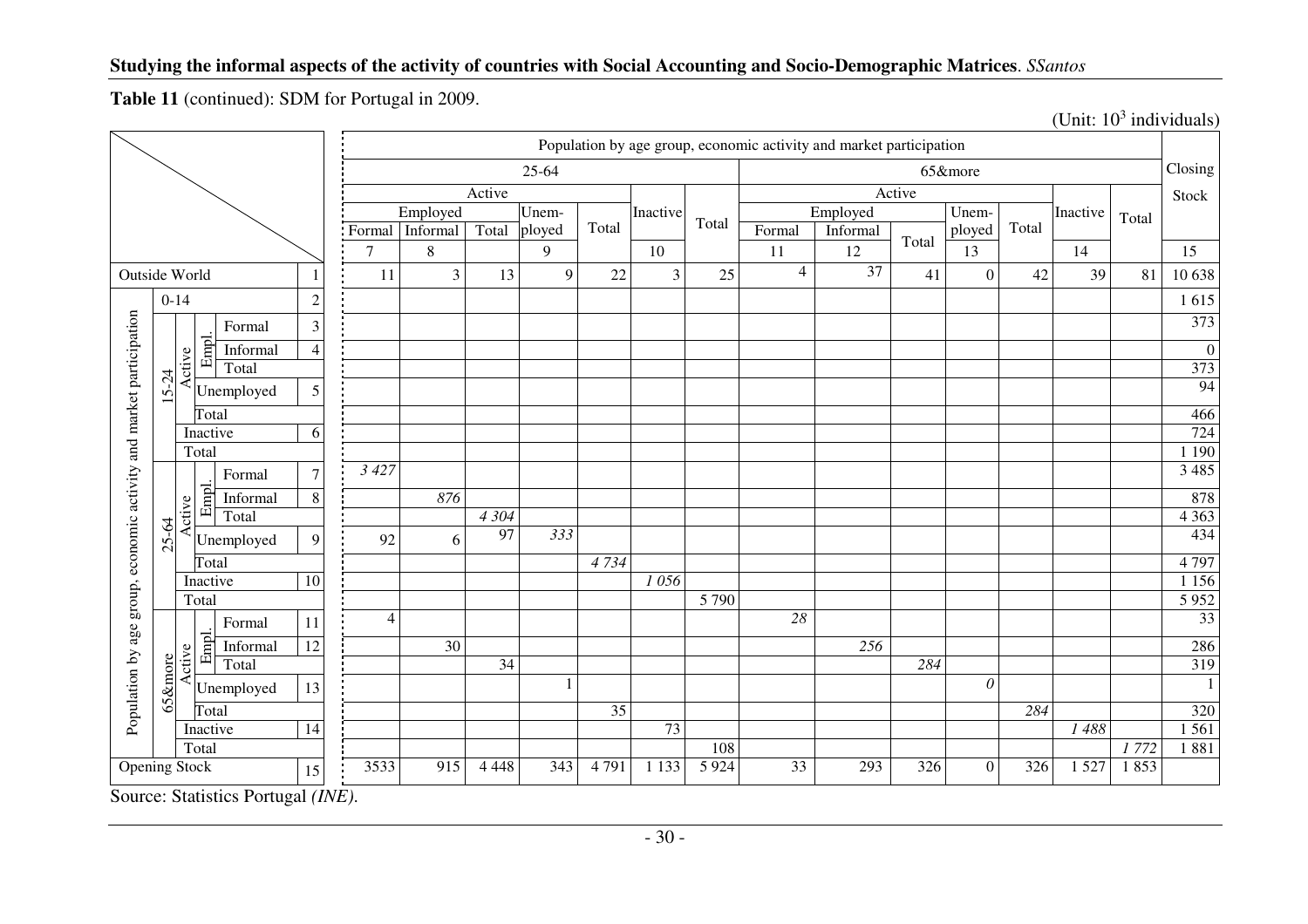**Table 11** (continued): SDM for Portugal in 2009.

|                                                   |           |        |                   | Population by age group, economic activity and market participation |                |                 |                 |           |       |          |         |                |          |        |          |       |          |       |                  |
|---------------------------------------------------|-----------|--------|-------------------|---------------------------------------------------------------------|----------------|-----------------|-----------------|-----------|-------|----------|---------|----------------|----------|--------|----------|-------|----------|-------|------------------|
|                                                   |           |        |                   |                                                                     |                |                 |                 | $25 - 64$ |       |          |         |                |          |        | 65&more  |       |          |       | Closing          |
|                                                   |           |        |                   |                                                                     |                |                 | Active          |           |       |          |         |                |          | Active |          |       |          |       | Stock            |
|                                                   |           |        |                   |                                                                     |                | Employed        |                 | Unem-     |       | Inactive | Total   |                | Employed |        | Unem-    |       | Inactive | Total |                  |
|                                                   |           |        |                   |                                                                     | Formal         | Informal        | Total           | ployed    | Total |          |         | Formal         | Informal | Total  | ployed   | Total |          |       |                  |
|                                                   |           |        |                   |                                                                     | $\overline{7}$ | $\,8\,$         |                 | 9         |       | 10       |         | 11             | 12       |        | 13       |       | 14       |       | 15               |
| Outside World                                     |           |        |                   |                                                                     | 11             | 3               | 13              | 9         | 22    | 3        | 25      | $\overline{4}$ | 37       | 41     | $\Omega$ | 42    | 39       | 81    | 10 638           |
| $0 - 14$                                          |           |        | $\overline{c}$    |                                                                     |                |                 |                 |           |       |          |         |                |          |        |          |       |          | 1615  |                  |
|                                                   |           |        | Formal            | $\mathfrak{Z}$                                                      |                |                 |                 |           |       |          |         |                |          |        |          |       |          |       | 373              |
|                                                   |           |        | Empl.<br>Informal | 4                                                                   |                |                 |                 |           |       |          |         |                |          |        |          |       |          |       | $\boldsymbol{0}$ |
|                                                   |           | Active | Total             |                                                                     |                |                 |                 |           |       |          |         |                |          |        |          |       |          |       | 373              |
|                                                   | $15 - 24$ |        | Unemployed        | 5                                                                   |                |                 |                 |           |       |          |         |                |          |        |          |       |          |       | 94               |
|                                                   |           |        | Total             |                                                                     |                |                 |                 |           |       |          |         |                |          |        |          |       |          |       | 466              |
|                                                   |           |        | Inactive          | 6                                                                   |                |                 |                 |           |       |          |         |                |          |        |          |       |          |       | 724              |
|                                                   |           |        | Total             |                                                                     |                |                 |                 |           |       |          |         |                |          |        |          |       |          |       | 1 1 9 0          |
| group, economic activity and market participation |           |        | Formal            | $\overline{7}$                                                      | 3 4 2 7        |                 |                 |           |       |          |         |                |          |        |          |       |          |       | 3 4 8 5          |
|                                                   |           |        | Empl.<br>Informal | $\,$ 8 $\,$                                                         |                | 876             |                 |           |       |          |         |                |          |        |          |       |          |       | 878              |
|                                                   |           | Active | Total             |                                                                     |                |                 | 4 3 0 4         |           |       |          |         |                |          |        |          |       |          |       | 4 3 6 3          |
|                                                   | $25 - 64$ |        | Unemployed        | 9                                                                   | 92             | 6               | 97              | 333       |       |          |         |                |          |        |          |       |          |       | 434              |
|                                                   |           |        | Total             |                                                                     |                |                 |                 |           | 4734  |          |         |                |          |        |          |       |          |       | 4 7 9 7          |
|                                                   |           |        | Inactive          | 10                                                                  |                |                 |                 |           |       | 1056     |         |                |          |        |          |       |          |       | 1 1 5 6          |
|                                                   |           |        | Total             |                                                                     |                |                 |                 |           |       |          | 5 7 9 0 |                |          |        |          |       |          |       | 5952             |
| age                                               |           |        | Formal            | 11                                                                  | $\overline{4}$ |                 |                 |           |       |          |         | 28             |          |        |          |       |          |       | $\overline{33}$  |
|                                                   |           |        | Empl.<br>Informal | $\overline{12}$                                                     |                | $\overline{30}$ |                 |           |       |          |         |                | 256      |        |          |       |          |       | 286              |
|                                                   |           | Active | Total             |                                                                     |                |                 | $\overline{34}$ |           |       |          |         |                |          | 284    |          |       |          |       | 319              |
| Population by                                     | 65&more   |        | Unemployed        | 13                                                                  |                |                 |                 |           |       |          |         |                |          |        | $\theta$ |       |          |       | 1                |
|                                                   |           |        | Total             |                                                                     |                |                 |                 |           | 35    |          |         |                |          |        |          | 284   |          |       | 320              |
|                                                   |           |        | Inactive          | 14                                                                  |                |                 |                 |           |       | 73       |         |                |          |        |          |       | 1488     |       | 1 5 6 1          |
|                                                   |           |        | Total             |                                                                     |                |                 |                 |           |       |          | 108     |                |          |        |          |       |          | 1772  | 1881             |
| <b>Opening Stock</b>                              |           |        |                   | 15                                                                  | 3533           | 915             | 4 4 4 8         | 343       | 4791  | 1 1 3 3  | 5 9 2 4 | 33             | 293      | 326    | $\Omega$ | 326   | 1 5 2 7  | 1853  |                  |

(Unit:  $10^3$  individuals)

Source: Statistics Portugal *(INE)*.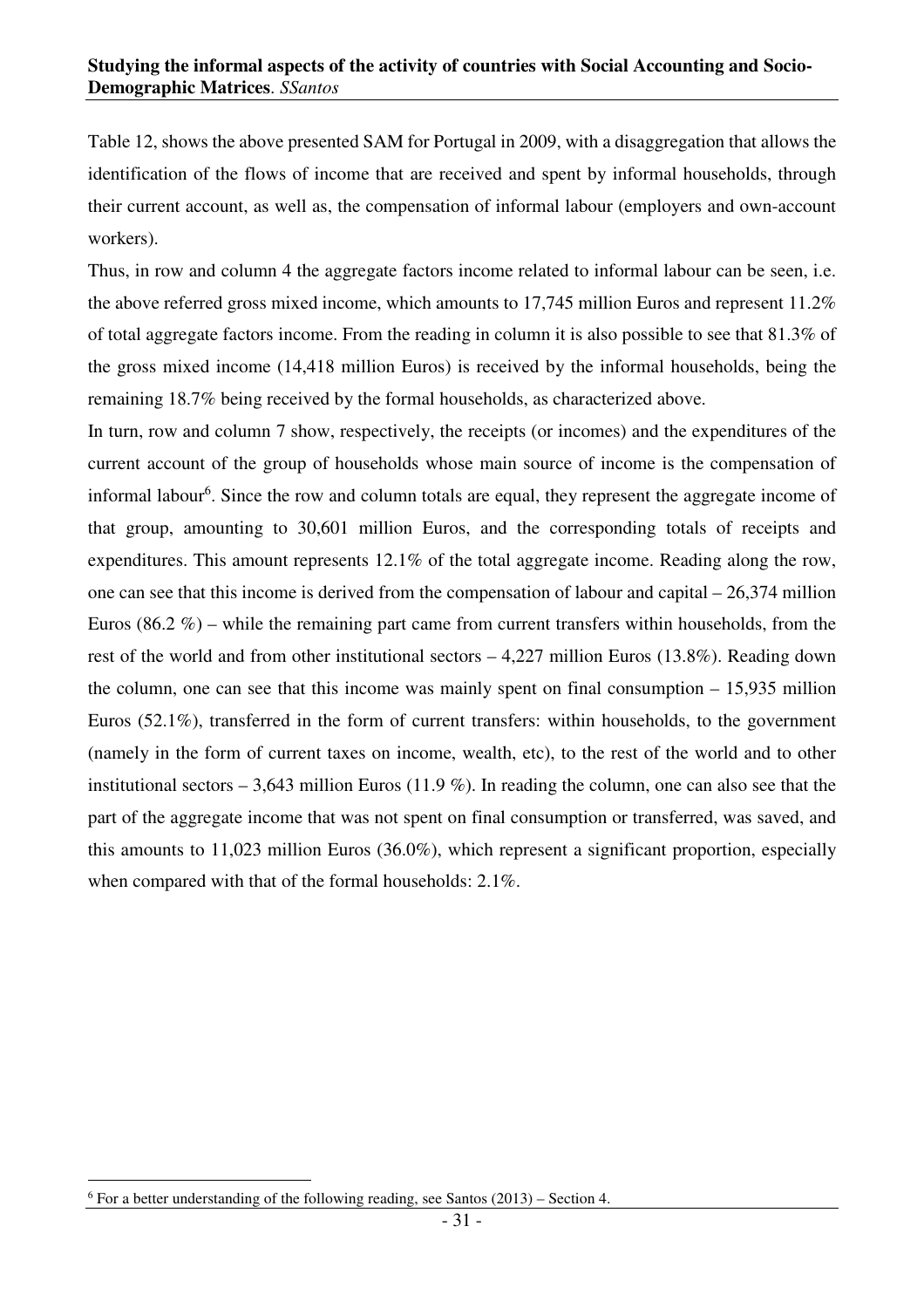Table 12, shows the above presented SAM for Portugal in 2009, with a disaggregation that allows the identification of the flows of income that are received and spent by informal households, through their current account, as well as, the compensation of informal labour (employers and own-account workers).

Thus, in row and column 4 the aggregate factors income related to informal labour can be seen, i.e. the above referred gross mixed income, which amounts to 17,745 million Euros and represent 11.2% of total aggregate factors income. From the reading in column it is also possible to see that 81.3% of the gross mixed income (14,418 million Euros) is received by the informal households, being the remaining 18.7% being received by the formal households, as characterized above.

In turn, row and column 7 show, respectively, the receipts (or incomes) and the expenditures of the current account of the group of households whose main source of income is the compensation of informal labour<sup>6</sup>. Since the row and column totals are equal, they represent the aggregate income of that group, amounting to 30,601 million Euros, and the corresponding totals of receipts and expenditures. This amount represents 12.1% of the total aggregate income. Reading along the row, one can see that this income is derived from the compensation of labour and capital – 26,374 million Euros  $(86.2\% )$  – while the remaining part came from current transfers within households, from the rest of the world and from other institutional sectors – 4,227 million Euros (13.8%). Reading down the column, one can see that this income was mainly spent on final consumption – 15,935 million Euros (52.1%), transferred in the form of current transfers: within households, to the government (namely in the form of current taxes on income, wealth, etc), to the rest of the world and to other institutional sectors – 3,643 million Euros (11.9 %). In reading the column, one can also see that the part of the aggregate income that was not spent on final consumption or transferred, was saved, and this amounts to 11,023 million Euros (36.0%), which represent a significant proportion, especially when compared with that of the formal households: 2.1%.

 $\overline{a}$  $6$  For a better understanding of the following reading, see Santos  $(2013)$  – Section 4.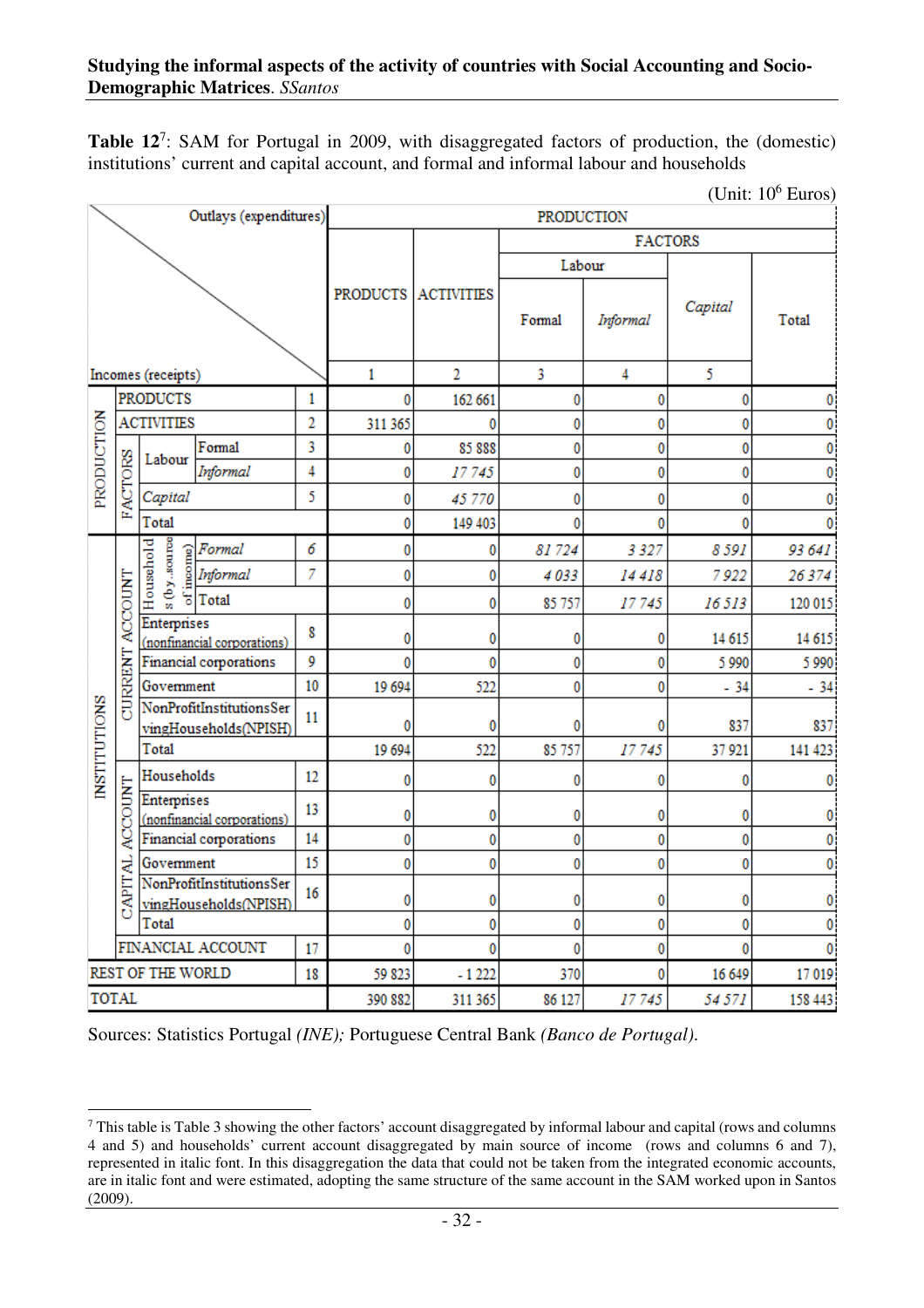Table 12<sup>7</sup>: SAM for Portugal in 2009, with disaggregated factors of production, the (domestic) institutions' current and capital account, and formal and informal labour and households

(Unit:  $10^6$  Euros)

|                     |                 |                             | Outlays (expenditures)                            |         | <b>PRODUCTION</b> |                     |        |                |         |         |  |  |  |  |
|---------------------|-----------------|-----------------------------|---------------------------------------------------|---------|-------------------|---------------------|--------|----------------|---------|---------|--|--|--|--|
|                     |                 |                             |                                                   |         |                   |                     |        | <b>FACTORS</b> |         |         |  |  |  |  |
|                     |                 |                             |                                                   |         |                   |                     | Labour |                |         |         |  |  |  |  |
|                     |                 |                             |                                                   |         |                   | PRODUCTS ACTIVITIES | Formal | Informal       | Capital | Total   |  |  |  |  |
|                     |                 | Incomes (receipts)          |                                                   |         | 1                 | $\overline{2}$      | 3      | 4              | 5       |         |  |  |  |  |
|                     |                 | <b>PRODUCTS</b>             |                                                   | 1       | 0                 | 162 661             | 0      | 0              | 0       |         |  |  |  |  |
|                     |                 | <b>ACTIVITIES</b>           |                                                   |         | 311 365           | $\bf{0}$            | 0      | 0              | 0       | 0       |  |  |  |  |
|                     |                 |                             | Formal                                            | 3       | 0                 | 85 888              | 0      | 0              | 0       | 0       |  |  |  |  |
| PRODUCTION          |                 | Labour<br>Informal          |                                                   |         | 0                 | 17745               | 0      | 0              | 0       | 0       |  |  |  |  |
|                     | <b>FACTORS</b>  | Capital                     |                                                   | 5       | 0                 | 45 770              | 0      | 0              | 0       | 0       |  |  |  |  |
|                     |                 | Total                       |                                                   |         | 0                 | 149 403             | ٥      | $\mathbf{0}$   | 0       | 0       |  |  |  |  |
|                     |                 |                             |                                                   | 6       | 0                 | 0                   | 81724  | 3 3 2 7        | 8591    | 93 641  |  |  |  |  |
|                     |                 | $s$ (by source<br>Household | Formal<br>Informal<br>Contain                     | 7       | 0                 | 0                   | 4033   | 14418          | 7922    | 26374   |  |  |  |  |
|                     |                 |                             |                                                   |         | 0                 | 0                   | 85 757 | 17745          | 16513   | 120 015 |  |  |  |  |
|                     | CURRENT ACCOUNT | <b>Enterprises</b>          | (nonfinancial corporations)                       | 8       | 0                 | 0                   | 0      | 0              | 14 615  | 14 615  |  |  |  |  |
|                     |                 |                             | Financial corporations                            | 9       | 0                 | $\mathbf{0}$        | 0      | 0              | 5990    | 5 9 9 0 |  |  |  |  |
|                     |                 | Government                  |                                                   | 10      | 19 694            | 522                 | 0      | 0              | $-34$   | $-34$   |  |  |  |  |
| <b>INSTITUTIONS</b> |                 |                             | NonProfitInstitutionsSer<br>vingHouseholds(NPISH) | 11      | 0                 | 0                   |        | 0              | 837     | 837     |  |  |  |  |
|                     |                 | Total                       |                                                   |         | 19 694            | 522                 | 85 757 | 17745          | 37 921  | 141 423 |  |  |  |  |
|                     |                 | Households                  |                                                   | 12      | 0                 | 0                   | 0      | 0              | 0       | 0       |  |  |  |  |
|                     | <b>ACCOUNT</b>  | <b>Enterprises</b>          | (nonfinancial corporations)                       | 13      | 0                 | 0                   | 0      | 0              | 0       | 0       |  |  |  |  |
|                     |                 |                             | Financial corporations                            | 14      | 0                 | 0                   | 0      | 0              | 0       | 0       |  |  |  |  |
|                     |                 | Government                  |                                                   | 15      | 0                 | 0                   | 0      | 0              | 0       | 0       |  |  |  |  |
|                     | <b>CAPITAL</b>  |                             | NonProfitInstitutionsSer<br>vingHouseholds(NPISH) | 16      | 0                 | 0                   | 0      | 0              | 0       | 0       |  |  |  |  |
|                     |                 | Total                       |                                                   |         | 0                 | 0                   | 0      | 0              | 0       | 0       |  |  |  |  |
|                     |                 |                             | FINANCIAL ACCOUNT                                 | 17      | 0                 | $\bf{0}$            | 0      | 0              | 0       | 0       |  |  |  |  |
|                     |                 | <b>REST OF THE WORLD</b>    |                                                   | 18      | 59 823            | $-1222$             | 370    | 0              | 16 649  | 17019   |  |  |  |  |
| <b>TOTAL</b>        |                 |                             |                                                   | 390 882 | 311 365           | 86 127              | 17745  | 54 571         | 158 443 |         |  |  |  |  |

Sources: Statistics Portugal *(INE);* Portuguese Central Bank *(Banco de Portugal)*.

 $\overline{a}$  $7$  This table is Table 3 showing the other factors' account disaggregated by informal labour and capital (rows and columns 4 and 5) and households' current account disaggregated by main source of income (rows and columns 6 and 7), represented in italic font. In this disaggregation the data that could not be taken from the integrated economic accounts, are in italic font and were estimated, adopting the same structure of the same account in the SAM worked upon in Santos (2009).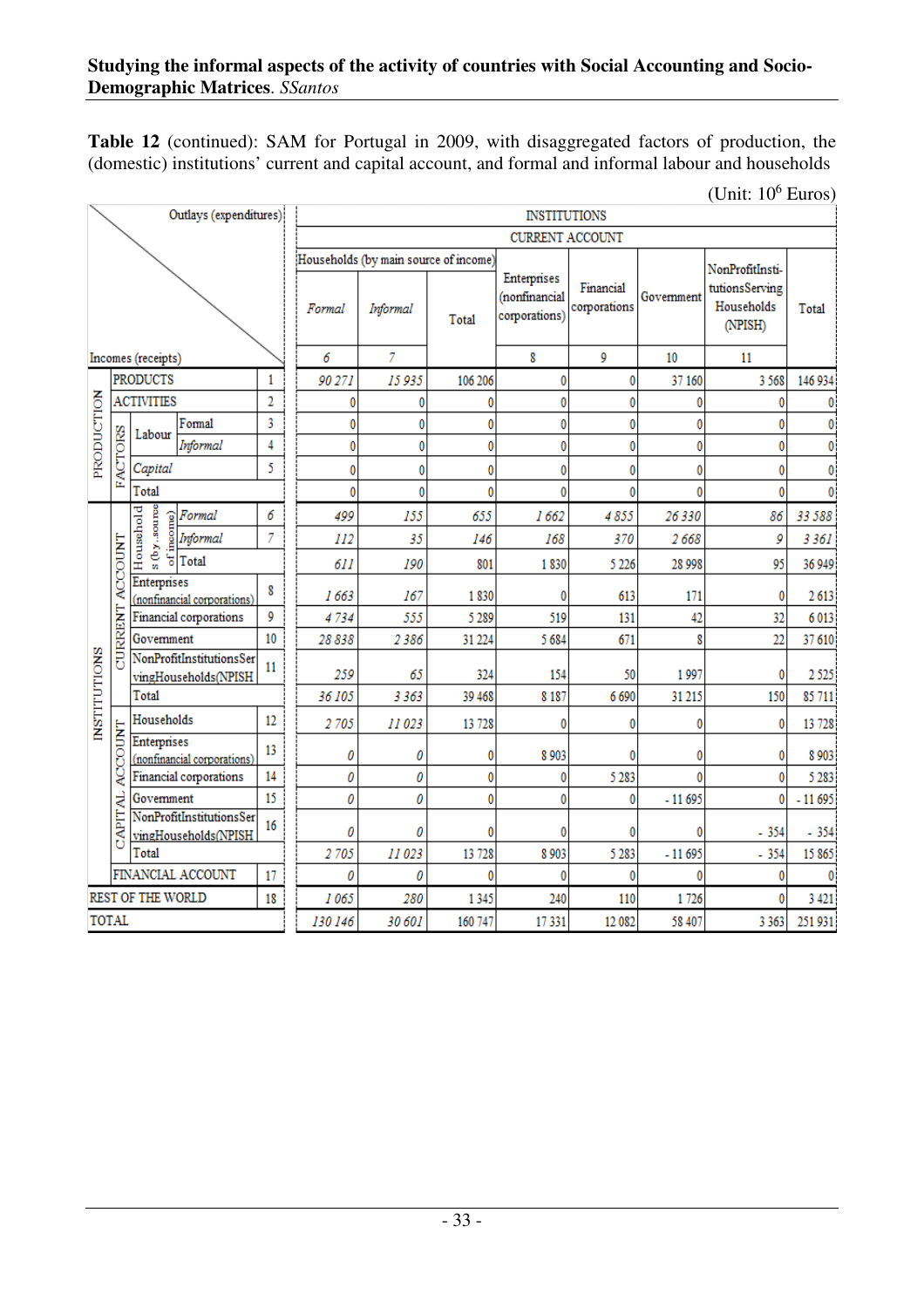**Table 12** (continued): SAM for Portugal in 2009, with disaggregated factors of production, the (domestic) institutions' current and capital account, and formal and informal labour and households

(Unit:  $10^6$  Euros)

|                     |                                     |                                            | Outlays (expenditures)                           |    |         |                                                   |              | <b>INSTITUTIONS</b>                           |                           |            |                                                            |          |
|---------------------|-------------------------------------|--------------------------------------------|--------------------------------------------------|----|---------|---------------------------------------------------|--------------|-----------------------------------------------|---------------------------|------------|------------------------------------------------------------|----------|
|                     |                                     |                                            |                                                  |    |         |                                                   |              | CURRENT ACCOUNT                               |                           |            |                                                            |          |
|                     |                                     |                                            |                                                  |    | Formal  | Households (by main source of income)<br>Informal | Total        | Enterprises<br>(nonfinancial<br>corporations) | Financial<br>corporations | Government | NonProfitInsti-<br>tutionsServing<br>Households<br>(NPISH) | Total    |
|                     |                                     | Incomes (receipts)                         |                                                  |    | 6       | 7                                                 |              | 8                                             | 9                         | 10         | 11                                                         |          |
|                     | <b>PRODUCTS</b><br>1                |                                            |                                                  |    | 90 271  | 15 935                                            | 106 206      | $\mathbf{0}$                                  | 0                         | 37 160     | 3568                                                       | 146 934  |
|                     |                                     | <b>ACTIVITIES</b>                          |                                                  | 2  | 0       | 0                                                 | 0            | 0                                             | 0                         | O          | 0                                                          | 0        |
|                     |                                     | Labour                                     | Formal                                           | 3  | 0       | 0                                                 | 0            | 0                                             | 0                         | 0          | 0                                                          | 0        |
| PRODUCTION          |                                     |                                            | Informal                                         | 4  | 0       | 0                                                 | 0            | 0                                             | 0                         | 0          | 0                                                          | 0        |
|                     | <b>FACTORS</b>                      | Capital                                    |                                                  | 5  | 0       | 0                                                 | 0            | 0                                             | 0                         | 0          | 0                                                          | 0        |
|                     |                                     | Total                                      |                                                  |    | 0       | 0                                                 | $\mathbf{0}$ | 0                                             | 0                         | ٥          | 0                                                          | 0        |
|                     |                                     | Household                                  | Formal                                           | 6  | 499     | 155                                               | 655          | 1662                                          | 4855                      | 26330      | 86                                                         | 33 588   |
|                     |                                     | s (by.source<br>of income)                 | Informal                                         | 7  | 112     | 35                                                | 146          | 168                                           | 370                       | 2668       | 9                                                          | 3 3 6 1  |
|                     |                                     |                                            | Total                                            |    | 611     | 190                                               | 801          | 1830                                          | 5 2 2 6                   | 28 998     | 95                                                         | 36 949   |
|                     | <b>ACCOUNT</b>                      | Enterprises<br>(nonfinancial corporations) |                                                  | 8  | 1663    | 167                                               | 1830         | 0                                             | 613                       | 171        | 0                                                          | 2613     |
|                     |                                     |                                            | Financial corporations                           | 9  | 4734    | 555                                               | 5 2 8 9      | 519                                           | 131                       | 42         | 32                                                         | 6013     |
|                     | <b>CURRENT</b>                      | Government                                 |                                                  | 10 | 28838   | 2386                                              | 31 224       | 5 684                                         | 671                       | 8          | $\overline{22}$                                            | 37 610   |
| <b>INSTITUTIONS</b> |                                     |                                            | NonProfitInstitutionsSer<br>vingHouseholds(NPISH | 11 | 259     | 65                                                | 324          | 154                                           | 50                        | 1997       | 0                                                          | 2525     |
|                     |                                     | Total                                      |                                                  |    | 36 105  | 3 3 6 3                                           | 39 468       | 8 1 8 7                                       | 6 6 9 0                   | 31 215     | 150                                                        | 85 711   |
|                     |                                     | Households                                 |                                                  | 12 | 2705    | 11023                                             | 13 728       | 0                                             | 0                         | 0          | 0                                                          | 13 728   |
|                     | ACCOUNT                             | Enterprises                                | (nonfinancial corporations)                      | 13 | 0       | 0                                                 | 0            | 8 9 0 3                                       | 0                         | 0          | 0                                                          | 8 9 0 3  |
|                     |                                     |                                            | Financial corporations                           | 14 | 0       | 0                                                 | 0            | 0                                             | 5 2 8 3                   | Ô          | $\mathbf{0}$                                               | 5 2 8 3  |
|                     |                                     | Government                                 |                                                  | 15 | 0       | 0                                                 | 0            | 0                                             | 0                         | $-11695$   | 0                                                          | $-11695$ |
|                     | CAPITAL<br>NonProfitInstitutionsSer |                                            | vingHouseholds(NPISH                             | 16 | 0       | 0                                                 | 0            | 0                                             | 0                         |            | $-354$                                                     | $-354$   |
|                     |                                     | Total                                      |                                                  |    | 2705    | 11023                                             | 13 728       | 8 9 0 3                                       | 5 2 8 3                   | $-11695$   | $-354$                                                     | 15865    |
|                     |                                     |                                            | FINANCIAL ACCOUNT                                | 17 | 0       | 0                                                 | 0            | 0                                             | 0                         | ٥          | 0                                                          | 0        |
|                     |                                     | REST OF THE WORLD                          |                                                  | 18 | 1065    | 280                                               | 1345         | 240                                           | 110                       | 1726       | 0                                                          | 3 4 21   |
|                     | <b>TOTAL</b>                        |                                            |                                                  |    | 130 146 | 30 601                                            | 160 747      | 17331                                         | 12 08 2                   | 58 407     | 3 3 6 3                                                    | 251 931  |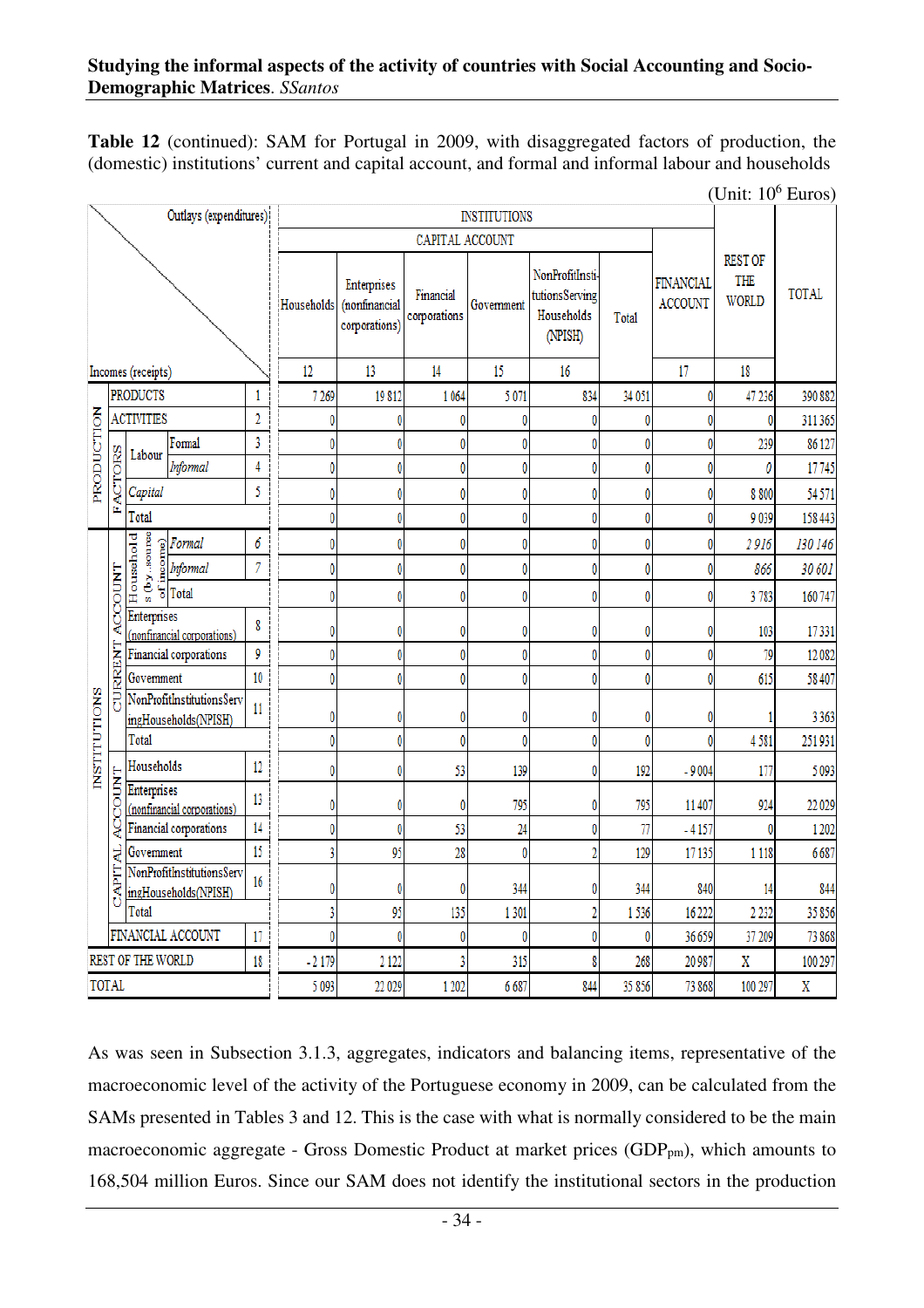**Table 12** (continued): SAM for Portugal in 2009, with disaggregated factors of production, the (domestic) institutions' current and capital account, and formal and informal labour and households

|                     |                |                                                 |                                                   |                |            |                                               |                           |                     |                                                            |        |                             | (Unit: $10^6$ Euros)                  |              |
|---------------------|----------------|-------------------------------------------------|---------------------------------------------------|----------------|------------|-----------------------------------------------|---------------------------|---------------------|------------------------------------------------------------|--------|-----------------------------|---------------------------------------|--------------|
|                     |                |                                                 | Outlays (expenditures):                           |                |            |                                               |                           | <b>INSTITUTIONS</b> |                                                            |        |                             |                                       |              |
|                     |                |                                                 |                                                   |                |            |                                               | CAPITAL ACCOUNT           |                     |                                                            |        |                             |                                       |              |
|                     |                |                                                 |                                                   |                | Households | Enterprises<br>(nonfinancial<br>corporations) | Financial<br>corporations | Government          | NonProfitInsti-<br>tutionsServing<br>Households<br>(NPISH) | Total  | FINANCIAL<br><b>ACCOUNT</b> | <b>REST OF</b><br>THE<br><b>WORLD</b> | <b>TOTAL</b> |
|                     |                | Incomes (receipts)                              |                                                   |                | 12         | 13                                            | 14                        | 15                  | 16                                                         |        | 17                          | 18                                    |              |
|                     |                | <b>PRODUCTS</b>                                 |                                                   | 1              | 7 2 6 9    | 19812                                         | 1 0 6 4                   | 5071                | 834                                                        | 34 051 |                             | 47 236                                | 390 882      |
|                     |                | <b>ACTIVITIES</b>                               |                                                   | $\overline{2}$ | 0          |                                               | 0                         | 0                   | 0                                                          | 0      |                             |                                       | 311 365      |
|                     |                | Labour                                          | Formal                                            | 3              | 0          | Ō                                             | 0                         | 0                   | 0                                                          | 0      |                             | 239                                   | 86 127       |
| PRODUCTION          |                |                                                 | Informal                                          | 4              | 0          | 0                                             | 0                         | 0                   | 0                                                          | 0      | 0                           | 0                                     | 17745        |
|                     | <b>FACTORS</b> | Capital                                         |                                                   | 5              | 0          | 0                                             | 0                         | 0                   | 0                                                          | 0      | 0                           | 8 8 0 0                               | 54 571       |
|                     |                | Total                                           |                                                   |                | 0          | Ō                                             | 0                         | 0                   | 0                                                          | 0      |                             | 9039                                  | 158 443      |
|                     |                | s (by.source                                    | Formal                                            | 6              | 0          | 0                                             | 0                         | 0                   | 0                                                          | 0      |                             | 2916                                  | 130 146      |
|                     | Household      |                                                 | Informal                                          | $\overline{7}$ | 0          | 0                                             | 0                         | 0                   | 0                                                          | 0      | 0                           | 866                                   | 30 601       |
|                     |                |                                                 |                                                   |                | 0          | 0                                             | 0                         | 0                   | 0                                                          | 0      |                             | 3783                                  | 160 747      |
|                     | ACCOUNT        | Enterprises<br>8<br>(nonfinancial corporations) |                                                   |                | 0          | 0                                             | 0                         | 0                   | 0                                                          | 0      |                             | 103                                   | 17331        |
|                     |                |                                                 | Financial corporations                            | 9              | 0          | 0                                             | 0                         | 0                   | 0                                                          | 0      |                             | 79                                    | 12082        |
|                     | CURRENT        | Government                                      |                                                   | 10             | 0          | 0                                             | 0                         | 0                   | 0                                                          | 0      | 0                           | 615                                   | 58 407       |
| <b>INSTITUTIONS</b> |                |                                                 | NonProfitInstitutionsServ<br>ingHouseholds(NPISH) | 11             | 0          | 0                                             | 0                         | 0                   | 0                                                          | 0      |                             |                                       | 3 3 6 3      |
|                     |                | Total                                           |                                                   |                | 0          | 0                                             | 0                         | 0                   | 0                                                          | 0      |                             | 4581                                  | 251 931      |
|                     |                | Households                                      |                                                   | 12             | 0          | Ô                                             | 53                        | 139                 | 0                                                          | 192    | $-9004$                     | 177                                   | 5 0 9 3      |
|                     | <b>ACCOUNT</b> | Enterprises                                     | (nonfinancial corporations)                       | 13             | 0          | 0                                             | 0                         | 795                 | 0                                                          | 795    | 11 407                      | 924                                   | 22 029       |
|                     |                |                                                 | Financial corporations                            | 14             | 0          | 0                                             | 53                        | $\overline{24}$     | 0                                                          | 77     | $-4157$                     |                                       | 1 202        |
|                     | ₹              | Government                                      |                                                   | 15             | 3          | 95                                            | 28                        | $\pmb{0}$           | $\overline{2}$                                             | 129    | 17 135                      | 1 1 1 8                               | 6687         |
|                     | <b>CAPIT</b>   |                                                 | NonProfitInstitutionsServ<br>ingHouseholds(NPISH) | 16             | 0          | Ō                                             | 0                         | 344                 | 0                                                          | 344    | 840                         | 14                                    | 844          |
|                     |                | Total                                           |                                                   |                | 3          | 95                                            | 135                       | 1301                | $\overline{2}$                                             | 1536   | 16 222                      | 2 2 3 2                               | 35 856       |
|                     |                |                                                 | FINANCIAL ACCOUNT                                 | 17             | 0          | 0                                             | 0                         | 0                   | 0                                                          | 0      | 36 659                      | 37 209                                | 73 868       |
|                     |                | REST OF THE WORLD                               |                                                   | 18             | $-2179$    | 2 1 2 2                                       |                           | 315                 | 8                                                          | 268    | 20 987                      | X                                     | 100 297      |
|                     | TOTAL          |                                                 |                                                   |                | 5 0 9 3    | 22 029                                        | 1 202                     | 6687                | 844                                                        | 35 856 | 73 868                      | 100 297                               | X            |

As was seen in Subsection 3.1.3, aggregates, indicators and balancing items, representative of the macroeconomic level of the activity of the Portuguese economy in 2009, can be calculated from the SAMs presented in Tables 3 and 12. This is the case with what is normally considered to be the main macroeconomic aggregate - Gross Domestic Product at market prices  $(GDP_{pm})$ , which amounts to 168,504 million Euros. Since our SAM does not identify the institutional sectors in the production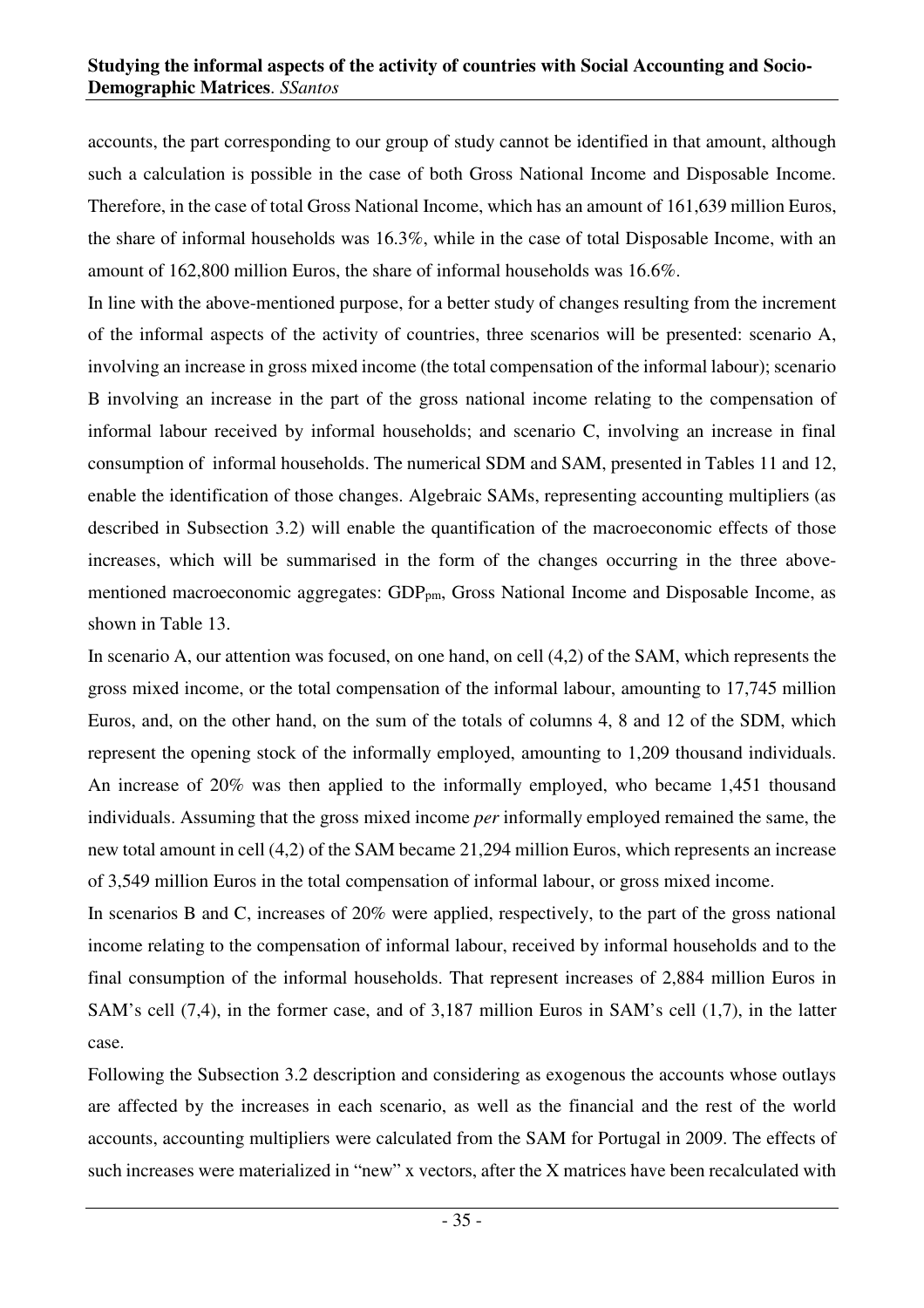accounts, the part corresponding to our group of study cannot be identified in that amount, although such a calculation is possible in the case of both Gross National Income and Disposable Income. Therefore, in the case of total Gross National Income, which has an amount of 161,639 million Euros, the share of informal households was 16.3%, while in the case of total Disposable Income, with an amount of 162,800 million Euros, the share of informal households was 16.6%.

In line with the above-mentioned purpose, for a better study of changes resulting from the increment of the informal aspects of the activity of countries, three scenarios will be presented: scenario A, involving an increase in gross mixed income (the total compensation of the informal labour); scenario B involving an increase in the part of the gross national income relating to the compensation of informal labour received by informal households; and scenario C, involving an increase in final consumption of informal households. The numerical SDM and SAM, presented in Tables 11 and 12, enable the identification of those changes. Algebraic SAMs, representing accounting multipliers (as described in Subsection 3.2) will enable the quantification of the macroeconomic effects of those increases, which will be summarised in the form of the changes occurring in the three abovementioned macroeconomic aggregates:  $GDP_{nm}$ , Gross National Income and Disposable Income, as shown in Table 13.

In scenario A, our attention was focused, on one hand, on cell (4,2) of the SAM, which represents the gross mixed income, or the total compensation of the informal labour, amounting to 17,745 million Euros, and, on the other hand, on the sum of the totals of columns 4, 8 and 12 of the SDM, which represent the opening stock of the informally employed, amounting to 1,209 thousand individuals. An increase of 20% was then applied to the informally employed, who became 1,451 thousand individuals. Assuming that the gross mixed income *per* informally employed remained the same, the new total amount in cell (4,2) of the SAM became 21,294 million Euros, which represents an increase of 3,549 million Euros in the total compensation of informal labour, or gross mixed income.

In scenarios B and C, increases of 20% were applied, respectively, to the part of the gross national income relating to the compensation of informal labour, received by informal households and to the final consumption of the informal households. That represent increases of 2,884 million Euros in SAM's cell (7,4), in the former case, and of 3,187 million Euros in SAM's cell (1,7), in the latter case.

Following the Subsection 3.2 description and considering as exogenous the accounts whose outlays are affected by the increases in each scenario, as well as the financial and the rest of the world accounts, accounting multipliers were calculated from the SAM for Portugal in 2009. The effects of such increases were materialized in "new" x vectors, after the X matrices have been recalculated with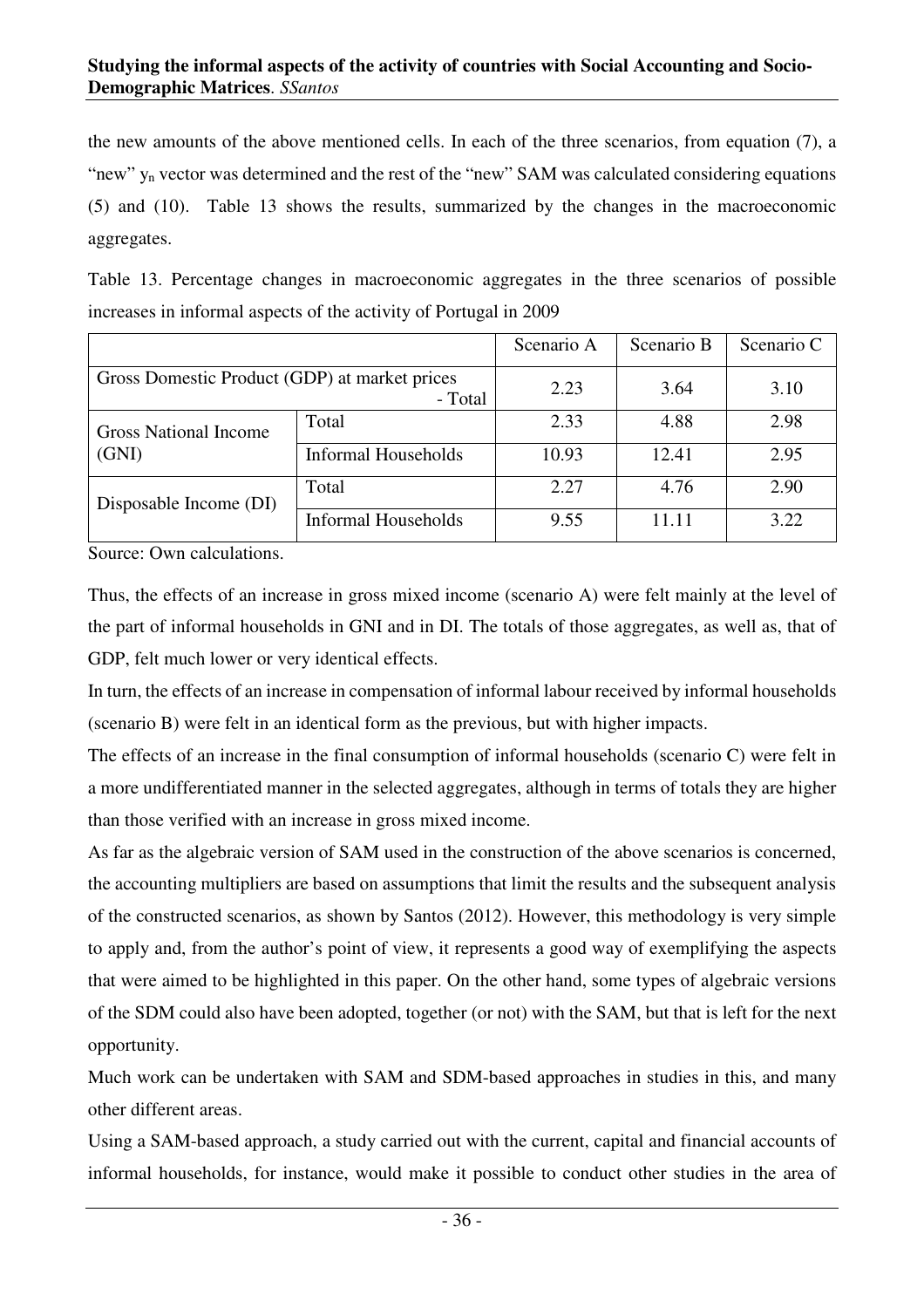the new amounts of the above mentioned cells. In each of the three scenarios, from equation (7), a "new" y<sub>n</sub> vector was determined and the rest of the "new" SAM was calculated considering equations (5) and (10). Table 13 shows the results, summarized by the changes in the macroeconomic aggregates.

Table 13. Percentage changes in macroeconomic aggregates in the three scenarios of possible increases in informal aspects of the activity of Portugal in 2009

|                                               |                     | Scenario A | Scenario B | Scenario C |
|-----------------------------------------------|---------------------|------------|------------|------------|
| Gross Domestic Product (GDP) at market prices | - Total             | 2.23       | 3.64       | 3.10       |
| <b>Gross National Income</b>                  | Total               | 2.33       | 4.88       | 2.98       |
| (GNI)                                         | Informal Households | 10.93      | 12.41      | 2.95       |
| Disposable Income (DI)                        | Total               | 2.27       | 4.76       | 2.90       |
|                                               | Informal Households | 9.55       | 11.11      | 3.22       |

Source: Own calculations.

Thus, the effects of an increase in gross mixed income (scenario A) were felt mainly at the level of the part of informal households in GNI and in DI. The totals of those aggregates, as well as, that of GDP, felt much lower or very identical effects.

In turn, the effects of an increase in compensation of informal labour received by informal households (scenario B) were felt in an identical form as the previous, but with higher impacts.

The effects of an increase in the final consumption of informal households (scenario C) were felt in a more undifferentiated manner in the selected aggregates, although in terms of totals they are higher than those verified with an increase in gross mixed income.

As far as the algebraic version of SAM used in the construction of the above scenarios is concerned, the accounting multipliers are based on assumptions that limit the results and the subsequent analysis of the constructed scenarios, as shown by Santos (2012). However, this methodology is very simple to apply and, from the author's point of view, it represents a good way of exemplifying the aspects that were aimed to be highlighted in this paper. On the other hand, some types of algebraic versions of the SDM could also have been adopted, together (or not) with the SAM, but that is left for the next opportunity.

Much work can be undertaken with SAM and SDM-based approaches in studies in this, and many other different areas.

Using a SAM-based approach, a study carried out with the current, capital and financial accounts of informal households, for instance, would make it possible to conduct other studies in the area of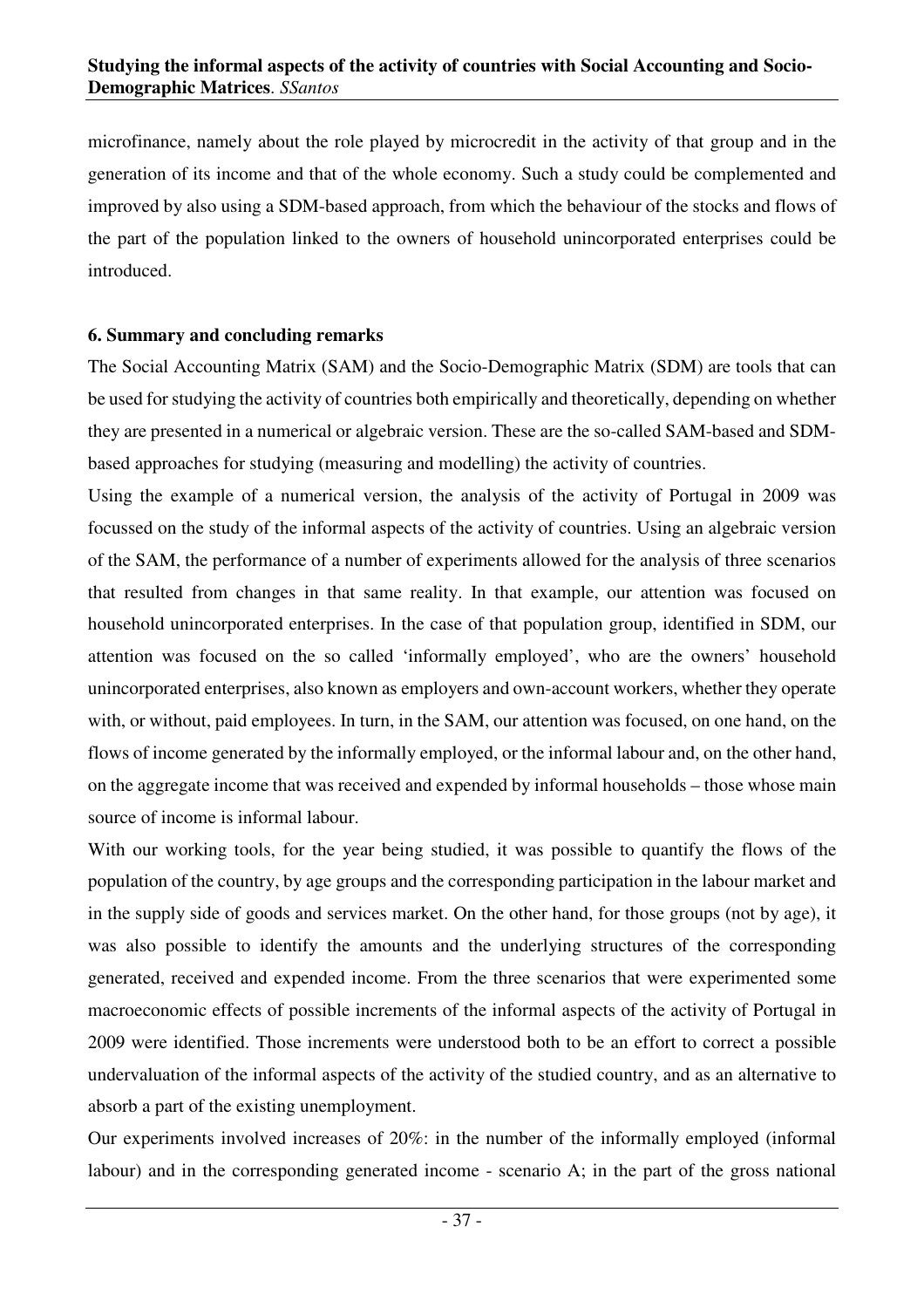microfinance, namely about the role played by microcredit in the activity of that group and in the generation of its income and that of the whole economy. Such a study could be complemented and improved by also using a SDM-based approach, from which the behaviour of the stocks and flows of the part of the population linked to the owners of household unincorporated enterprises could be introduced.

#### **6. Summary and concluding remarks**

The Social Accounting Matrix (SAM) and the Socio-Demographic Matrix (SDM) are tools that can be used for studying the activity of countries both empirically and theoretically, depending on whether they are presented in a numerical or algebraic version. These are the so-called SAM-based and SDMbased approaches for studying (measuring and modelling) the activity of countries.

Using the example of a numerical version, the analysis of the activity of Portugal in 2009 was focussed on the study of the informal aspects of the activity of countries. Using an algebraic version of the SAM, the performance of a number of experiments allowed for the analysis of three scenarios that resulted from changes in that same reality. In that example, our attention was focused on household unincorporated enterprises. In the case of that population group, identified in SDM, our attention was focused on the so called 'informally employed', who are the owners' household unincorporated enterprises, also known as employers and own-account workers, whether they operate with, or without, paid employees. In turn, in the SAM, our attention was focused, on one hand, on the flows of income generated by the informally employed, or the informal labour and, on the other hand, on the aggregate income that was received and expended by informal households – those whose main source of income is informal labour.

With our working tools, for the year being studied, it was possible to quantify the flows of the population of the country, by age groups and the corresponding participation in the labour market and in the supply side of goods and services market. On the other hand, for those groups (not by age), it was also possible to identify the amounts and the underlying structures of the corresponding generated, received and expended income. From the three scenarios that were experimented some macroeconomic effects of possible increments of the informal aspects of the activity of Portugal in 2009 were identified. Those increments were understood both to be an effort to correct a possible undervaluation of the informal aspects of the activity of the studied country, and as an alternative to absorb a part of the existing unemployment.

Our experiments involved increases of 20%: in the number of the informally employed (informal labour) and in the corresponding generated income - scenario A; in the part of the gross national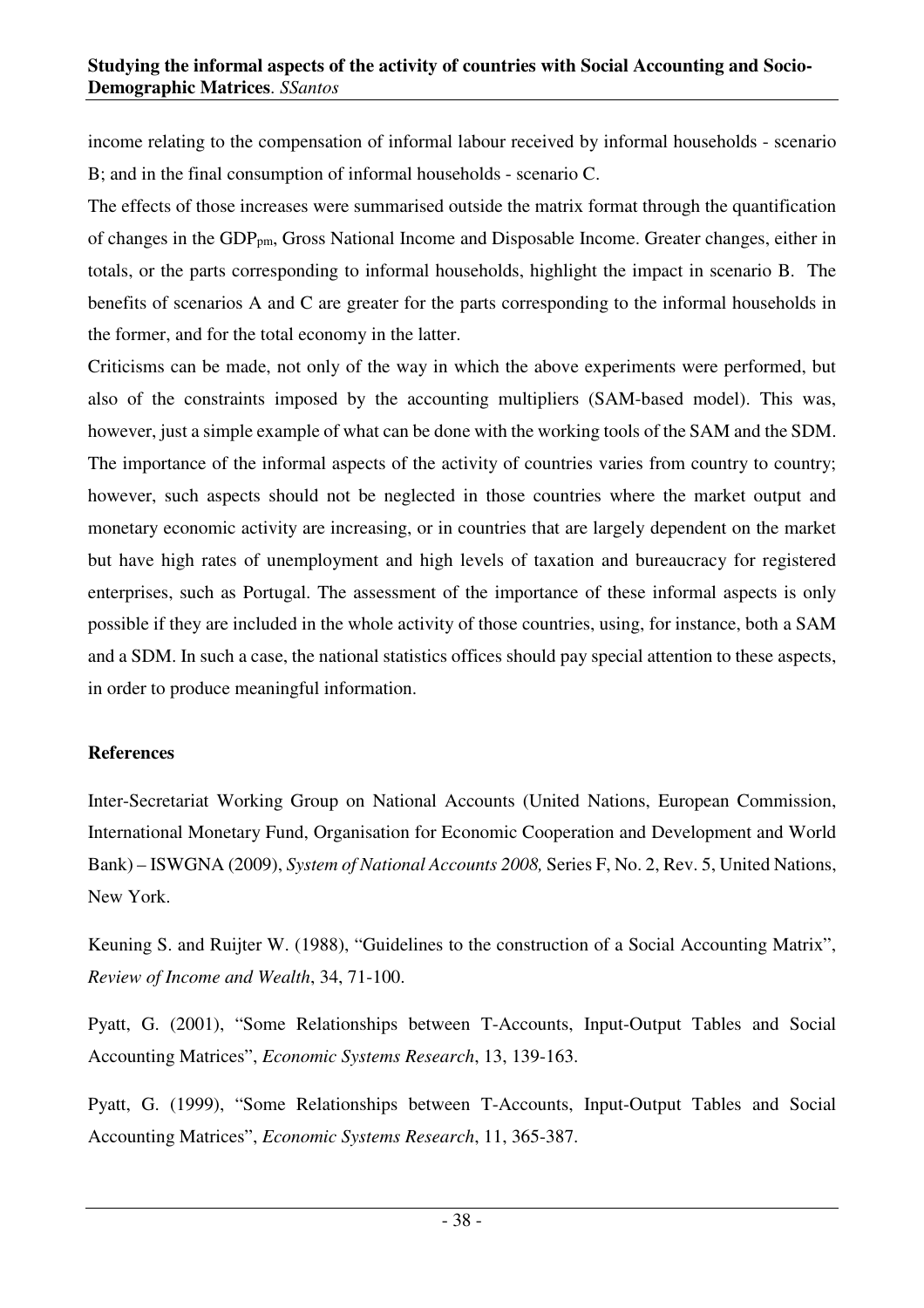income relating to the compensation of informal labour received by informal households - scenario B; and in the final consumption of informal households - scenario C.

The effects of those increases were summarised outside the matrix format through the quantification of changes in the GDP<sub>pm</sub>, Gross National Income and Disposable Income. Greater changes, either in totals, or the parts corresponding to informal households, highlight the impact in scenario B. The benefits of scenarios A and C are greater for the parts corresponding to the informal households in the former, and for the total economy in the latter.

Criticisms can be made, not only of the way in which the above experiments were performed, but also of the constraints imposed by the accounting multipliers (SAM-based model). This was, however, just a simple example of what can be done with the working tools of the SAM and the SDM. The importance of the informal aspects of the activity of countries varies from country to country; however, such aspects should not be neglected in those countries where the market output and monetary economic activity are increasing, or in countries that are largely dependent on the market but have high rates of unemployment and high levels of taxation and bureaucracy for registered enterprises, such as Portugal. The assessment of the importance of these informal aspects is only possible if they are included in the whole activity of those countries, using, for instance, both a SAM and a SDM. In such a case, the national statistics offices should pay special attention to these aspects, in order to produce meaningful information.

## **References**

Inter-Secretariat Working Group on National Accounts (United Nations, European Commission, International Monetary Fund, Organisation for Economic Cooperation and Development and World Bank) – ISWGNA (2009), *System of National Accounts 2008,* Series F, No. 2, Rev. 5, United Nations, New York.

Keuning S. and Ruijter W. (1988), "Guidelines to the construction of a Social Accounting Matrix", *Review of Income and Wealth*, 34, 71-100.

Pyatt, G. (2001), "Some Relationships between T-Accounts, Input-Output Tables and Social Accounting Matrices", *Economic Systems Research*, 13, 139-163.

Pyatt, G. (1999), "Some Relationships between T-Accounts, Input-Output Tables and Social Accounting Matrices", *Economic Systems Research*, 11, 365-387.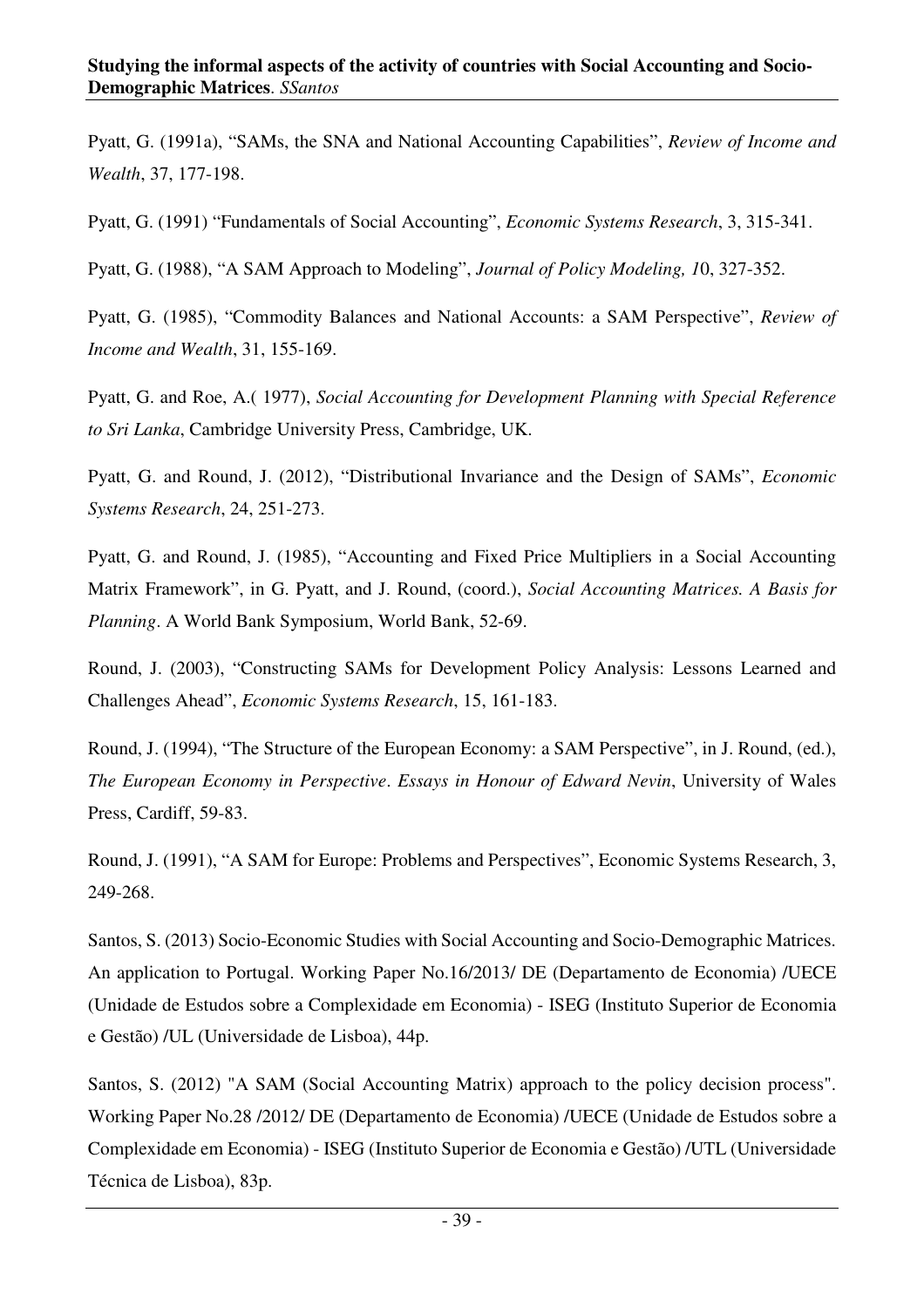Pyatt, G. (1991a), "SAMs, the SNA and National Accounting Capabilities", *Review of Income and Wealth*, 37, 177-198.

Pyatt, G. (1991) "Fundamentals of Social Accounting", *Economic Systems Research*, 3, 315-341.

Pyatt, G. (1988), "A SAM Approach to Modeling", *Journal of Policy Modeling, 1*0, 327-352.

Pyatt, G. (1985), "Commodity Balances and National Accounts: a SAM Perspective", *Review of Income and Wealth*, 31, 155-169.

Pyatt, G. and Roe, A.( 1977), *Social Accounting for Development Planning with Special Reference to Sri Lanka*, Cambridge University Press, Cambridge, UK.

Pyatt, G. and Round, J. (2012), "Distributional Invariance and the Design of SAMs", *Economic Systems Research*, 24, 251-273.

Pyatt, G. and Round, J. (1985), "Accounting and Fixed Price Multipliers in a Social Accounting Matrix Framework", in G. Pyatt, and J. Round, (coord.), *Social Accounting Matrices. A Basis for Planning*. A World Bank Symposium, World Bank, 52-69.

Round, J. (2003), "Constructing SAMs for Development Policy Analysis: Lessons Learned and Challenges Ahead", *Economic Systems Research*, 15, 161-183.

Round, J. (1994), "The Structure of the European Economy: a SAM Perspective", in J. Round, (ed.), *The European Economy in Perspective*. *Essays in Honour of Edward Nevin*, University of Wales Press, Cardiff, 59-83.

Round, J. (1991), "A SAM for Europe: Problems and Perspectives", Economic Systems Research, 3, 249-268.

Santos, S. (2013) Socio-Economic Studies with Social Accounting and Socio-Demographic Matrices. An application to Portugal. Working Paper No.16/2013/ DE (Departamento de Economia) /UECE (Unidade de Estudos sobre a Complexidade em Economia) - ISEG (Instituto Superior de Economia e Gestão) /UL (Universidade de Lisboa), 44p.

Santos, S. (2012) "A SAM (Social Accounting Matrix) approach to the policy decision process". Working Paper No.28 /2012/ DE (Departamento de Economia) /UECE (Unidade de Estudos sobre a Complexidade em Economia) - ISEG (Instituto Superior de Economia e Gestão) /UTL (Universidade Técnica de Lisboa), 83p.